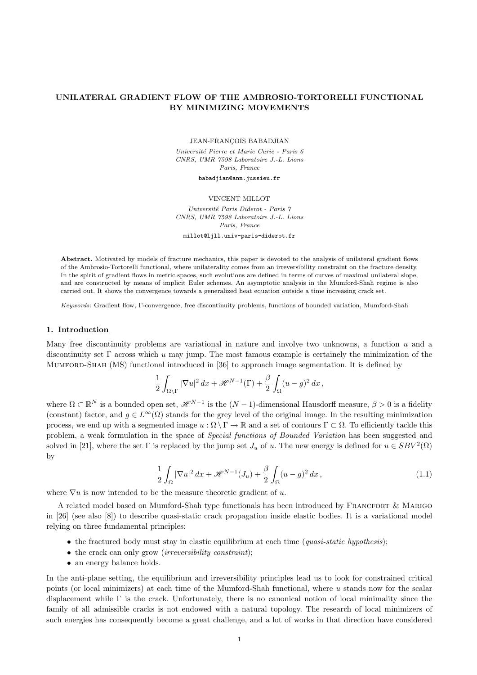# UNILATERAL GRADIENT FLOW OF THE AMBROSIO-TORTORELLI FUNCTIONAL BY MINIMIZING MOVEMENTS

JEAN-FRANÇOIS BABADJIAN

Université Pierre et Marie Curie - Paris 6 CNRS, UMR 7598 Laboratoire J.-L. Lions Paris, France

babadjian@ann.jussieu.fr

#### VINCENT MILLOT

Université Paris Diderot - Paris 7 CNRS, UMR 7598 Laboratoire J.-L. Lions Paris, France

millot@ljll.univ-paris-diderot.fr

Abstract. Motivated by models of fracture mechanics, this paper is devoted to the analysis of unilateral gradient flows of the Ambrosio-Tortorelli functional, where unilaterality comes from an irreversibility constraint on the fracture density. In the spirit of gradient flows in metric spaces, such evolutions are defined in terms of curves of maximal unilateral slope, and are constructed by means of implicit Euler schemes. An asymptotic analysis in the Mumford-Shah regime is also carried out. It shows the convergence towards a generalized heat equation outside a time increasing crack set.

Keywords: Gradient flow, Γ-convergence, free discontinuity problems, functions of bounded variation, Mumford-Shah

# 1. Introduction

Many free discontinuity problems are variational in nature and involve two unknowns, a function u and a discontinuity set  $\Gamma$  across which u may jump. The most famous example is certainely the minimization of the Mumford-Shah (MS) functional introduced in [36] to approach image segmentation. It is defined by

$$
\frac{1}{2} \int_{\Omega \setminus \Gamma} |\nabla u|^2 \, dx + \mathcal{H}^{N-1}(\Gamma) + \frac{\beta}{2} \int_{\Omega} (u - g)^2 \, dx \,,
$$

where  $\Omega \subset \mathbb{R}^N$  is a bounded open set,  $\mathscr{H}^{N-1}$  is the  $(N-1)$ -dimensional Hausdorff measure,  $\beta > 0$  is a fidelity (constant) factor, and  $g \in L^{\infty}(\Omega)$  stands for the grey level of the original image. In the resulting minimization process, we end up with a segmented image  $u : \Omega \setminus \Gamma \to \mathbb{R}$  and a set of contours  $\Gamma \subset \Omega$ . To efficiently tackle this problem, a weak formulation in the space of Special functions of Bounded Variation has been suggested and solved in [21], where the set  $\Gamma$  is replaced by the jump set  $J_u$  of u. The new energy is defined for  $u \in SBV^2(\Omega)$ by

$$
\frac{1}{2}\int_{\Omega}|\nabla u|^2 dx + \mathcal{H}^{N-1}(J_u) + \frac{\beta}{2}\int_{\Omega}(u-g)^2 dx,
$$
\n(1.1)

where  $\nabla u$  is now intended to be the measure theoretic gradient of u.

A related model based on Mumford-Shah type functionals has been introduced by FRANCFORT & MARIGO in [26] (see also [8]) to describe quasi-static crack propagation inside elastic bodies. It is a variational model relying on three fundamental principles:

- the fractured body must stay in elastic equilibrium at each time (quasi-static hypothesis);
- the crack can only grow (*irreversibility constraint*);
- an energy balance holds.

In the anti-plane setting, the equilibrium and irreversibility principles lead us to look for constrained critical points (or local minimizers) at each time of the Mumford-Shah functional, where u stands now for the scalar displacement while Γ is the crack. Unfortunately, there is no canonical notion of local minimality since the family of all admissible cracks is not endowed with a natural topology. The research of local minimizers of such energies has consequently become a great challenge, and a lot of works in that direction have considered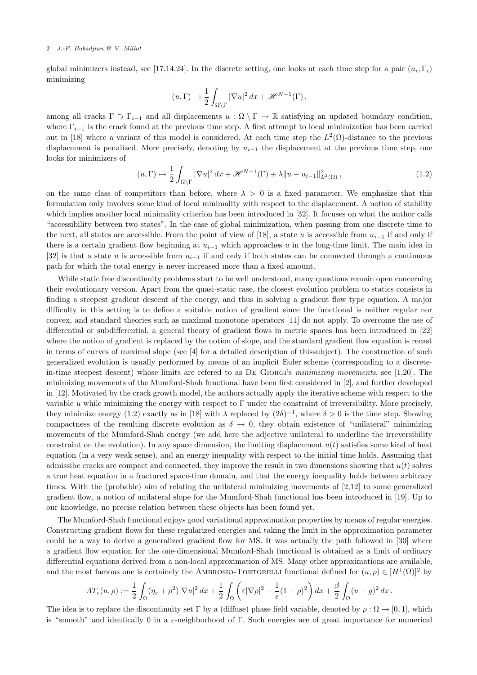global minimizers instead, see [17,14,24]. In the discrete setting, one looks at each time step for a pair  $(u_i, \Gamma_i)$ minimizing

$$
(u,\Gamma)\mapsto \frac{1}{2}\int_{\Omega\backslash\Gamma}|\nabla u|^2\,dx+\mathscr{H}^{N-1}(\Gamma)\,,
$$

among all cracks  $\Gamma \supset \Gamma_{i-1}$  and all displacements  $u : \Omega \setminus \Gamma \to \mathbb{R}$  satisfying an updated boundary condition, where  $\Gamma_{i-1}$  is the crack found at the previous time step. A first attempt to local minimization has been carried out in [18] where a variant of this model is considered. At each time step the  $L^2(\Omega)$ -distance to the previous displacement is penalized. More precisely, denoting by  $u_{i-1}$  the displacement at the previous time step, one looks for minimizers of

$$
(u,\Gamma) \mapsto \frac{1}{2} \int_{\Omega \backslash \Gamma} |\nabla u|^2 dx + \mathcal{H}^{N-1}(\Gamma) + \lambda \|u - u_{i-1}\|_{L^2(\Omega)}^2,
$$
\n(1.2)

on the same class of competitors than before, where  $\lambda > 0$  is a fixed parameter. We emphasize that this formulation only involves some kind of local minimality with respect to the displacement. A notion of stability which implies another local minimality criterion has been introduced in [32]. It focuses on what the author calls "accessibility between two states". In the case of global minimization, when passing from one discrete time to the next, all states are accessible. From the point of view of [18], a state u is accessible from  $u_{i-1}$  if and only if there is a certain gradient flow beginning at  $u_{i-1}$  which approaches u in the long-time limit. The main idea in [32] is that a state u is accessible from  $u_{i-1}$  if and only if both states can be connected through a continuous path for which the total energy is never increased more than a fixed amount.

While static free discontinuity problems start to be well understood, many questions remain open concerning their evolutionary version. Apart from the quasi-static case, the closest evolution problem to statics consists in finding a steepest gradient descent of the energy, and thus in solving a gradient flow type equation. A major difficulty in this setting is to define a suitable notion of gradient since the functional is neither regular nor convex, and standard theories such as maximal monotone operators [11] do not apply. To overcome the use of differential or subdifferential, a general theory of gradient flows in metric spaces has been introduced in [22] where the notion of gradient is replaced by the notion of slope, and the standard gradient flow equation is recast in terms of curves of maximal slope (see [4] for a detailed description of thissubject). The construction of such generalized evolution is usually performed by means of an implicit Euler scheme (corresponding to a discretein-time steepest descent) whose limits are refered to as DE GIORGI's minimizing movements, see [1,20]. The minimizing movements of the Mumford-Shah functional have been first considered in [2], and further developed in [12]. Motivated by the crack growth model, the authors actually apply the iterative scheme with respect to the variable u while minimizing the energy with respect to  $\Gamma$  under the constraint of irreversibility. More precisely, they minimize energy (1.2) exactly as in [18] with  $\lambda$  replaced by  $(2\delta)^{-1}$ , where  $\delta > 0$  is the time step. Showing compactness of the resulting discrete evolution as  $\delta \to 0$ , they obtain existence of "unilateral" minimizing movements of the Mumford-Shah energy (we add here the adjective unilateral to underline the irreversibility constraint on the evolution). In any space dimension, the limiting displacement  $u(t)$  satisfies some kind of heat equation (in a very weak sense), and an energy inequality with respect to the initial time holds. Assuming that admissibe cracks are compact and connected, they improve the result in two dimensions showing that  $u(t)$  solves a true heat equation in a fractured space-time domain, and that the energy inequality holds between arbitrary times. With the (probable) aim of relating the unilateral minimizing movements of [2,12] to some generalized gradient flow, a notion of unilateral slope for the Mumford-Shah functional has been introduced in [19]. Up to our knowledge, no precise relation between these objects has been found yet.

The Mumford-Shah functional enjoys good variational approximation properties by means of regular energies. Constructing gradient flows for these regularized energies and taking the limit in the approximation parameter could be a way to derive a generalized gradient flow for MS. It was actually the path followed in [30] where a gradient flow equation for the one-dimensional Mumford-Shah functional is obtained as a limit of ordinary differential equations derived from a non-local approximation of MS. Many other approximations are available, and the most famous one is certainely the AMBROSIO-TORTORELLI functional defined for  $(u, \rho) \in [H^1(\Omega)]^2$  by

$$
AT_{\varepsilon}(u,\rho) := \frac{1}{2} \int_{\Omega} (\eta_{\varepsilon} + \rho^2) |\nabla u|^2 \, dx + \frac{1}{2} \int_{\Omega} \left( \varepsilon |\nabla \rho|^2 + \frac{1}{\varepsilon} (1 - \rho)^2 \right) dx + \frac{\beta}{2} \int_{\Omega} (u - g)^2 \, dx \, .
$$

The idea is to replace the discontinuity set Γ by a (diffuse) phase field variable, denoted by  $\rho : \Omega \to [0,1]$ , which is "smooth" and identically 0 in a  $\varepsilon$ -neighborhood of Γ. Such energies are of great importance for numerical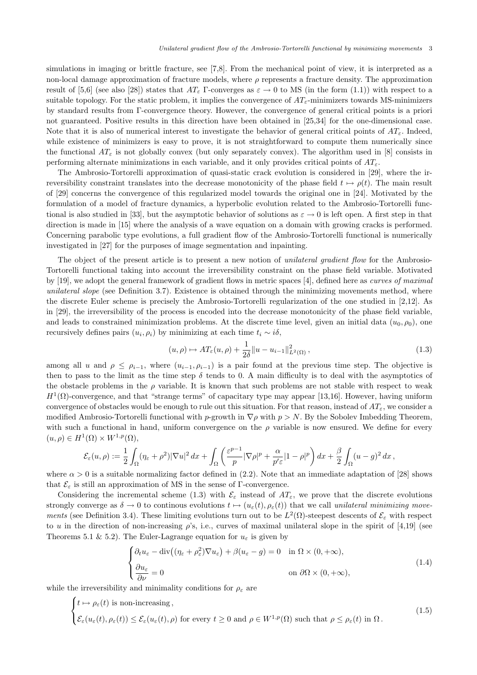simulations in imaging or brittle fracture, see [7,8]. From the mechanical point of view, it is interpreted as a non-local damage approximation of fracture models, where  $\rho$  represents a fracture density. The approximation result of [5,6] (see also [28]) states that  $AT_{\varepsilon}$  Γ-converges as  $\varepsilon \to 0$  to MS (in the form (1.1)) with respect to a suitable topology. For the static problem, it implies the convergence of  $AT_{\varepsilon}$ -minimizers towards MS-minimizers by standard results from Γ-convergence theory. However, the convergence of general critical points is a priori not guaranteed. Positive results in this direction have been obtained in [25,34] for the one-dimensional case. Note that it is also of numerical interest to investigate the behavior of general critical points of  $AT_{\varepsilon}$ . Indeed, while existence of minimizers is easy to prove, it is not straightforward to compute them numerically since the functional  $AT_{\varepsilon}$  is not globally convex (but only separately convex). The algorithm used in [8] consists in performing alternate minimizations in each variable, and it only provides critical points of  $AT_{\varepsilon}$ .

The Ambrosio-Tortorelli approximation of quasi-static crack evolution is considered in [29], where the irreversibility constraint translates into the decrease monotonicity of the phase field  $t \mapsto \rho(t)$ . The main result of [29] concerns the convergence of this regularized model towards the original one in [24]. Motivated by the formulation of a model of fracture dynamics, a hyperbolic evolution related to the Ambrosio-Tortorelli functional is also studied in [33], but the asymptotic behavior of solutions as  $\varepsilon \to 0$  is left open. A first step in that direction is made in [15] where the analysis of a wave equation on a domain with growing cracks is performed. Concerning parabolic type evolutions, a full gradient flow of the Ambrosio-Tortorelli functional is numerically investigated in [27] for the purposes of image segmentation and inpainting.

The object of the present article is to present a new notion of unilateral gradient flow for the Ambrosio-Tortorelli functional taking into account the irreversibility constraint on the phase field variable. Motivated by [19], we adopt the general framework of gradient flows in metric spaces [4], defined here as curves of maximal unilateral slope (see Definition 3.7). Existence is obtained through the minimizing movements method, where the discrete Euler scheme is precisely the Ambrosio-Tortorelli regularization of the one studied in [2,12]. As in [29], the irreversibility of the process is encoded into the decrease monotonicity of the phase field variable, and leads to constrained minimization problems. At the discrete time level, given an initial data  $(u_0, \rho_0)$ , one recursively defines pairs  $(u_i, \rho_i)$  by minimizing at each time  $t_i \sim i\delta$ ,

$$
(u,\rho) \mapsto AT_{\varepsilon}(u,\rho) + \frac{1}{2\delta} \|u - u_{i-1}\|_{L^2(\Omega)}^2,
$$
\n(1.3)

among all u and  $\rho \leq \rho_{i-1}$ , where  $(u_{i-1}, \rho_{i-1})$  is a pair found at the previous time step. The objective is then to pass to the limit as the time step  $\delta$  tends to 0. A main difficulty is to deal with the asymptotics of the obstacle problems in the  $\rho$  variable. It is known that such problems are not stable with respect to weak  $H^1(\Omega)$ -convergence, and that "strange terms" of capacitary type may appear [13,16]. However, having uniform convergence of obstacles would be enough to rule out this situation. For that reason, instead of  $AT_{\epsilon}$ , we consider a modified Ambrosio-Tortorelli functional with p-growth in  $\nabla \rho$  with  $p > N$ . By the Sobolev Imbedding Theorem, with such a functional in hand, uniform convergence on the  $\rho$  variable is now ensured. We define for every  $(u, \rho) \in H^1(\Omega) \times W^{1,p}(\Omega),$ 

$$
\mathcal{E}_{\varepsilon}(u,\rho):=\frac{1}{2}\int_{\Omega}(\eta_{\varepsilon}+\rho^2)|\nabla u|^2\,dx+\int_{\Omega}\left(\frac{\varepsilon^{p-1}}{p}|\nabla \rho|^p+\frac{\alpha}{p'\varepsilon}|1-\rho|^p\right)dx+\frac{\beta}{2}\int_{\Omega}(u-g)^2\,dx\,,
$$

where  $\alpha > 0$  is a suitable normalizing factor defined in (2.2). Note that an immediate adaptation of [28] shows that  $\mathcal{E}_{\varepsilon}$  is still an approximation of MS in the sense of Γ-convergence.

Considering the incremental scheme (1.3) with  $\mathcal{E}_{\varepsilon}$  instead of  $AT_{\varepsilon}$ , we prove that the discrete evolutions strongly converge as  $\delta \to 0$  to continous evolutions  $t \mapsto (u_{\varepsilon}(t), \rho_{\varepsilon}(t))$  that we call unilateral minimizing movements (see Definition 3.4). These limiting evolutions turn out to be  $L^2(\Omega)$ -steepest descents of  $\mathcal{E}_{\varepsilon}$  with respect to u in the direction of non-increasing  $\rho$ 's, i.e., curves of maximal unilateral slope in the spirit of [4,19] (see Theorems 5.1 & 5.2). The Euler-Lagrange equation for  $u_{\varepsilon}$  is given by

$$
\begin{cases} \partial_t u_{\varepsilon} - \text{div}\left( (\eta_{\varepsilon} + \rho_{\varepsilon}^2) \nabla u_{\varepsilon} \right) + \beta (u_{\varepsilon} - g) = 0 & \text{in } \Omega \times (0, +\infty), \\ \frac{\partial u_{\varepsilon}}{\partial \nu} = 0 & \text{on } \partial \Omega \times (0, +\infty), \end{cases}
$$
(1.4)

while the irreversibility and minimality conditions for  $\rho_{\varepsilon}$  are

$$
\begin{cases}\nt \mapsto \rho_{\varepsilon}(t) \text{ is non-increasing,} \\
\mathcal{E}_{\varepsilon}(u_{\varepsilon}(t), \rho_{\varepsilon}(t)) \leq \mathcal{E}_{\varepsilon}(u_{\varepsilon}(t), \rho) \text{ for every } t \geq 0 \text{ and } \rho \in W^{1, p}(\Omega) \text{ such that } \rho \leq \rho_{\varepsilon}(t) \text{ in } \Omega.\n\end{cases}
$$
\n(1.5)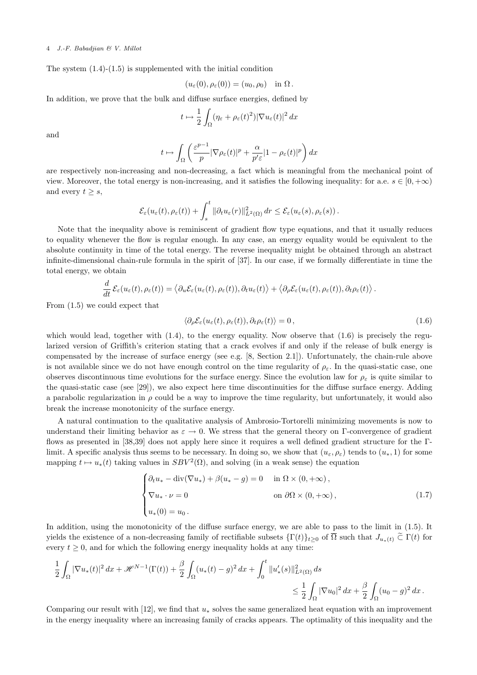The system  $(1.4)-(1.5)$  is supplemented with the initial condition

$$
(u_{\varepsilon}(0), \rho_{\varepsilon}(0)) = (u_0, \rho_0) \quad \text{in } \Omega.
$$

In addition, we prove that the bulk and diffuse surface energies, defined by

$$
t \mapsto \frac{1}{2} \int_{\Omega} (\eta_{\varepsilon} + \rho_{\varepsilon}(t)^2) |\nabla u_{\varepsilon}(t)|^2 dx
$$

and

$$
t \mapsto \int_{\Omega} \left( \frac{\varepsilon^{p-1}}{p} |\nabla \rho_{\varepsilon}(t)|^{p} + \frac{\alpha}{p' \varepsilon} |1 - \rho_{\varepsilon}(t)|^{p} \right) dx
$$

are respectively non-increasing and non-decreasing, a fact which is meaningful from the mechanical point of view. Moreover, the total energy is non-increasing, and it satisfies the following inequality: for a.e.  $s \in [0, +\infty)$ and every  $t \geq s$ ,

$$
\mathcal{E}_{\varepsilon}(u_{\varepsilon}(t),\rho_{\varepsilon}(t)) + \int_{s}^{t} \|\partial_t u_{\varepsilon}(r)\|_{L^2(\Omega)}^2 dr \leq \mathcal{E}_{\varepsilon}(u_{\varepsilon}(s),\rho_{\varepsilon}(s)).
$$

Note that the inequality above is reminiscent of gradient flow type equations, and that it usually reduces to equality whenever the flow is regular enough. In any case, an energy equality would be equivalent to the absolute continuity in time of the total energy. The reverse inequality might be obtained through an abstract infinite-dimensional chain-rule formula in the spirit of [37]. In our case, if we formally differentiate in time the total energy, we obtain

$$
\frac{d}{dt}\mathcal{E}_{\varepsilon}(u_{\varepsilon}(t),\rho_{\varepsilon}(t))=\left\langle \partial_{u}\mathcal{E}_{\varepsilon}(u_{\varepsilon}(t),\rho_{\varepsilon}(t)),\partial_{t}u_{\varepsilon}(t)\right\rangle +\left\langle \partial_{\rho}\mathcal{E}_{\varepsilon}(u_{\varepsilon}(t),\rho_{\varepsilon}(t)),\partial_{t}\rho_{\varepsilon}(t)\right\rangle.
$$

From (1.5) we could expect that

$$
\langle \partial_{\rho} \mathcal{E}_{\varepsilon}(u_{\varepsilon}(t), \rho_{\varepsilon}(t)), \partial_t \rho_{\varepsilon}(t) \rangle = 0, \qquad (1.6)
$$

which would lead, together with (1.4), to the energy equality. Now observe that (1.6) is precisely the regularized version of Griffith's criterion stating that a crack evolves if and only if the release of bulk energy is compensated by the increase of surface energy (see e.g. [8, Section 2.1]). Unfortunately, the chain-rule above is not available since we do not have enough control on the time regularity of  $\rho_{\varepsilon}$ . In the quasi-static case, one observes discontinuous time evolutions for the surface energy. Since the evolution law for  $\rho_{\varepsilon}$  is quite similar to the quasi-static case (see [29]), we also expect here time discontinuities for the diffuse surface energy. Adding a parabolic regularization in  $\rho$  could be a way to improve the time regularity, but unfortunately, it would also break the increase monotonicity of the surface energy.

A natural continuation to the qualitative analysis of Ambrosio-Tortorelli minimizing movements is now to understand their limiting behavior as  $\varepsilon \to 0$ . We stress that the general theory on Γ-convergence of gradient flows as presented in [38,39] does not apply here since it requires a well defined gradient structure for the Γlimit. A specific analysis thus seems to be necessary. In doing so, we show that  $(u_{\varepsilon}, \rho_{\varepsilon})$  tends to  $(u_*, 1)$  for some mapping  $t \mapsto u_*(t)$  taking values in  $SBV^2(\Omega)$ , and solving (in a weak sense) the equation

$$
\begin{cases}\n\partial_t u_* - \operatorname{div}(\nabla u_*) + \beta(u_* - g) = 0 & \text{in } \Omega \times (0, +\infty), \\
\nabla u_* \cdot \nu = 0 & \text{on } \partial\Omega \times (0, +\infty), \\
u_*(0) = u_0.\n\end{cases}
$$
\n(1.7)

In addition, using the monotonicity of the diffuse surface energy, we are able to pass to the limit in (1.5). It yields the existence of a non-decreasing family of rectifiable subsets  $\{\Gamma(t)\}_{t\geq0}$  of  $\Omega$  such that  $J_{u_*(t)}\subset \Gamma(t)$  for every  $t \geq 0$ , and for which the following energy inequality holds at any time:

$$
\frac{1}{2} \int_{\Omega} |\nabla u_*(t)|^2 dx + \mathcal{H}^{N-1}(\Gamma(t)) + \frac{\beta}{2} \int_{\Omega} (u_*(t) - g)^2 dx + \int_0^t \|u'_*(s)\|_{L^2(\Omega)}^2 ds
$$
  

$$
\leq \frac{1}{2} \int_{\Omega} |\nabla u_0|^2 dx + \frac{\beta}{2} \int_{\Omega} (u_0 - g)^2 dx.
$$

Comparing our result with  $[12]$ , we find that  $u_*$  solves the same generalized heat equation with an improvement in the energy inequality where an increasing family of cracks appears. The optimality of this inequality and the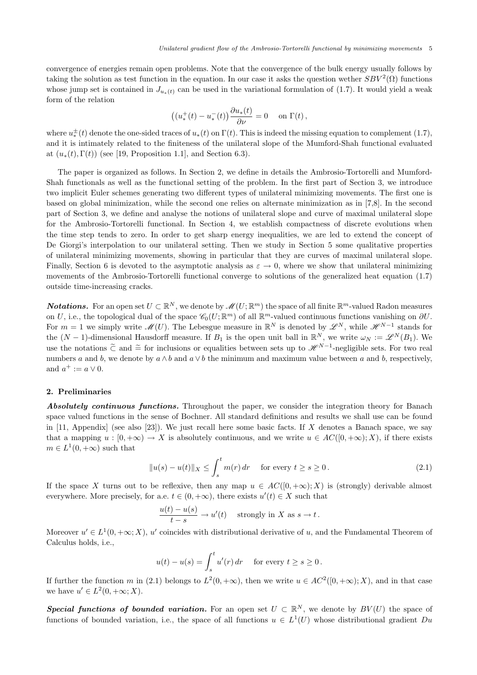convergence of energies remain open problems. Note that the convergence of the bulk energy usually follows by taking the solution as test function in the equation. In our case it asks the question wether  $SBV^2(\Omega)$  functions whose jump set is contained in  $J_{u_*(t)}$  can be used in the variational formulation of (1.7). It would yield a weak form of the relation

$$
\left((u_*^+(t)-u_*^-(t)\right)\frac{\partial u_*(t)}{\partial\nu}=0\quad\hbox{ on }\Gamma(t)\,,
$$

where  $u_*^{\pm}(t)$  denote the one-sided traces of  $u_*(t)$  on  $\Gamma(t)$ . This is indeed the missing equation to complement (1.7), and it is intimately related to the finiteness of the unilateral slope of the Mumford-Shah functional evaluated at  $(u_*(t), \Gamma(t))$  (see [19, Proposition 1.1], and Section 6.3).

The paper is organized as follows. In Section 2, we define in details the Ambrosio-Tortorelli and Mumford-Shah functionals as well as the functional setting of the problem. In the first part of Section 3, we introduce two implicit Euler schemes generating two different types of unilateral minimizing movements. The first one is based on global minimization, while the second one relies on alternate minimization as in [7,8]. In the second part of Section 3, we define and analyse the notions of unilateral slope and curve of maximal unilateral slope for the Ambrosio-Tortorelli functional. In Section 4, we establish compactness of discrete evolutions when the time step tends to zero. In order to get sharp energy inequalities, we are led to extend the concept of De Giorgi's interpolation to our unilateral setting. Then we study in Section 5 some qualitative properties of unilateral minimizing movements, showing in particular that they are curves of maximal unilateral slope. Finally, Section 6 is devoted to the asymptotic analysis as  $\varepsilon \to 0$ , where we show that unilateral minimizing movements of the Ambrosio-Tortorelli functional converge to solutions of the generalized heat equation (1.7) outside time-increasing cracks.

**Notations.** For an open set  $U \subset \mathbb{R}^N$ , we denote by  $\mathscr{M}(U;\mathbb{R}^m)$  the space of all finite  $\mathbb{R}^m$ -valued Radon measures on U, i.e., the topological dual of the space  $\mathscr{C}_0(U; \mathbb{R}^m)$  of all  $\mathbb{R}^m$ -valued continuous functions vanishing on  $\partial U$ . For  $m = 1$  we simply write  $\mathscr{M}(U)$ . The Lebesgue measure in  $\mathbb{R}^N$  is denoted by  $\mathscr{L}^N$ , while  $\mathscr{H}^{N-1}$  stands for the  $(N-1)$ -dimensional Hausdorff measure. If  $B_1$  is the open unit ball in  $\mathbb{R}^N$ , we write  $\omega_N := \mathscr{L}^N(B_1)$ . We use the notations  $\tilde{\subset}$  and  $\tilde{=}$  for inclusions or equalities between sets up to  $\mathscr{H}^{N-1}$ -negligible sets. For two real numbers a and b, we denote by  $a \wedge b$  and  $a \vee b$  the minimum and maximum value between a and b, respectively, and  $a^+ := a \vee 0$ .

### 2. Preliminaries

Absolutely continuous functions. Throughout the paper, we consider the integration theory for Banach space valued functions in the sense of Bochner. All standard definitions and results we shall use can be found in [11, Appendix] (see also [23]). We just recall here some basic facts. If X denotes a Banach space, we say that a mapping  $u : [0, +\infty) \to X$  is absolutely continuous, and we write  $u \in AC([0, +\infty); X)$ , if there exists  $m \in L^1(0, +\infty)$  such that

$$
||u(s) - u(t)||_X \le \int_s^t m(r) dr \quad \text{ for every } t \ge s \ge 0.
$$
 (2.1)

If the space X turns out to be reflexive, then any map  $u \in AC([0, +\infty); X)$  is (strongly) derivable almost everywhere. More precisely, for a.e.  $t \in (0, +\infty)$ , there exists  $u'(t) \in X$  such that

$$
\frac{u(t) - u(s)}{t - s} \to u'(t) \quad \text{strongly in } X \text{ as } s \to t \,.
$$

Moreover  $u' \in L^1(0, +\infty; X)$ , u' coincides with distributional derivative of u, and the Fundamental Theorem of Calculus holds, i.e.,

$$
u(t) - u(s) = \int_s^t u'(r) dr \quad \text{ for every } t \ge s \ge 0.
$$

If further the function m in (2.1) belongs to  $L^2(0, +\infty)$ , then we write  $u \in AC^2([0, +\infty); X)$ , and in that case we have  $u' \in L^2(0, +\infty; X)$ .

Special functions of bounded variation. For an open set  $U \subset \mathbb{R}^N$ , we denote by  $BV(U)$  the space of functions of bounded variation, i.e., the space of all functions  $u \in L^1(U)$  whose distributional gradient Du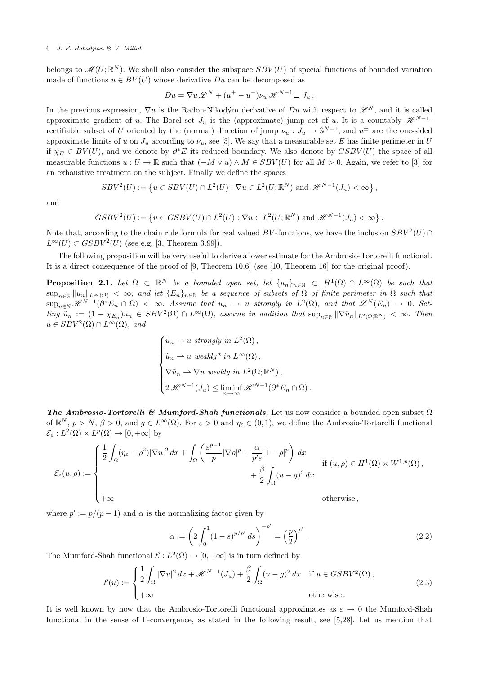belongs to  $\mathscr{M}(U;\mathbb{R}^N)$ . We shall also consider the subspace  $SBV(U)$  of special functions of bounded variation made of functions  $u \in BV(U)$  whose derivative  $Du$  can be decomposed as

$$
Du = \nabla u \mathscr{L}^N + (u^+ - u^-)\nu_u \mathscr{H}^{N-1} \mathcal{L} J_u.
$$

In the previous expression,  $\nabla u$  is the Radon-Nikodým derivative of Du with respect to  $\mathscr{L}^N$ , and it is called approximate gradient of u. The Borel set  $J_u$  is the (approximate) jump set of u. It is a countably  $\mathscr{H}^{N-1}$ rectifiable subset of U oriented by the (normal) direction of jump  $\nu_u : J_u \to \mathbb{S}^{N-1}$ , and  $u^{\pm}$  are the one-sided approximate limits of u on  $J_u$  according to  $\nu_u$ , see [3]. We say that a measurable set E has finite perimeter in U if  $\chi_E \in BV(U)$ , and we denote by  $\partial^*E$  its reduced boundary. We also denote by  $GSBV(U)$  the space of all measurable functions  $u: U \to \mathbb{R}$  such that  $(-M \vee u) \wedge M \in SBV(U)$  for all  $M > 0$ . Again, we refer to [3] for an exhaustive treatment on the subject. Finally we define the spaces

$$
SBV^2(U) := \left\{ u \in SBV(U) \cap L^2(U) : \nabla u \in L^2(U; \mathbb{R}^N) \text{ and } \mathscr{H}^{N-1}(J_u) < \infty \right\},
$$

and

$$
GSBV^2(U) := \left\{ u \in GSBV(U) \cap L^2(U) : \nabla u \in L^2(U; \mathbb{R}^N) \text{ and } \mathcal{H}^{N-1}(J_u) < \infty \right\}.
$$

Note that, according to the chain rule formula for real valued BV-functions, we have the inclusion  $SBV^2(U) \cap$  $L^{\infty}(U) \subset GSBV^2(U)$  (see e.g. [3, Theorem 3.99]).

The following proposition will be very useful to derive a lower estimate for the Ambrosio-Tortorelli functional. It is a direct consequence of the proof of [9, Theorem 10.6] (see [10, Theorem 16] for the original proof).

**Proposition 2.1.** Let  $\Omega \subset \mathbb{R}^N$  be a bounded open set, let  $\{u_n\}_{n\in\mathbb{N}} \subset H^1(\Omega) \cap L^{\infty}(\Omega)$  be such that  $\sup_{n\in\mathbb{N}}\|u_n\|_{L^{\infty}(\Omega)} < \infty$ , and let  $\{E_n\}_{n\in\mathbb{N}}$  be a sequence of subsets of  $\Omega$  of finite perimeter in  $\Omega$  such that  $\sup_{n\in\mathbb{N}}\mathscr{H}^{N-1}(\partial^*E_n\cap\Omega) < \infty$ . Assume that  $u_n \to u$  strongly in  $L^2(\Omega)$ , and that  $\mathscr{L}^N(E_n) \to 0$ . Set- $\lim_{n \to \infty} \tilde{u}_n := (1 - \chi_{E_n}) u_n \in SBV^2(\Omega) \cap L^{\infty}(\Omega)$ , assume in addition that  $\sup_{n \in \mathbb{N}} ||\nabla \tilde{u}_n||_{L^2(\Omega;\mathbb{R}^N)} < \infty$ . Then  $u \in SBV^2(\Omega) \cap L^{\infty}(\Omega)$ , and

$$
\begin{cases}\n\tilde{u}_n \to u \text{ strongly in } L^2(\Omega), \\
\tilde{u}_n \to u \text{ weakly* in } L^{\infty}(\Omega), \\
\nabla \tilde{u}_n \to \nabla u \text{ weakly in } L^2(\Omega; \mathbb{R}^N), \\
2 \mathcal{H}^{N-1}(J_u) \le \liminf_{n \to \infty} \mathcal{H}^{N-1}(\partial^* E_n \cap \Omega).\n\end{cases}
$$

The Ambrosio-Tortorelli & Mumford-Shah functionals. Let us now consider a bounded open subset  $\Omega$ of  $\mathbb{R}^N$ ,  $p > N$ ,  $\beta > 0$ , and  $g \in L^{\infty}(\Omega)$ . For  $\varepsilon > 0$  and  $\eta_{\varepsilon} \in (0,1)$ , we define the Ambrosio-Tortorelli functional  $\mathcal{E}_{\varepsilon}: L^2(\Omega) \times L^p(\Omega) \to [0, +\infty]$  by

$$
\mathcal{E}_{\varepsilon}(u,\rho) := \begin{cases} \frac{1}{2} \int_{\Omega} (\eta_{\varepsilon} + \rho^2) |\nabla u|^2 \, dx + \int_{\Omega} \left( \frac{\varepsilon^{p-1}}{p} |\nabla \rho|^p + \frac{\alpha}{p' \varepsilon} |1 - \rho|^p \right) \, dx & \text{if } (u,\rho) \in H^1(\Omega) \times W^{1,p}(\Omega), \\ & \qquad \qquad + \frac{\beta}{2} \int_{\Omega} (u - g)^2 \, dx & \text{otherwise} \,, \end{cases}
$$

where  $p' := p/(p-1)$  and  $\alpha$  is the normalizing factor given by

$$
\alpha := \left(2 \int_0^1 (1-s)^{p/p'} ds\right)^{-p'} = \left(\frac{p}{2}\right)^{p'}.
$$
\n(2.2)

The Mumford-Shah functional  $\mathcal{E}: L^2(\Omega) \to [0, +\infty]$  is in turn defined by

$$
\mathcal{E}(u) := \begin{cases} \frac{1}{2} \int_{\Omega} |\nabla u|^2 dx + \mathcal{H}^{N-1}(J_u) + \frac{\beta}{2} \int_{\Omega} (u - g)^2 dx & \text{if } u \in GSBV^2(\Omega), \\ +\infty & \text{otherwise.} \end{cases}
$$
(2.3)

It is well known by now that the Ambrosio-Tortorelli functional approximates as  $\varepsilon \to 0$  the Mumford-Shah functional in the sense of Γ-convergence, as stated in the following result, see [5,28]. Let us mention that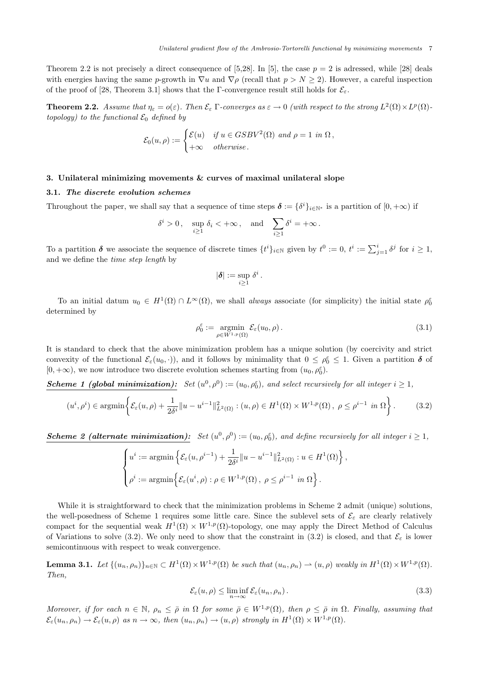Theorem 2.2 is not precisely a direct consequence of [5,28]. In [5], the case  $p = 2$  is adressed, while [28] deals with energies having the same p-growth in  $\nabla u$  and  $\nabla \rho$  (recall that  $p > N \ge 2$ ). However, a careful inspection of the proof of [28, Theorem 3.1] shows that the Γ-convergence result still holds for  $\mathcal{E}_{\varepsilon}$ .

**Theorem 2.2.** Assume that  $\eta_{\varepsilon} = o(\varepsilon)$ . Then  $\mathcal{E}_{\varepsilon}$   $\Gamma$ -converges as  $\varepsilon \to 0$  (with respect to the strong  $L^2(\Omega) \times L^p(\Omega)$ topology) to the functional  $\mathcal{E}_0$  defined by

$$
\mathcal{E}_0(u,\rho) := \begin{cases} \mathcal{E}(u) & \text{if } u \in GSBV^2(\Omega) \text{ and } \rho = 1 \text{ in } \Omega, \\ +\infty & \text{otherwise.} \end{cases}
$$

### 3. Unilateral minimizing movements & curves of maximal unilateral slope

### 3.1. The discrete evolution schemes

Throughout the paper, we shall say that a sequence of time steps  $\boldsymbol{\delta} := {\delta^i}_{i \in \mathbb{N}^*}$  is a partition of  $[0, +\infty)$  if

$$
\delta^i > 0
$$
,  $\sup_{i \ge 1} \delta_i < +\infty$ , and  $\sum_{i \ge 1} \delta^i = +\infty$ .

To a partition  $\delta$  we associate the sequence of discrete times  $\{t^i\}_{i\in\mathbb{N}}$  given by  $t^0 := 0$ ,  $t^i := \sum_{j=1}^i \delta^j$  for  $i \geq 1$ , and we define the time step length by

$$
|\boldsymbol{\delta}| := \sup_{i \geq 1} \delta^i.
$$

To an initial datum  $u_0 \in H^1(\Omega) \cap L^{\infty}(\Omega)$ , we shall *always* associate (for simplicity) the initial state  $\rho_0^{\varepsilon}$ determined by

$$
\rho_0^{\varepsilon} := \underset{\rho \in W^{1,p}(\Omega)}{\operatorname{argmin}} \mathcal{E}_{\varepsilon}(u_0, \rho).
$$
\n(3.1)

It is standard to check that the above minimization problem has a unique solution (by coercivity and strict convexity of the functional  $\mathcal{E}_{\varepsilon}(u_0, \cdot)$ , and it follows by minimality that  $0 \leq \rho_0^{\varepsilon} \leq 1$ . Given a partition  $\delta$  of  $[0, +\infty)$ , we now introduce two discrete evolution schemes starting from  $(u_0, \rho_0^{\varepsilon})$ .

**Scheme 1 (global minimization):** Set  $(u^0, \rho^0) := (u_0, \rho_0^{\varepsilon})$ , and select recursively for all integer  $i \ge 1$ ,

$$
(u^i, \rho^i) \in \operatorname{argmin}\left\{ \mathcal{E}_{\varepsilon}(u, \rho) + \frac{1}{2\delta^i} ||u - u^{i-1}||^2_{L^2(\Omega)} : (u, \rho) \in H^1(\Omega) \times W^{1, p}(\Omega), \ \rho \le \rho^{i-1} \ \text{in} \ \Omega \right\}.
$$

**Scheme 2 (alternate minimization):** Set  $(u^0, \rho^0) := (u_0, \rho_0^{\varepsilon})$ , and define recursively for all integer  $i \ge 1$ ,

$$
\begin{cases} u^i := \operatorname{argmin} \left\{ \mathcal{E}_{\varepsilon}(u, \rho^{i-1}) + \frac{1}{2\delta^i} ||u - u^{i-1}||^2_{L^2(\Omega)} : u \in H^1(\Omega) \right\}, \\ \rho^i := \operatorname{argmin} \left\{ \mathcal{E}_{\varepsilon}(u^i, \rho) : \rho \in W^{1, p}(\Omega), \ \rho \le \rho^{i-1} \ \ in \ \Omega \right\}. \end{cases}
$$

While it is straightforward to check that the minimization problems in Scheme 2 admit (unique) solutions, the well-posedness of Scheme 1 requires some little care. Since the sublevel sets of  $\mathcal{E}_{\varepsilon}$  are clearly relatively compact for the sequential weak  $H^1(\Omega) \times W^{1,p}(\Omega)$ -topology, one may apply the Direct Method of Calculus of Variations to solve (3.2). We only need to show that the constraint in (3.2) is closed, and that  $\mathcal{E}_{\varepsilon}$  is lower semicontinuous with respect to weak convergence.

**Lemma 3.1.** Let  $\{(u_n, \rho_n)\}_{n \in \mathbb{N}} \subset H^1(\Omega) \times W^{1,p}(\Omega)$  be such that  $(u_n, \rho_n) \to (u, \rho)$  weakly in  $H^1(\Omega) \times W^{1,p}(\Omega)$ . Then,

$$
\mathcal{E}_{\varepsilon}(u,\rho) \le \liminf_{n \to \infty} \mathcal{E}_{\varepsilon}(u_n,\rho_n). \tag{3.3}
$$

Moreover, if for each  $n \in \mathbb{N}$ ,  $\rho_n \leq \overline{\rho}$  in  $\Omega$  for some  $\overline{\rho} \in W^{1,p}(\Omega)$ , then  $\rho \leq \overline{\rho}$  in  $\Omega$ . Finally, assuming that  $\mathcal{E}_{\varepsilon}(u_n,\rho_n)\to\mathcal{E}_{\varepsilon}(u,\rho)$  as  $n\to\infty$ , then  $(u_n,\rho_n)\to(u,\rho)$  strongly in  $H^1(\Omega)\times W^{1,p}(\Omega)$ .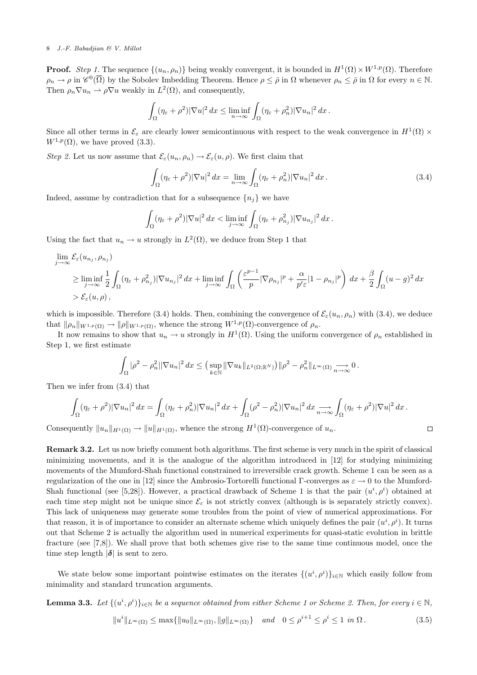**Proof.** Step 1. The sequence  $\{(u_n, \rho_n)\}\$  being weakly convergent, it is bounded in  $H^1(\Omega) \times W^{1,p}(\Omega)$ . Therefore  $\rho_n \to \rho$  in  $\mathscr{C}^0(\overline{\Omega})$  by the Sobolev Imbedding Theorem. Hence  $\rho \leq \overline{\rho}$  in  $\Omega$  whenever  $\rho_n \leq \overline{\rho}$  in  $\Omega$  for every  $n \in \mathbb{N}$ . Then  $\rho_n \nabla u_n \rightharpoonup \rho \nabla u$  weakly in  $L^2(\Omega)$ , and consequently,

$$
\int_{\Omega} (\eta_{\varepsilon} + \rho^2) |\nabla u|^2 dx \le \liminf_{n \to \infty} \int_{\Omega} (\eta_{\varepsilon} + \rho_n^2) |\nabla u_n|^2 dx.
$$

Since all other terms in  $\mathcal{E}_{\varepsilon}$  are clearly lower semicontinuous with respect to the weak convergence in  $H^1(\Omega) \times$  $W^{1,p}(\Omega)$ , we have proved (3.3).

Step 2. Let us now assume that  $\mathcal{E}_{\varepsilon}(u_n, \rho_n) \to \mathcal{E}_{\varepsilon}(u, \rho)$ . We first claim that

$$
\int_{\Omega} (\eta_{\varepsilon} + \rho^2) |\nabla u|^2 dx = \lim_{n \to \infty} \int_{\Omega} (\eta_{\varepsilon} + \rho_n^2) |\nabla u_n|^2 dx.
$$
\n(3.4)

 $\Box$ 

Indeed, assume by contradiction that for a subsequence  ${n_i}$  we have

$$
\int_{\Omega} (\eta_{\varepsilon} + \rho^2) |\nabla u|^2 dx < \liminf_{j \to \infty} \int_{\Omega} (\eta_{\varepsilon} + \rho_{n_j}^2) |\nabla u_{n_j}|^2 dx.
$$

Using the fact that  $u_n \to u$  strongly in  $L^2(\Omega)$ , we deduce from Step 1 that

$$
\lim_{j \to \infty} \mathcal{E}_{\varepsilon}(u_{n_j}, \rho_{n_j})
$$
\n
$$
\geq \liminf_{j \to \infty} \frac{1}{2} \int_{\Omega} (\eta_{\varepsilon} + \rho_{n_j}^2) |\nabla u_{n_j}|^2 dx + \liminf_{j \to \infty} \int_{\Omega} \left( \frac{\varepsilon^{p-1}}{p} |\nabla \rho_{n_j}|^p + \frac{\alpha}{p' \varepsilon} |1 - \rho_{n_j}|^p \right) dx + \frac{\beta}{2} \int_{\Omega} (u - g)^2 dx
$$
\n
$$
> \mathcal{E}_{\varepsilon}(u, \rho),
$$

which is impossible. Therefore (3.4) holds. Then, combining the convergence of  $\mathcal{E}_{\varepsilon}(u_n, \rho_n)$  with (3.4), we deduce that  $\|\rho_n\|_{W^{1,p}(\Omega)} \to \|\rho\|_{W^{1,p}(\Omega)}$ , whence the strong  $W^{1,p}(\Omega)$ -convergence of  $\rho_n$ .

It now remains to show that  $u_n \to u$  strongly in  $H^1(\Omega)$ . Using the uniform convergence of  $\rho_n$  established in Step 1, we first estimate

$$
\int_{\Omega}|\rho^2-\rho_n^2||\nabla u_n|^2\,dx\leq \big(\sup_{k\in\mathbb{N}}\|\nabla u_k\|_{L^2(\Omega;\mathbb{R}^N)}\big)\|\rho^2-\rho_n^2\|_{L^\infty(\Omega)}\underset{n\to\infty}{\longrightarrow}0.
$$

Then we infer from (3.4) that

$$
\int_{\Omega} (\eta_{\varepsilon} + \rho^2) |\nabla u_n|^2 dx = \int_{\Omega} (\eta_{\varepsilon} + \rho_n^2) |\nabla u_n|^2 dx + \int_{\Omega} (\rho^2 - \rho_n^2) |\nabla u_n|^2 dx \underset{n \to \infty}{\longrightarrow} \int_{\Omega} (\eta_{\varepsilon} + \rho^2) |\nabla u|^2 dx.
$$

Consequently  $||u_n||_{H^1(\Omega)} \to ||u||_{H^1(\Omega)}$ , whence the strong  $H^1(\Omega)$ -convergence of  $u_n$ .

Remark 3.2. Let us now briefly comment both algorithms. The first scheme is very much in the spirit of classical minimizing movements, and it is the analogue of the algorithm introduced in [12] for studying minimizing movements of the Mumford-Shah functional constrained to irreversible crack growth. Scheme 1 can be seen as a regularization of the one in [12] since the Ambrosio-Tortorelli functional Γ-converges as ε → 0 to the Mumford-Shah functional (see [5,28]). However, a practical drawback of Scheme 1 is that the pair  $(u^i, \rho^i)$  obtained at each time step might not be unique since  $\mathcal{E}_{\varepsilon}$  is not strictly convex (although is is separately strictly convex). This lack of uniqueness may generate some troubles from the point of view of numerical approximations. For that reason, it is of importance to consider an alternate scheme which uniquely defines the pair  $(u^i, \rho^i)$ . It turns out that Scheme 2 is actually the algorithm used in numerical experiments for quasi-static evolution in brittle fracture (see [7,8]). We shall prove that both schemes give rise to the same time continuous model, once the time step length  $|\delta|$  is sent to zero.

We state below some important pointwise estimates on the iterates  $\{(u^i, \rho^i)\}_{i\in\mathbb{N}}$  which easily follow from minimality and standard truncation arguments.

**Lemma 3.3.** Let  $\{(u^i, \rho^i)\}_{i\in\mathbb{N}}$  be a sequence obtained from either Scheme 1 or Scheme 2. Then, for every  $i \in \mathbb{N}$ ,  $||u^i||_{L^{\infty}(\Omega)} \le \max\{||u_0||_{L^{\infty}(\Omega)}, ||g||_{L^{\infty}(\Omega)}\}$  and  $0 \le \rho^{i+1} \le \rho^i \le 1$  in  $\Omega$ . (3.5)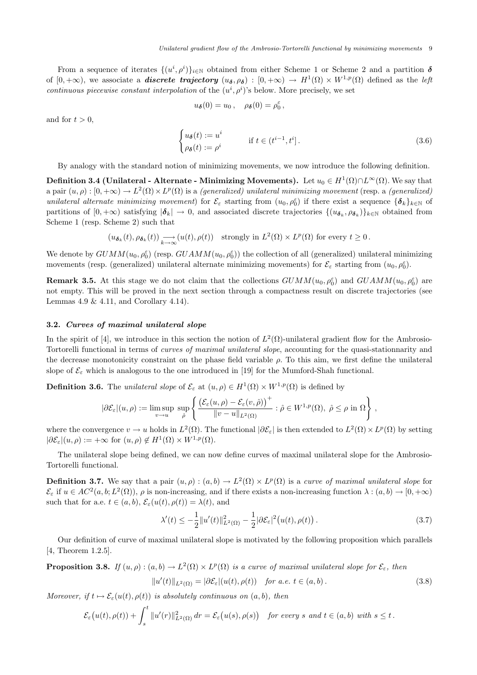From a sequence of iterates  $\{(u^i, \rho^i)\}_{i\in\mathbb{N}}$  obtained from either Scheme 1 or Scheme 2 and a partition  $\delta$ of  $[0, +\infty)$ , we associate a **discrete trajectory**  $(u_{\delta}, \rho_{\delta}) : [0, +\infty) \to H^1(\Omega) \times W^{1,p}(\Omega)$  defined as the left continuous piecewise constant interpolation of the  $(u^i, \rho^i)$ 's below. More precisely, we set

$$
u_{\boldsymbol{\delta}}(0)=u_0\,,\quad \rho_{\boldsymbol{\delta}}(0)=\rho_0^{\varepsilon}\,,
$$

and for  $t > 0$ ,

$$
\begin{cases} u_{\delta}(t) := u^{i} & \text{if } t \in (t^{i-1}, t^{i}]. \\ \rho_{\delta}(t) := \rho^{i} & \end{cases}
$$
 (3.6)

By analogy with the standard notion of minimizing movements, we now introduce the following definition.

Definition 3.4 (Unilateral - Alternate - Minimizing Movements). Let  $u_0\in H^1(\Omega)\cap L^\infty(\Omega)$ . We say that a pair  $(u, \rho) : [0, +\infty) \to L^2(\Omega) \times L^p(\Omega)$  is a *(generalized) unilateral minimizing movement* (resp. a *(generalized)* unilateral alternate minimizing movement) for  $\mathcal{E}_{\varepsilon}$  starting from  $(u_0, \rho_0^{\varepsilon})$  if there exist a sequence  $\{\boldsymbol{\delta}_k\}_{k\in\mathbb{N}}$  of partitions of  $[0, +\infty)$  satisfying  $|\boldsymbol{\delta}_k| \to 0$ , and associated discrete trajectories  $\{(u_{\boldsymbol{\delta}_k}, \rho_{\boldsymbol{\delta}_k})\}_{k\in\mathbb{N}}$  obtained from Scheme 1 (resp. Scheme 2) such that

$$
(u_{\boldsymbol{\delta}_k}(t), \rho_{\boldsymbol{\delta}_k}(t)) \underset{k \to \infty}{\longrightarrow} (u(t), \rho(t)) \quad \text{strongly in } L^2(\Omega) \times L^p(\Omega) \text{ for every } t \geq 0.
$$

We denote by  $GUMM(u_0, \rho_0^{\varepsilon})$  (resp.  $GUAMM(u_0, \rho_0^{\varepsilon}))$  the collection of all (generalized) unilateral minimizing movements (resp. (generalized) unilateral alternate minimizing movements) for  $\mathcal{E}_{\varepsilon}$  starting from  $(u_0, \rho_0^{\varepsilon})$ .

**Remark 3.5.** At this stage we do not claim that the collections  $GUMM(u_0, \rho_0^{\varepsilon})$  and  $GUAMM(u_0, \rho_0^{\varepsilon})$  are not empty. This will be proved in the next section through a compactness result on discrete trajectories (see Lemmas 4.9  $& 4.11$ , and Corollary 4.14).

### 3.2. Curves of maximal unilateral slope

In the spirit of [4], we introduce in this section the notion of  $L^2(\Omega)$ -unilateral gradient flow for the Ambrosio-Tortorelli functional in terms of curves of maximal unilateral slope, accounting for the quasi-stationnarity and the decrease monotonicity constraint on the phase field variable  $\rho$ . To this aim, we first define the unilateral slope of  $\mathcal{E}_{\varepsilon}$  which is analogous to the one introduced in [19] for the Mumford-Shah functional.

**Definition 3.6.** The unilateral slope of  $\mathcal{E}_{\varepsilon}$  at  $(u, \rho) \in H^{1}(\Omega) \times W^{1,p}(\Omega)$  is defined by

$$
|\partial \mathcal{E}_{\varepsilon}|(u,\rho) := \limsup_{v \to u} \sup_{\hat{\rho}} \left\{ \frac{\left(\mathcal{E}_{\varepsilon}(u,\rho) - \mathcal{E}_{\varepsilon}(v,\hat{\rho})\right)^{+}}{\|v - u\|_{L^{2}(\Omega)}} : \hat{\rho} \in W^{1,p}(\Omega), \ \hat{\rho} \leq \rho \text{ in } \Omega \right\},\
$$

where the convergence  $v \to u$  holds in  $L^2(\Omega)$ . The functional  $|\partial \mathcal{E}_{\varepsilon}|$  is then extended to  $L^2(\Omega) \times L^p(\Omega)$  by setting  $|\partial \mathcal{E}_{\varepsilon}|(u,\rho) := +\infty \text{ for } (u,\rho) \notin H^1(\Omega) \times W^{1,p}(\Omega).$ 

The unilateral slope being defined, we can now define curves of maximal unilateral slope for the Ambrosio-Tortorelli functional.

**Definition 3.7.** We say that a pair  $(u, \rho) : (a, b) \to L^2(\Omega) \times L^p(\Omega)$  is a curve of maximal unilateral slope for  $\mathcal{E}_{\varepsilon}$  if  $u \in AC^2(a, b; L^2(\Omega))$ ,  $\rho$  is non-increasing, and if there exists a non-increasing function  $\lambda : (a, b) \to [0, +\infty)$ such that for a.e.  $t \in (a, b), \mathcal{E}_{\varepsilon}(u(t), \rho(t)) = \lambda(t)$ , and

$$
\lambda'(t) \le -\frac{1}{2} \|u'(t)\|_{L^2(\Omega)}^2 - \frac{1}{2} |\partial \mathcal{E}_{\varepsilon}|^2 (u(t), \rho(t)). \tag{3.7}
$$

Our definition of curve of maximal unilateral slope is motivated by the following proposition which parallels [4, Theorem 1.2.5].

**Proposition 3.8.** If  $(u, \rho) : (a, b) \to L^2(\Omega) \times L^p(\Omega)$  is a curve of maximal unilateral slope for  $\mathcal{E}_{\varepsilon}$ , then

$$
||u'(t)||_{L^{2}(\Omega)} = |\partial \mathcal{E}_{\varepsilon}|(u(t), \rho(t)) \quad \text{for a.e. } t \in (a, b).
$$
 (3.8)

Moreover, if  $t \mapsto \mathcal{E}_{\varepsilon}(u(t), \rho(t))$  is absolutely continuous on  $(a, b)$ , then

$$
\mathcal{E}_{\varepsilon}(u(t),\rho(t)) + \int_{s}^{t} ||u'(r)||_{L^{2}(\Omega)}^{2} dr = \mathcal{E}_{\varepsilon}(u(s),\rho(s)) \text{ for every } s \text{ and } t \in (a,b) \text{ with } s \leq t.
$$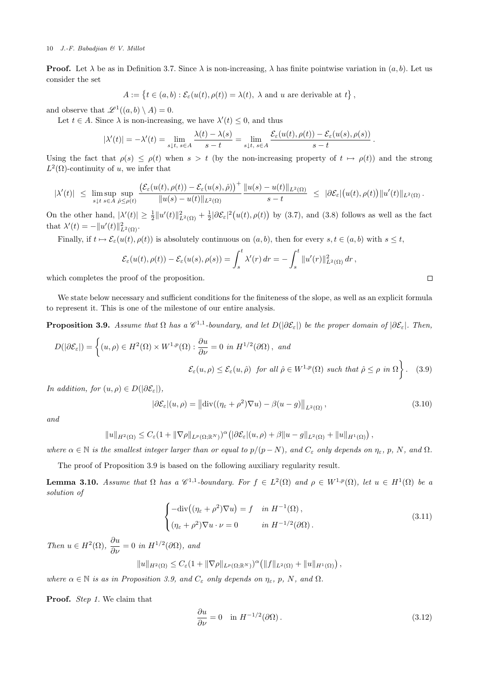**Proof.** Let  $\lambda$  be as in Definition 3.7. Since  $\lambda$  is non-increasing,  $\lambda$  has finite pointwise variation in  $(a, b)$ . Let us consider the set

$$
A := \{ t \in (a, b) : \mathcal{E}_{\varepsilon}(u(t), \rho(t)) = \lambda(t), \lambda \text{ and } u \text{ are derivable at } t \},
$$

and observe that  $\mathscr{L}^1((a, b) \setminus A) = 0$ .

Let  $t \in A$ . Since  $\lambda$  is non-increasing, we have  $\lambda'(t) \leq 0$ , and thus

$$
|\lambda'(t)| = -\lambda'(t) = \lim_{s \downarrow t, s \in A} \frac{\lambda(t) - \lambda(s)}{s - t} = \lim_{s \downarrow t, s \in A} \frac{\mathcal{E}_{\varepsilon}(u(t), \rho(t)) - \mathcal{E}_{\varepsilon}(u(s), \rho(s))}{s - t}.
$$

Using the fact that  $\rho(s) \leq \rho(t)$  when  $s > t$  (by the non-increasing property of  $t \mapsto \rho(t)$ ) and the strong  $L^2(\Omega)$ -continuity of u, we infer that

$$
|\lambda'(t)|\;\leq\;\limsup_{s\downarrow t}\sup_{s\in A}\sup_{\hat{\rho}\leq \rho(t)}\frac{\big(\mathcal{E}_\varepsilon(u(t),\rho(t))-\mathcal{E}_\varepsilon(u(s),\hat{\rho})\big)^+}{\|u(s)-u(t)\|_{L^2(\Omega)}}\;\frac{\|u(s)-u(t)\|_{L^2(\Omega)}}{s-t}\;\leq\;|\partial\mathcal{E}_\varepsilon|\big(u(t),\rho(t)\big)\|u'(t)\|_{L^2(\Omega)}\;.
$$

On the other hand,  $|\lambda'(t)| \geq \frac{1}{2} ||u'(t)||^2_{L^2(\Omega)} + \frac{1}{2} |\partial \mathcal{E}_{\varepsilon}|^2(u(t), \rho(t))$  by (3.7), and (3.8) follows as well as the fact that  $\lambda'(t) = -||u'(t)||_{L^2(\Omega)}^2$ .

Finally, if  $t \mapsto \mathcal{E}_{\varepsilon}(u(t), \rho(t))$  is absolutely continuous on  $(a, b)$ , then for every  $s, t \in (a, b)$  with  $s \leq t$ ,

$$
\mathcal{E}_{\varepsilon}(u(t), \rho(t)) - \mathcal{E}_{\varepsilon}(u(s), \rho(s)) = \int_{s}^{t} \lambda'(r) dr = - \int_{s}^{t} ||u'(r)||_{L^{2}(\Omega)}^{2} dr,
$$

which completes the proof of the proposition.

We state below necessary and sufficient conditions for the finiteness of the slope, as well as an explicit formula to represent it. This is one of the milestone of our entire analysis.

**Proposition 3.9.** Assume that  $\Omega$  has a  $\mathscr{C}^{1,1}$ -boundary, and let  $D(|\partial \mathcal{E}_{\varepsilon}|)$  be the proper domain of  $|\partial \mathcal{E}_{\varepsilon}|$ . Then,

$$
D(|\partial \mathcal{E}_{\varepsilon}|) = \left\{ (u, \rho) \in H^{2}(\Omega) \times W^{1, p}(\Omega) : \frac{\partial u}{\partial \nu} = 0 \text{ in } H^{1/2}(\partial \Omega), \text{ and}
$$
  

$$
\mathcal{E}_{\varepsilon}(u, \rho) \le \mathcal{E}_{\varepsilon}(u, \hat{\rho}) \text{ for all } \hat{\rho} \in W^{1, p}(\Omega) \text{ such that } \hat{\rho} \le \rho \text{ in } \Omega \right\}. \quad (3.9)
$$

In addition, for  $(u, \rho) \in D(|\partial \mathcal{E}_{\varepsilon}|),$ 

$$
|\partial \mathcal{E}_{\varepsilon}|(u,\rho) = ||\text{div}((\eta_{\varepsilon} + \rho^2)\nabla u) - \beta(u-g)||_{L^2(\Omega)},
$$
\n(3.10)

 $\Box$ 

and

$$
||u||_{H^2(\Omega)} \leq C_{\varepsilon} (1+||\nabla \rho||_{L^p(\Omega;\mathbb{R}^N)})^{\alpha} \left( |\partial \mathcal{E}_{\varepsilon}|(u,\rho) + \beta ||u - g||_{L^2(\Omega)} + ||u||_{H^1(\Omega)} \right),
$$

where  $\alpha \in \mathbb{N}$  is the smallest integer larger than or equal to  $p/(p-N)$ , and  $C_{\varepsilon}$  only depends on  $\eta_{\varepsilon}$ , p, N, and  $\Omega$ .

The proof of Proposition 3.9 is based on the following auxiliary regularity result.

**Lemma 3.10.** Assume that  $\Omega$  has a  $\mathscr{C}^{1,1}$ -boundary. For  $f \in L^2(\Omega)$  and  $\rho \in W^{1,p}(\Omega)$ , let  $u \in H^1(\Omega)$  be a solution of

$$
\begin{cases}\n-\text{div}\left((\eta_{\varepsilon}+\rho^{2})\nabla u\right)=f & \text{in } H^{-1}(\Omega), \\
(\eta_{\varepsilon}+\rho^{2})\nabla u\cdot\nu=0 & \text{in } H^{-1/2}(\partial\Omega).\n\end{cases}
$$
\n(3.11)

Then  $u \in H^2(\Omega)$ ,  $\frac{\partial u}{\partial \nu} = 0$  in  $H^{1/2}(\partial \Omega)$ , and

$$
||u||_{H^2(\Omega)} \leq C_{\varepsilon} (1+||\nabla \rho||_{L^p(\Omega; \mathbb{R}^N)})^{\alpha} (||f||_{L^2(\Omega)} + ||u||_{H^1(\Omega)}),
$$

where  $\alpha \in \mathbb{N}$  is as in Proposition 3.9, and  $C_{\varepsilon}$  only depends on  $\eta_{\varepsilon}$ , p, N, and  $\Omega$ .

Proof. Step 1. We claim that

$$
\frac{\partial u}{\partial \nu} = 0 \quad \text{in } H^{-1/2}(\partial \Omega). \tag{3.12}
$$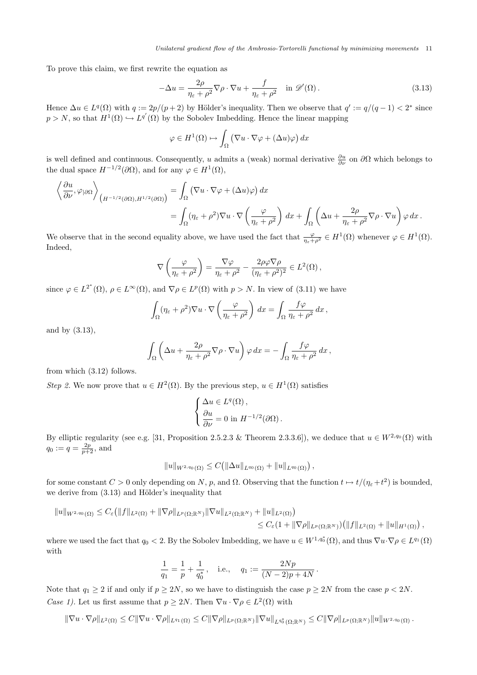To prove this claim, we first rewrite the equation as

$$
-\Delta u = \frac{2\rho}{\eta_{\varepsilon} + \rho^2} \nabla \rho \cdot \nabla u + \frac{f}{\eta_{\varepsilon} + \rho^2} \quad \text{in } \mathscr{D}'(\Omega). \tag{3.13}
$$

Hence  $\Delta u \in L^q(\Omega)$  with  $q := 2p/(p+2)$  by Hölder's inequality. Then we observe that  $q' := q/(q-1) < 2^*$  since  $p > N$ , so that  $H^1(\Omega) \hookrightarrow L^{q'}(\Omega)$  by the Sobolev Imbedding. Hence the linear mapping

$$
\varphi \in H^1(\Omega) \mapsto \int_{\Omega} (\nabla u \cdot \nabla \varphi + (\Delta u) \varphi) dx
$$

is well defined and continuous. Consequently, u admits a (weak) normal derivative  $\frac{\partial u}{\partial \nu}$  on  $\partial \Omega$  which belongs to the dual space  $H^{-1/2}(\partial\Omega)$ , and for any  $\varphi \in H^1(\Omega)$ ,

$$
\left\langle \frac{\partial u}{\partial \nu}, \varphi_{|\partial \Omega} \right\rangle_{\left(H^{-1/2}(\partial \Omega), H^{1/2}(\partial \Omega)\right)} = \int_{\Omega} \left( \nabla u \cdot \nabla \varphi + (\Delta u) \varphi \right) dx
$$
  
= 
$$
\int_{\Omega} (\eta_{\varepsilon} + \rho^2) \nabla u \cdot \nabla \left( \frac{\varphi}{\eta_{\varepsilon} + \rho^2} \right) dx + \int_{\Omega} \left( \Delta u + \frac{2\rho}{\eta_{\varepsilon} + \rho^2} \nabla \rho \cdot \nabla u \right) \varphi dx.
$$

We observe that in the second equality above, we have used the fact that  $\frac{\varphi}{\eta_{\varepsilon}+\rho^2} \in H^1(\Omega)$  whenever  $\varphi \in H^1(\Omega)$ . Indeed,

$$
\nabla \left( \frac{\varphi}{\eta_{\varepsilon} + \rho^2} \right) = \frac{\nabla \varphi}{\eta_{\varepsilon} + \rho^2} - \frac{2\rho \varphi \nabla \rho}{(\eta_{\varepsilon} + \rho^2)^2} \in L^2(\Omega),
$$

since  $\varphi \in L^{2^*}(\Omega)$ ,  $\rho \in L^{\infty}(\Omega)$ , and  $\nabla \rho \in L^p(\Omega)$  with  $p > N$ . In view of (3.11) we have

$$
\int_{\Omega} (\eta_{\varepsilon} + \rho^2) \nabla u \cdot \nabla \left( \frac{\varphi}{\eta_{\varepsilon} + \rho^2} \right) dx = \int_{\Omega} \frac{f \varphi}{\eta_{\varepsilon} + \rho^2} dx,
$$

and by (3.13),

$$
\int_{\Omega} \left( \Delta u + \frac{2\rho}{\eta_{\varepsilon} + \rho^2} \nabla \rho \cdot \nabla u \right) \varphi \, dx = - \int_{\Omega} \frac{f \varphi}{\eta_{\varepsilon} + \rho^2} \, dx \,,
$$

from which (3.12) follows.

Step 2. We now prove that  $u \in H^2(\Omega)$ . By the previous step,  $u \in H^1(\Omega)$  satisfies

$$
\begin{cases} \Delta u \in L^q(\Omega), \\ \frac{\partial u}{\partial \nu} = 0 \text{ in } H^{-1/2}(\partial \Omega). \end{cases}
$$

By elliptic regularity (see e.g. [31, Proposition 2.5.2.3 & Theorem 2.3.3.6]), we deduce that  $u \in W^{2,q_0}(\Omega)$  with  $q_0 := q = \frac{2p}{p+2}, \text{ and}$ 

$$
||u||_{W^{2,q_0}(\Omega)} \leq C(||\Delta u||_{L^{q_0}(\Omega)} + ||u||_{L^{q_0}(\Omega)}) ,
$$

for some constant  $C > 0$  only depending on N, p, and  $\Omega$ . Observing that the function  $t \mapsto t/(\eta_{\varepsilon} + t^2)$  is bounded, we derive from  $(3.13)$  and Hölder's inequality that

$$
||u||_{W^{2,q_0}(\Omega)} \leq C_{\varepsilon} (||f||_{L^2(\Omega)} + ||\nabla \rho||_{L^p(\Omega; \mathbb{R}^N)} ||\nabla u||_{L^2(\Omega; \mathbb{R}^N)} + ||u||_{L^2(\Omega)} )\n\leq C_{\varepsilon} (1 + ||\nabla \rho||_{L^p(\Omega; \mathbb{R}^N)}) (||f||_{L^2(\Omega)} + ||u||_{H^1(\Omega)}),
$$

where we used the fact that  $q_0 < 2$ . By the Sobolev Imbedding, we have  $u \in W^{1,q_0^*}(\Omega)$ , and thus  $\nabla u \cdot \nabla \rho \in L^{q_1}(\Omega)$ with

$$
\frac{1}{q_1} = \frac{1}{p} + \frac{1}{q_0^*}, \quad \text{i.e.,} \quad q_1 := \frac{2Np}{(N-2)p + 4N}
$$

.

Note that  $q_1 \geq 2$  if and only if  $p \geq 2N$ , so we have to distinguish the case  $p \geq 2N$  from the case  $p < 2N$ . *Case 1*). Let us first assume that  $p \geq 2N$ . Then  $\nabla u \cdot \nabla \rho \in L^2(\Omega)$  with

$$
\|\nabla u\cdot\nabla\rho\|_{L^2(\Omega)}\leq C\|\nabla u\cdot\nabla\rho\|_{L^{q_1}(\Omega)}\leq C\|\nabla\rho\|_{L^p(\Omega;\mathbb{R}^N)}\|\nabla u\|_{L^{q_0^*}(\Omega;\mathbb{R}^N)}\leq C\|\nabla\rho\|_{L^p(\Omega;\mathbb{R}^N)}\|u\|_{W^{2,q_0}(\Omega)}\,.
$$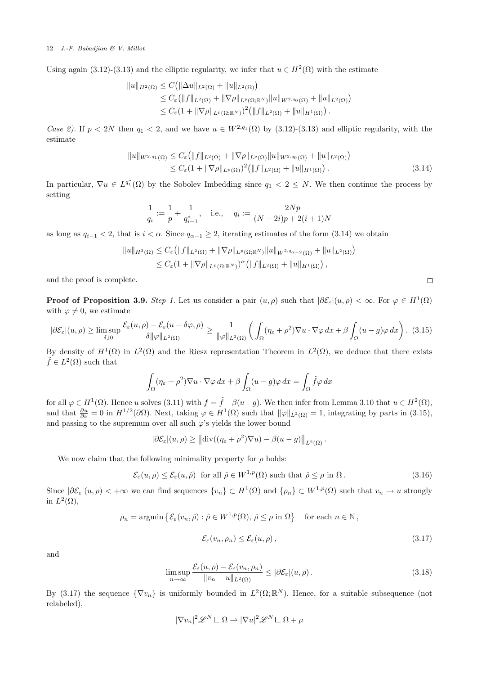Using again (3.12)-(3.13) and the elliptic regularity, we infer that  $u \in H^2(\Omega)$  with the estimate

$$
||u||_{H^2(\Omega)} \leq C(||\Delta u||_{L^2(\Omega)} + ||u||_{L^2(\Omega)})
$$
  
\n
$$
\leq C_{\varepsilon} (||f||_{L^2(\Omega)} + ||\nabla \rho||_{L^p(\Omega; \mathbb{R}^N)} ||u||_{W^{2,q_0}(\Omega)} + ||u||_{L^2(\Omega)})
$$
  
\n
$$
\leq C_{\varepsilon} (1 + ||\nabla \rho||_{L^p(\Omega; \mathbb{R}^N)})^2 (||f||_{L^2(\Omega)} + ||u||_{H^1(\Omega)}).
$$

Case 2). If  $p < 2N$  then  $q_1 < 2$ , and we have  $u \in W^{2,q_1}(\Omega)$  by (3.12)-(3.13) and elliptic regularity, with the estimate

$$
||u||_{W^{2,q_1}(\Omega)} \leq C_{\varepsilon} (||f||_{L^2(\Omega)} + ||\nabla \rho||_{L^p(\Omega)} ||u||_{W^{2,q_0}(\Omega)} + ||u||_{L^2(\Omega)})
$$
  
 
$$
\leq C_{\varepsilon} (1 + ||\nabla \rho||_{L^p(\Omega)})^2 (||f||_{L^2(\Omega)} + ||u||_{H^1(\Omega)}).
$$
 (3.14)

In particular,  $\nabla u \in L^{q^*}(\Omega)$  by the Sobolev Imbedding since  $q_1 < 2 \leq N$ . We then continue the process by setting

$$
\frac{1}{q_i} := \frac{1}{p} + \frac{1}{q_{i-1}^*}, \quad \text{i.e.,} \quad q_i := \frac{2Np}{(N-2i)p + 2(i+1)N}
$$

as long as  $q_{i-1} < 2$ , that is  $i < \alpha$ . Since  $q_{\alpha-1} \geq 2$ , iterating estimates of the form (3.14) we obtain

$$
||u||_{H^{2}(\Omega)} \leq C_{\varepsilon} (||f||_{L^{2}(\Omega)} + ||\nabla \rho||_{L^{p}(\Omega; \mathbb{R}^{N})} ||u||_{W^{2,q_{\alpha-2}}(\Omega)} + ||u||_{L^{2}(\Omega)})
$$
  
 
$$
\leq C_{\varepsilon} (1 + ||\nabla \rho||_{L^{p}(\Omega; \mathbb{R}^{N})})^{\alpha} (||f||_{L^{2}(\Omega)} + ||u||_{H^{1}(\Omega)}),
$$

and the proof is complete.

**Proof of Proposition 3.9.** Step 1. Let us consider a pair  $(u, \rho)$  such that  $|\partial \mathcal{E}_{\varepsilon}|(u, \rho) < \infty$ . For  $\varphi \in H^1(\Omega)$ with  $\varphi \neq 0$ , we estimate

$$
|\partial \mathcal{E}_{\varepsilon}|(u,\rho) \ge \limsup_{\delta \downarrow 0} \frac{\mathcal{E}_{\varepsilon}(u,\rho) - \mathcal{E}_{\varepsilon}(u - \delta \varphi, \rho)}{\delta \|\varphi\|_{L^2(\Omega)}} \ge \frac{1}{\|\varphi\|_{L^2(\Omega)}} \bigg( \int_{\Omega} (\eta_{\varepsilon} + \rho^2) \nabla u \cdot \nabla \varphi \, dx + \beta \int_{\Omega} (u - g) \varphi \, dx \bigg). \tag{3.15}
$$

By density of  $H^1(\Omega)$  in  $L^2(\Omega)$  and the Riesz representation Theorem in  $L^2(\Omega)$ , we deduce that there exists  $\tilde{f} \in L^2(\Omega)$  such that

$$
\int_{\Omega} (\eta_{\varepsilon} + \rho^2) \nabla u \cdot \nabla \varphi \, dx + \beta \int_{\Omega} (u - g) \varphi \, dx = \int_{\Omega} \tilde{f} \varphi \, dx
$$

for all  $\varphi \in H^1(\Omega)$ . Hence u solves (3.11) with  $f = \tilde{f} - \beta(u - g)$ . We then infer from Lemma 3.10 that  $u \in H^2(\Omega)$ , and that  $\frac{\partial u}{\partial \nu} = 0$  in  $H^{1/2}(\partial \Omega)$ . Next, taking  $\varphi \in H^1(\Omega)$  such that  $\|\varphi\|_{L^2(\Omega)} = 1$ , integrating by parts in (3.15), and passing to the supremum over all such  $\varphi$ 's yields the lower bound

$$
|\partial \mathcal{E}_{\varepsilon}|(u,\rho) \ge ||\text{div}((\eta_{\varepsilon} + \rho^2)\nabla u) - \beta(u - g)||_{L^2(\Omega)}.
$$

We now claim that the following minimality property for  $\rho$  holds:

$$
\mathcal{E}_{\varepsilon}(u,\rho) \le \mathcal{E}_{\varepsilon}(u,\hat{\rho}) \quad \text{for all } \hat{\rho} \in W^{1,p}(\Omega) \text{ such that } \hat{\rho} \le \rho \text{ in } \Omega. \tag{3.16}
$$

Since  $|\partial \mathcal{E}_{\varepsilon}|(u,\rho) < +\infty$  we can find sequences  $\{v_n\} \subset H^1(\Omega)$  and  $\{\rho_n\} \subset W^{1,p}(\Omega)$  such that  $v_n \to u$  strongly in  $L^2(\Omega)$ ,

$$
\rho_n = \operatorname{argmin} \left\{ \mathcal{E}_{\varepsilon}(v_n, \hat{\rho}) : \hat{\rho} \in W^{1, p}(\Omega), \, \hat{\rho} \le \rho \text{ in } \Omega \right\} \quad \text{for each } n \in \mathbb{N},
$$
  

$$
\mathcal{E}_{\varepsilon}(v_n, \rho_n) \le \mathcal{E}_{\varepsilon}(u, \rho), \tag{3.17}
$$

and

$$
\limsup_{n \to \infty} \frac{\mathcal{E}_{\varepsilon}(u,\rho) - \mathcal{E}_{\varepsilon}(v_n,\rho_n)}{\|v_n - u\|_{L^2(\Omega)}} \le |\partial \mathcal{E}_{\varepsilon}|(u,\rho). \tag{3.18}
$$

By (3.17) the sequence  $\{\nabla v_n\}$  is uniformly bounded in  $L^2(\Omega;\mathbb{R}^N)$ . Hence, for a suitable subsequence (not relabeled),

$$
|\nabla v_n|^2 \mathscr{L}^N \mathbb{L} \Omega \rightharpoonup |\nabla u|^2 \mathscr{L}^N \mathbb{L} \Omega + \mu
$$

 $\Box$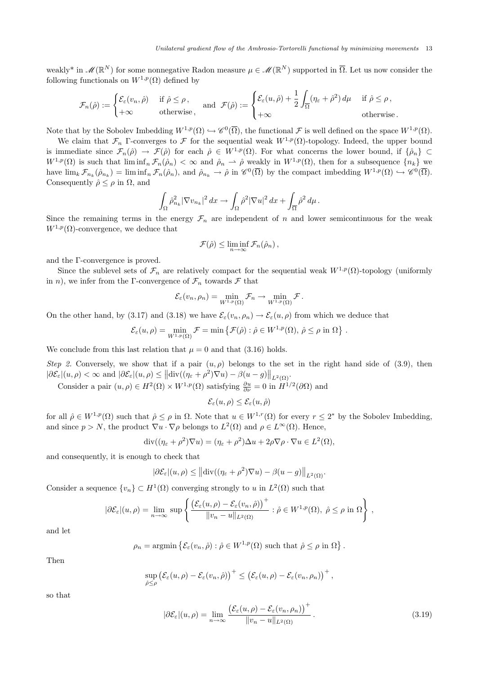weakly<sup>\*</sup> in  $\mathscr{M}(\mathbb{R}^N)$  for some nonnegative Radon measure  $\mu \in \mathscr{M}(\mathbb{R}^N)$  supported in  $\overline{\Omega}$ . Let us now consider the following functionals on  $W^{1,p}(\Omega)$  defined by

$$
\mathcal{F}_n(\hat{\rho}) := \begin{cases} \mathcal{E}_{\varepsilon}(v_n, \hat{\rho}) & \text{if } \hat{\rho} \leq \rho, \\ +\infty & \text{otherwise}, \end{cases} \text{ and } \mathcal{F}(\hat{\rho}) := \begin{cases} \mathcal{E}_{\varepsilon}(u, \hat{\rho}) + \frac{1}{2} \int_{\overline{\Omega}} (\eta_{\varepsilon} + \hat{\rho}^2) d\mu & \text{if } \hat{\rho} \leq \rho, \\ +\infty & \text{otherwise}. \end{cases}
$$

Note that by the Sobolev Imbedding  $W^{1,p}(\Omega) \hookrightarrow \mathscr{C}^0(\overline{\Omega})$ , the functional  $\mathcal F$  is well defined on the space  $W^{1,p}(\Omega)$ .

We claim that  $\mathcal{F}_n$  Γ-converges to  $\mathcal F$  for the sequential weak  $W^{1,p}(\Omega)$ -topology. Indeed, the upper bound is immediate since  $\mathcal{F}_n(\hat{\rho}) \to \mathcal{F}(\hat{\rho})$  for each  $\hat{\rho} \in W^{1,p}(\Omega)$ . For what concerns the lower bound, if  $\{\hat{\rho}_n\} \subset$  $W^{1,p}(\Omega)$  is such that  $\liminf_n \mathcal{F}_n(\hat{\rho}_n) < \infty$  and  $\hat{\rho}_n \to \hat{\rho}$  weakly in  $W^{1,p}(\Omega)$ , then for a subsequence  $\{n_k\}$  we have  $\lim_{k} \mathcal{F}_{n_k}(\hat{\rho}_{n_k}) = \liminf_{n} \mathcal{F}_n(\hat{\rho}_n)$ , and  $\hat{\rho}_{n_k} \to \hat{\rho}$  in  $\mathscr{C}^0(\overline{\Omega})$  by the compact imbedding  $W^{1,p}(\Omega) \hookrightarrow \mathscr{C}^0(\overline{\Omega})$ . Consequently  $\hat{\rho} \leq \rho$  in  $\Omega$ , and

$$
\int_{\Omega} \hat{\rho}_{n_k}^2 |\nabla v_{n_k}|^2 dx \to \int_{\Omega} \hat{\rho}^2 |\nabla u|^2 dx + \int_{\overline{\Omega}} \hat{\rho}^2 d\mu.
$$

Since the remaining terms in the energy  $\mathcal{F}_n$  are independent of n and lower semicontinuous for the weak  $W^{1,p}(\Omega)$ -convergence, we deduce that

$$
\mathcal{F}(\hat{\rho}) \leq \liminf_{n \to \infty} \mathcal{F}_n(\hat{\rho}_n),
$$

and the Γ-convergence is proved.

Since the sublevel sets of  $\mathcal{F}_n$  are relatively compact for the sequential weak  $W^{1,p}(\Omega)$ -topology (uniformly in n), we infer from the Γ-convergence of  $\mathcal{F}_n$  towards  $\mathcal F$  that

$$
\mathcal{E}_{\varepsilon}(v_n,\rho_n)=\min_{W^{1,p}(\Omega)}\mathcal{F}_n\to\min_{W^{1,p}(\Omega)}\mathcal{F}.
$$

On the other hand, by (3.17) and (3.18) we have  $\mathcal{E}_{\varepsilon}(v_n, \rho_n) \to \mathcal{E}_{\varepsilon}(u, \rho)$  from which we deduce that

$$
\mathcal{E}_{\varepsilon}(u,\rho)=\min_{W^{1,p}(\Omega)}\mathcal{F}=\min\left\{\mathcal{F}(\hat{\rho}): \hat{\rho}\in W^{1,p}(\Omega),\,\hat{\rho}\leq\rho\,\,\text{in}\,\,\Omega\right\}\,.
$$

We conclude from this last relation that  $\mu = 0$  and that (3.16) holds.

Step 2. Conversely, we show that if a pair  $(u, \rho)$  belongs to the set in the right hand side of (3.9), then  $|\partial \mathcal{E}_{\varepsilon}|(u,\rho) < \infty$  and  $|\partial \mathcal{E}_{\varepsilon}|(u,\rho) \leq ||\text{div}((\eta_{\varepsilon}+\rho^2)\nabla u) - \beta(u-g)||_{L^2(\Omega)}$ .

Consider a pair  $(u, \rho) \in H^2(\Omega) \times W^{1,p}(\Omega)$  satisfying  $\frac{\partial u}{\partial \nu} = 0$  in  $H^{1/2}(\partial \Omega)$  and

$$
\mathcal{E}_{\varepsilon}(u,\rho) \le \mathcal{E}_{\varepsilon}(u,\hat{\rho})
$$

for all  $\hat{\rho} \in W^{1,p}(\Omega)$  such that  $\hat{\rho} \leq \rho$  in  $\Omega$ . Note that  $u \in W^{1,r}(\Omega)$  for every  $r \leq 2^*$  by the Sobolev Imbedding, and since  $p > N$ , the product  $\nabla u \cdot \nabla \rho$  belongs to  $L^2(\Omega)$  and  $\rho \in L^{\infty}(\Omega)$ . Hence,

$$
\operatorname{div}((\eta_{\varepsilon} + \rho^2) \nabla u) = (\eta_{\varepsilon} + \rho^2) \Delta u + 2\rho \nabla \rho \cdot \nabla u \in L^2(\Omega),
$$

and consequently, it is enough to check that

$$
|\partial \mathcal{E}_{\varepsilon}|(u,\rho) \leq ||\text{div}((\eta_{\varepsilon} + \rho^2)\nabla u) - \beta(u - g)||_{L^2(\Omega)}.
$$

Consider a sequence  $\{v_n\} \subset H^1(\Omega)$  converging strongly to u in  $L^2(\Omega)$  such that

$$
|\partial \mathcal{E}_{\varepsilon}|(u,\rho) = \lim_{n \to \infty} \sup \left\{ \frac{\left(\mathcal{E}_{\varepsilon}(u,\rho) - \mathcal{E}_{\varepsilon}(v_n,\hat{\rho})\right)^{+}}{\|v_n - u\|_{L^2(\Omega)}} : \hat{\rho} \in W^{1,p}(\Omega), \ \hat{\rho} \le \rho \text{ in } \Omega \right\},\
$$

and let

$$
\rho_n = \operatorname{argmin} \left\{ \mathcal{E}_{\varepsilon}(v_n, \hat{\rho}) : \hat{\rho} \in W^{1, p}(\Omega) \text{ such that } \hat{\rho} \le \rho \text{ in } \Omega \right\}.
$$

Then

$$
\sup_{\hat{\rho}\leq \rho} \left(\mathcal{E}_{\varepsilon}(u,\rho)-\mathcal{E}_{\varepsilon}(v_n,\hat{\rho})\right)^{+} \leq \left(\mathcal{E}_{\varepsilon}(u,\rho)-\mathcal{E}_{\varepsilon}(v_n,\rho_n)\right)^{+},
$$

so that

$$
|\partial \mathcal{E}_{\varepsilon}|(u,\rho) = \lim_{n \to \infty} \frac{\left(\mathcal{E}_{\varepsilon}(u,\rho) - \mathcal{E}_{\varepsilon}(v_n,\rho_n)\right)^+}{\|v_n - u\|_{L^2(\Omega)}}.
$$
\n(3.19)

 $+$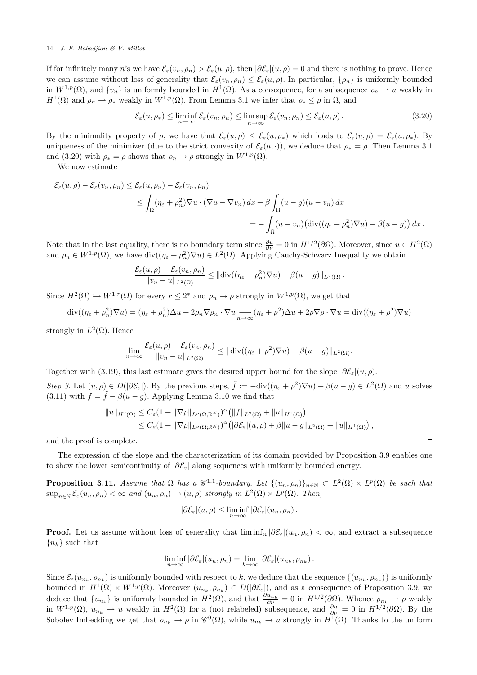If for infinitely many n's we have  $\mathcal{E}_{\varepsilon}(v_n, \rho_n) > \mathcal{E}_{\varepsilon}(u, \rho)$ , then  $|\partial \mathcal{E}_{\varepsilon}|(u, \rho) = 0$  and there is nothing to prove. Hence we can assume without loss of generality that  $\mathcal{E}_{\varepsilon}(v_n, \rho_n) \leq \mathcal{E}_{\varepsilon}(u, \rho)$ . In particular,  $\{\rho_n\}$  is uniformly bounded in  $W^{1,p}(\Omega)$ , and  $\{v_n\}$  is uniformly bounded in  $H^1(\Omega)$ . As a consequence, for a subsequence  $v_n \rightharpoonup u$  weakly in  $H^1(\Omega)$  and  $\rho_n \rightharpoonup \rho_*$  weakly in  $W^{1,p}(\Omega)$ . From Lemma 3.1 we infer that  $\rho_* \leq \rho$  in  $\Omega$ , and

$$
\mathcal{E}_{\varepsilon}(u,\rho_{*}) \le \liminf_{n \to \infty} \mathcal{E}_{\varepsilon}(v_n,\rho_n) \le \limsup_{n \to \infty} \mathcal{E}_{\varepsilon}(v_n,\rho_n) \le \mathcal{E}_{\varepsilon}(u,\rho).
$$
\n(3.20)

By the minimality property of  $\rho$ , we have that  $\mathcal{E}_{\varepsilon}(u,\rho) \leq \mathcal{E}_{\varepsilon}(u,\rho_*)$  which leads to  $\mathcal{E}_{\varepsilon}(u,\rho) = \mathcal{E}_{\varepsilon}(u,\rho_*)$ . By uniqueness of the minimizer (due to the strict convexity of  $\mathcal{E}_{\varepsilon}(u, \cdot)$ ), we deduce that  $\rho_* = \rho$ . Then Lemma 3.1 and (3.20) with  $\rho_* = \rho$  shows that  $\rho_n \to \rho$  strongly in  $W^{1,p}(\Omega)$ .

We now estimate

$$
\mathcal{E}_{\varepsilon}(u,\rho) - \mathcal{E}_{\varepsilon}(v_n,\rho_n) \leq \mathcal{E}_{\varepsilon}(u,\rho_n) - \mathcal{E}_{\varepsilon}(v_n,\rho_n)
$$
  

$$
\leq \int_{\Omega} (\eta_{\varepsilon} + \rho_n^2) \nabla u \cdot (\nabla u - \nabla v_n) dx + \beta \int_{\Omega} (u - g)(u - v_n) dx
$$
  

$$
= - \int_{\Omega} (u - v_n) (\text{div}((\eta_{\varepsilon} + \rho_n^2) \nabla u) - \beta(u - g)) dx.
$$

Note that in the last equality, there is no boundary term since  $\frac{\partial u}{\partial \nu} = 0$  in  $H^{1/2}(\partial\Omega)$ . Moreover, since  $u \in H^2(\Omega)$ and  $\rho_n \in W^{1,p}(\Omega)$ , we have  $\text{div}((\eta_{\varepsilon} + \rho_n^2) \nabla u) \in L^2(\Omega)$ . Applying Cauchy-Schwarz Inequality we obtain

$$
\frac{\mathcal{E}_{\varepsilon}(u,\rho)-\mathcal{E}_{\varepsilon}(v_n,\rho_n)}{\|v_n-u\|_{L^2(\Omega)}} \leq \|\text{div}((\eta_{\varepsilon}+\rho_n^2)\nabla u)-\beta(u-g)\|_{L^2(\Omega)}.
$$

Since  $H^2(\Omega) \hookrightarrow W^{1,r}(\Omega)$  for every  $r \leq 2^*$  and  $\rho_n \to \rho$  strongly in  $W^{1,p}(\Omega)$ , we get that

$$
\operatorname{div}((\eta_{\varepsilon} + \rho_n^2) \nabla u) = (\eta_{\varepsilon} + \rho_n^2) \Delta u + 2\rho_n \nabla \rho_n \cdot \nabla u \xrightarrow[n \to \infty]{} (\eta_{\varepsilon} + \rho^2) \Delta u + 2\rho \nabla \rho \cdot \nabla u = \operatorname{div}((\eta_{\varepsilon} + \rho^2) \nabla u)
$$

strongly in  $L^2(\Omega)$ . Hence

$$
\lim_{n\to\infty}\frac{\mathcal{E}_{\varepsilon}(u,\rho)-\mathcal{E}_{\varepsilon}(v_n,\rho_n)}{\|v_n-u\|_{L^2(\Omega)}}\leq \|\text{div}((\eta_{\varepsilon}+\rho^2)\nabla u)-\beta(u-g)\|_{L^2(\Omega)}.
$$

Together with (3.19), this last estimate gives the desired upper bound for the slope  $|\partial \mathcal{E}_{\varepsilon}|(u,\rho)|$ .

Step 3. Let  $(u, \rho) \in D(|\partial \mathcal{E}_{\varepsilon}|)$ . By the previous steps,  $\tilde{f} := -\text{div}((\eta_{\varepsilon} + \rho^2) \nabla u) + \beta(u - g) \in L^2(\Omega)$  and u solves (3.11) with  $f = \tilde{f} - \beta(u - g)$ . Applying Lemma 3.10 we find that

$$
||u||_{H^2(\Omega)} \leq C_{\varepsilon} (1+||\nabla \rho||_{L^p(\Omega;\mathbb{R}^N)})^{\alpha} (||f||_{L^2(\Omega)}+||u||_{H^1(\Omega)})
$$
  
 
$$
\leq C_{\varepsilon} (1+||\nabla \rho||_{L^p(\Omega;\mathbb{R}^N)})^{\alpha} (|\partial \mathcal{E}_{\varepsilon}|(u,\rho)+\beta||u-g||_{L^2(\Omega)}+||u||_{H^1(\Omega)}),
$$

and the proof is complete.

The expression of the slope and the characterization of its domain provided by Proposition 3.9 enables one to show the lower semicontinuity of  $|\partial \mathcal{E}_{\varepsilon}|$  along sequences with uniformly bounded energy.

**Proposition 3.11.** Assume that  $\Omega$  has a  $\mathscr{C}^{1,1}$ -boundary. Let  $\{(u_n,\rho_n)\}_{n\in\mathbb{N}}\subset L^2(\Omega)\times L^p(\Omega)$  be such that  $\sup_{n\in\mathbb{N}}\mathcal{E}_{\varepsilon}(u_n,\rho_n)<\infty$  and  $(u_n,\rho_n)\to(u,\rho)$  strongly in  $L^2(\Omega)\times L^p(\Omega)$ . Then,

$$
|\partial \mathcal{E}_{\varepsilon}|(u,\rho) \leq \liminf_{n \to \infty} |\partial \mathcal{E}_{\varepsilon}|(u_n,\rho_n).
$$

**Proof.** Let us assume without loss of generality that  $\liminf_n |\partial \mathcal{E}_\varepsilon|(u_n, \rho_n)| < \infty$ , and extract a subsequence  ${n_k}$  such that

$$
\liminf_{n\to\infty} |\partial \mathcal{E}_{\varepsilon}|(u_n,\rho_n) = \lim_{k\to\infty} |\partial \mathcal{E}_{\varepsilon}|(u_{n_k},\rho_{n_k}).
$$

Since  $\mathcal{E}_{\varepsilon}(u_{n_k}, \rho_{n_k})$  is uniformly bounded with respect to k, we deduce that the sequence  $\{(u_{n_k}, \rho_{n_k})\}$  is uniformly bounded in  $H^1(\Omega) \times W^{1,p}(\Omega)$ . Moreover  $(u_{n_k}, \rho_{n_k}) \in D(|\partial \mathcal{E}_{\varepsilon}|)$ , and as a consequence of Proposition 3.9, we deduce that  $\{u_{n_k}\}\$ is uniformly bounded in  $H^2(\Omega)$ , and that  $\frac{\partial u_{n_k}}{\partial \nu} = 0$  in  $H^{1/2}(\partial \Omega)$ . Whence  $\rho_{n_k} \rightharpoonup \rho$  weakly in  $W^{1,p}(\Omega)$ ,  $u_{n_k} \rightharpoonup u$  weakly in  $H^2(\Omega)$  for a (not relabeled) subsequence, and  $\frac{\partial u}{\partial \nu} = 0$  in  $H^{1/2}(\partial \Omega)$ . By the Sobolev Imbedding we get that  $\rho_{n_k} \to \rho$  in  $\mathscr{C}^0(\overline{\Omega})$ , while  $u_{n_k} \to u$  strongly in  $H^1(\Omega)$ . Thanks to the uniform

 $\Box$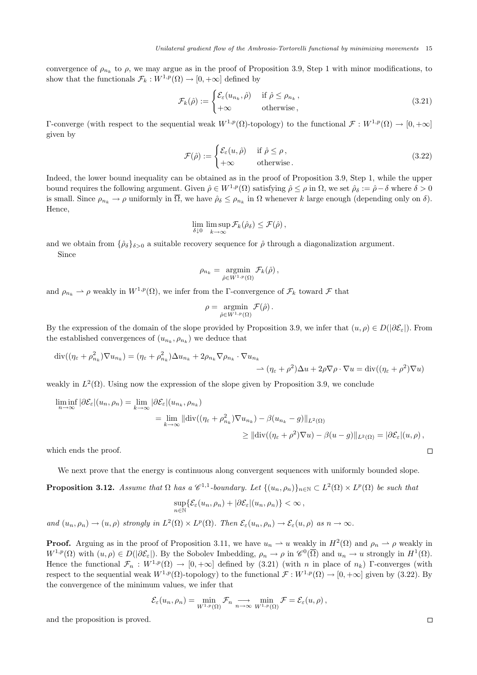convergence of  $\rho_{n_k}$  to  $\rho$ , we may argue as in the proof of Proposition 3.9, Step 1 with minor modifications, to show that the functionals  $\mathcal{F}_k : W^{1,p}(\Omega) \to [0, +\infty]$  defined by

$$
\mathcal{F}_k(\hat{\rho}) := \begin{cases} \mathcal{E}_{\varepsilon}(u_{n_k}, \hat{\rho}) & \text{if } \hat{\rho} \le \rho_{n_k}, \\ +\infty & \text{otherwise}, \end{cases}
$$
\n(3.21)

Γ-converge (with respect to the sequential weak  $W^{1,p}(\Omega)$ -topology) to the functional  $\mathcal{F}: W^{1,p}(\Omega) \to [0, +\infty]$ given by

$$
\mathcal{F}(\hat{\rho}) := \begin{cases} \mathcal{E}_{\varepsilon}(u,\hat{\rho}) & \text{if } \hat{\rho} \leq \rho, \\ +\infty & \text{otherwise.} \end{cases}
$$
 (3.22)

Indeed, the lower bound inequality can be obtained as in the proof of Proposition 3.9, Step 1, while the upper bound requires the following argument. Given  $\hat{\rho} \in W^{1,p}(\Omega)$  satisfying  $\hat{\rho} \leq \rho$  in  $\Omega$ , we set  $\hat{\rho}_{\delta} := \hat{\rho} - \delta$  where  $\delta > 0$ is small. Since  $\rho_{n_k} \to \rho$  uniformly in  $\Omega$ , we have  $\hat{\rho}_{\delta} \leq \rho_{n_k}$  in  $\Omega$  whenever k large enough (depending only on  $\delta$ ). Hence,

$$
\lim_{\delta \downarrow 0} \limsup_{k \to \infty} \mathcal{F}_k(\hat{\rho}_{\delta}) \leq \mathcal{F}(\hat{\rho}),
$$

and we obtain from  $\{\hat{\rho}_{\delta}\}_{\delta>0}$  a suitable recovery sequence for  $\hat{\rho}$  through a diagonalization argument. Since

$$
\rho_{n_k} = \operatorname*{argmin}_{\hat{\rho} \in W^{1,p}(\Omega)} \mathcal{F}_k(\hat{\rho}),
$$

and  $\rho_{n_k} \to \rho$  weakly in  $W^{1,p}(\Omega)$ , we infer from the Γ-convergence of  $\mathcal{F}_k$  toward  $\mathcal F$  that

$$
\rho = \operatorname*{argmin}_{\hat{\rho} \in W^{1,p}(\Omega)} \mathcal{F}(\hat{\rho}) .
$$

By the expression of the domain of the slope provided by Proposition 3.9, we infer that  $(u, \rho) \in D(|\partial \mathcal{E}_{\varepsilon}|)$ . From the established convergences of  $(u_{n_k}, \rho_{n_k})$  we deduce that

$$
\operatorname{div}((\eta_{\varepsilon} + \rho_{n_k}^2) \nabla u_{n_k}) = (\eta_{\varepsilon} + \rho_{n_k}^2) \Delta u_{n_k} + 2\rho_{n_k} \nabla \rho_{n_k} \cdot \nabla u_{n_k}
$$
  

$$
\Delta (\eta_{\varepsilon} + \rho^2) \Delta u + 2\rho \nabla \rho \cdot \nabla u = \operatorname{div}((\eta_{\varepsilon} + \rho^2) \nabla u)
$$

weakly in  $L^2(\Omega)$ . Using now the expression of the slope given by Proposition 3.9, we conclude

$$
\liminf_{n \to \infty} |\partial \mathcal{E}_{\varepsilon}|(u_n, \rho_n) = \lim_{k \to \infty} |\partial \mathcal{E}_{\varepsilon}|(u_{n_k}, \rho_{n_k})
$$
  
\n
$$
= \lim_{k \to \infty} ||\text{div}((\eta_{\varepsilon} + \rho_{n_k}^2) \nabla u_{n_k}) - \beta (u_{n_k} - g)||_{L^2(\Omega)}
$$
  
\n
$$
\geq ||\text{div}((\eta_{\varepsilon} + \rho^2) \nabla u) - \beta (u - g)||_{L^2(\Omega)} = |\partial \mathcal{E}_{\varepsilon}|(u, \rho),
$$

which ends the proof.

We next prove that the energy is continuous along convergent sequences with uniformly bounded slope.

**Proposition 3.12.** Assume that  $\Omega$  has a  $\mathscr{C}^{1,1}$ -boundary. Let  $\{(u_n,\rho_n)\}_{n\in\mathbb{N}}\subset L^2(\Omega)\times L^p(\Omega)$  be such that

$$
\sup_{n\in\mathbb{N}}\{\mathcal{E}_{\varepsilon}(u_n,\rho_n)+|\partial\mathcal{E}_{\varepsilon}|(u_n,\rho_n)\}<\infty,
$$

and  $(u_n, \rho_n) \to (u, \rho)$  strongly in  $L^2(\Omega) \times L^p(\Omega)$ . Then  $\mathcal{E}_{\varepsilon}(u_n, \rho_n) \to \mathcal{E}_{\varepsilon}(u, \rho)$  as  $n \to \infty$ .

**Proof.** Arguing as in the proof of Proposition 3.11, we have  $u_n \rightharpoonup u$  weakly in  $H^2(\Omega)$  and  $\rho_n \rightharpoonup \rho$  weakly in  $W^{1,p}(\Omega)$  with  $(u, \rho) \in D(|\partial \mathcal{E}_{\varepsilon}|)$ . By the Sobolev Imbedding,  $\rho_n \to \rho$  in  $\mathscr{C}^0(\overline{\Omega})$  and  $u_n \to u$  strongly in  $H^1(\Omega)$ . Hence the functional  $\mathcal{F}_n : W^{1,p}(\Omega) \to [0,+\infty]$  defined by (3.21) (with n in place of  $n_k$ ) Γ-converges (with respect to the sequential weak  $W^{1,p}(\Omega)$ -topology) to the functional  $\mathcal{F}: W^{1,p}(\Omega) \to [0, +\infty]$  given by (3.22). By the convergence of the minimum values, we infer that

$$
\mathcal{E}_{\varepsilon}(u_n,\rho_n)=\min_{W^{1,p}(\Omega)}\mathcal{F}_n \underset{n\to\infty}{\longrightarrow} \min_{W^{1,p}(\Omega)}\mathcal{F}=\mathcal{E}_{\varepsilon}(u,\rho),
$$

and the proposition is proved.

 $\Box$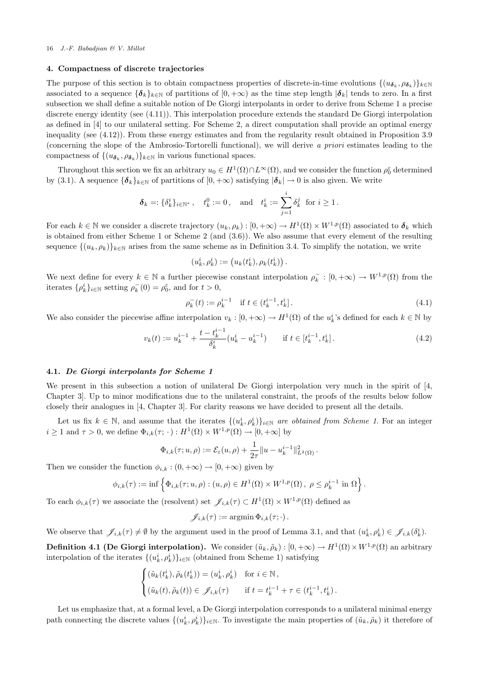## 4. Compactness of discrete trajectories

The purpose of this section is to obtain compactness properties of discrete-in-time evolutions  $\{(u_{\delta_k}, \rho_{\delta_k})\}_{k\in\mathbb{N}}$ associated to a sequence  ${\{\delta_k\}}_{k\in\mathbb{N}}$  of partitions of  $[0, +\infty)$  as the time step length  $|\delta_k|$  tends to zero. In a first subsection we shall define a suitable notion of De Giorgi interpolants in order to derive from Scheme 1 a precise discrete energy identity (see (4.11)). This interpolation procedure extends the standard De Giorgi interpolation as defined in [4] to our unilateral setting. For Scheme 2, a direct computation shall provide an optimal energy inequality (see (4.12)). From these energy estimates and from the regularity result obtained in Proposition 3.9 (concerning the slope of the Ambrosio-Tortorelli functional), we will derive a priori estimates leading to the compactness of  $\{(u_{\boldsymbol{\delta}_k}, \rho_{\boldsymbol{\delta}_k})\}_{k\in\mathbb{N}}$  in various functional spaces.

Throughout this section we fix an arbitrary  $u_0 \in H^1(\Omega) \cap L^\infty(\Omega)$ , and we consider the function  $\rho_0^{\varepsilon}$  determined by (3.1). A sequence  ${\{\delta_k\}_{k\in\mathbb{N}}}$  of partitions of  $[0, +\infty)$  satisfying  $|\delta_k| \to 0$  is also given. We write

$$
\delta_k =: \{\delta_k^i\}_{i \in \mathbb{N}^*}, \quad t_k^0 := 0, \text{ and } t_k^i := \sum_{j=1}^i \delta_k^j \text{ for } i \ge 1.
$$

For each  $k \in \mathbb{N}$  we consider a discrete trajectory  $(u_k, \rho_k) : [0, +\infty) \to H^1(\Omega) \times W^{1,p}(\Omega)$  associated to  $\boldsymbol{\delta}_k$  which is obtained from either Scheme 1 or Scheme 2 (and (3.6)). We also assume that every element of the resulting sequence  $\{(u_k, \rho_k)\}_{k\in\mathbb{N}}$  arises from the same scheme as in Definition 3.4. To simplify the notation, we write

$$
(u_k^i, \rho_k^i) := (u_k(t_k^i), \rho_k(t_k^i)).
$$

We next define for every  $k \in \mathbb{N}$  a further piecewise constant interpolation  $\rho_k^- : [0, +\infty) \to W^{1,p}(\Omega)$  from the iterates  $\{\rho_k^i\}_{i\in\mathbb{N}}$  setting  $\rho_k^-(0) = \rho_0^{\varepsilon}$ , and for  $t > 0$ ,

$$
\rho_k^-(t) := \rho_k^{i-1} \quad \text{if } t \in (t_k^{i-1}, t_k^i]. \tag{4.1}
$$

We also consider the piecewise affine interpolation  $v_k : [0, +\infty) \to H^1(\Omega)$  of the  $u_k^i$ 's defined for each  $k \in \mathbb{N}$  by

$$
v_k(t) := u_k^{i-1} + \frac{t - t_k^{i-1}}{\delta_k^i} (u_k^i - u_k^{i-1}) \qquad \text{if } t \in [t_k^{i-1}, t_k^i].
$$
\n
$$
(4.2)
$$

# 4.1. De Giorgi interpolants for Scheme 1

We present in this subsection a notion of unilateral De Giorgi interpolation very much in the spirit of [4, Chapter 3]. Up to minor modifications due to the unilateral constraint, the proofs of the results below follow closely their analogues in [4, Chapter 3]. For clarity reasons we have decided to present all the details.

Let us fix  $k \in \mathbb{N}$ , and assume that the iterates  $\{(u_k^i, \rho_k^i)\}_{i \in \mathbb{N}}$  are obtained from Scheme 1. For an integer  $i \geq 1$  and  $\tau > 0$ , we define  $\Phi_{i,k}(\tau; \cdot) : H^1(\Omega) \times W^{1,p}(\Omega) \to [0, +\infty]$  by

$$
\Phi_{i,k}(\tau;u,\rho):=\mathcal{E}_\varepsilon(u,\rho)+\frac{1}{2\tau}\|u-u_k^{i-1}\|_{L^2(\Omega)}^2\,.
$$

Then we consider the function  $\phi_{i,k} : (0, +\infty) \to [0, +\infty)$  given by

$$
\phi_{i,k}(\tau) := \inf \left\{ \Phi_{i,k}(\tau; u, \rho) : (u, \rho) \in H^1(\Omega) \times W^{1,p}(\Omega), \ \rho \le \rho_k^{i-1} \text{ in } \Omega \right\}.
$$

To each  $\phi_{i,k}(\tau)$  we associate the (resolvent) set  $\mathscr{J}_{i,k}(\tau) \subset H^1(\Omega) \times W^{1,p}(\Omega)$  defined as

$$
\mathscr{J}_{i,k}(\tau) := \operatorname{argmin} \Phi_{i,k}(\tau; \cdot).
$$

We observe that  $\mathscr{J}_{i,k}(\tau) \neq \emptyset$  by the argument used in the proof of Lemma 3.1, and that  $(u_k^i, \rho_k^i) \in \mathscr{J}_{i,k}(\delta_k^i)$ .

**Definition 4.1 (De Giorgi interpolation).** We consider  $(\tilde{u}_k, \tilde{\rho}_k) : [0, +\infty) \to H^1(\Omega) \times W^{1,p}(\Omega)$  an arbitrary interpolation of the iterates  $\{(u_k^i, \rho_k^i)\}_{i \in \mathbb{N}}$  (obtained from Scheme 1) satisfying

$$
\begin{cases} (\tilde{u}_k(t_k^i), \tilde{\rho}_k(t_k^i)) = (u_k^i, \rho_k^i) & \text{for } i \in \mathbb{N}, \\ (\tilde{u}_k(t), \tilde{\rho}_k(t)) \in \mathscr{J}_{i,k}(\tau) & \text{if } t = t_k^{i-1} + \tau \in (t_k^{i-1}, t_k^i). \end{cases}
$$

Let us emphasize that, at a formal level, a De Giorgi interpolation corresponds to a unilateral minimal energy path connecting the discrete values  $\{(u_k^i, \rho_k^i)\}_{i\in\mathbb{N}}$ . To investigate the main properties of  $(\tilde{u}_k, \tilde{\rho}_k)$  it therefore of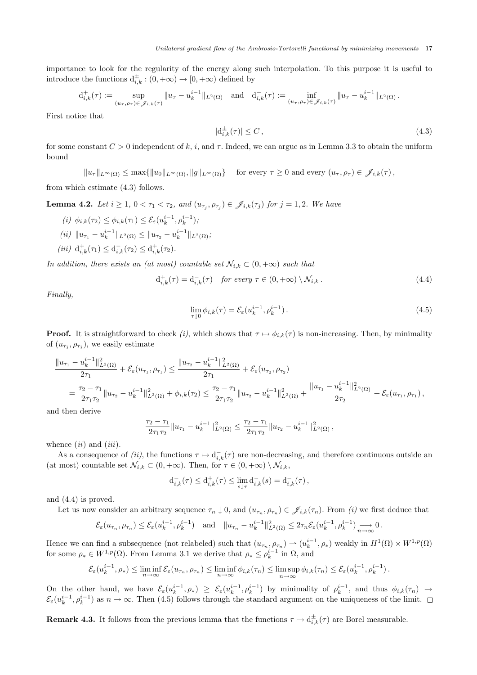importance to look for the regularity of the energy along such interpolation. To this purpose it is useful to introduce the functions  $d_{i,k}^{\pm} : (0, +\infty) \to [0, +\infty)$  defined by

$$
d_{i,k}^+(\tau) := \sup_{(u_\tau,\rho_\tau) \in \mathscr{J}_{i,k}(\tau)} \|u_\tau - u_k^{i-1}\|_{L^2(\Omega)} \quad \text{and} \quad d_{i,k}^-(\tau) := \inf_{(u_\tau,\rho_\tau) \in \mathscr{J}_{i,k}(\tau)} \|u_\tau - u_k^{i-1}\|_{L^2(\Omega)}.
$$

First notice that

$$
|\mathbf{d}_{i,k}^{\pm}(\tau)| \le C\,,\tag{4.3}
$$

for some constant  $C > 0$  independent of k, i, and  $\tau$ . Indeed, we can argue as in Lemma 3.3 to obtain the uniform bound

 $||u_\tau||_{L^\infty(\Omega)} \leq \max\{||u_0||_{L^\infty(\Omega)}, ||g||_{L^\infty(\Omega)}\}$  for every  $\tau \geq 0$  and every  $(u_\tau, \rho_\tau) \in \mathscr{J}_{i,k}(\tau)$ ,

from which estimate (4.3) follows.

**Lemma 4.2.** Let  $i \geq 1, 0 < \tau_1 < \tau_2$ , and  $(u_{\tau_j}, \rho_{\tau_j}) \in \mathscr{J}_{i,k}(\tau_j)$  for  $j = 1, 2$ . We have

- (*i*)  $\phi_{i,k}(\tau_2) \leq \phi_{i,k}(\tau_1) \leq \mathcal{E}_{\varepsilon}(u_k^{i-1}, \rho_k^{i-1});$  $(ii)$   $||u_{\tau_1} - u_k^{i-1}||_{L^2(\Omega)} \le ||u_{\tau_2} - u_k^{i-1}||_{L^2(\Omega)};$
- (iii)  $d_{i,k}^+(\tau_1) \leq d_{i,k}^-(\tau_2) \leq d_{i,k}^+(\tau_2)$ .

In addition, there exists an (at most) countable set  $\mathcal{N}_{i,k} \subset (0, +\infty)$  such that

 $\epsilon$ 

$$
d_{i,k}^{+}(\tau) = d_{i,k}^{-}(\tau) \quad \text{for every } \tau \in (0, +\infty) \setminus \mathcal{N}_{i,k}. \tag{4.4}
$$

Finally,

$$
\lim_{\tau \downarrow 0} \phi_{i,k}(\tau) = \mathcal{E}_{\varepsilon}(u_k^{i-1}, \rho_k^{i-1}). \tag{4.5}
$$

**Proof.** It is straightforward to check (i), which shows that  $\tau \mapsto \phi_{i,k}(\tau)$  is non-increasing. Then, by minimality of  $(u_{\tau_j}, \rho_{\tau_j})$ , we easily estimate

$$
\frac{\|u_{\tau_1} - u_k^{i-1}\|_{L^2(\Omega)}^2}{2\tau_1} + \mathcal{E}_{\varepsilon}(u_{\tau_1}, \rho_{\tau_1}) \le \frac{\|u_{\tau_2} - u_k^{i-1}\|_{L^2(\Omega)}^2}{2\tau_1} + \mathcal{E}_{\varepsilon}(u_{\tau_2}, \rho_{\tau_2})
$$
  
= 
$$
\frac{\tau_2 - \tau_1}{2\tau_1\tau_2} \|u_{\tau_2} - u_k^{i-1}\|_{L^2(\Omega)}^2 + \phi_{i,k}(\tau_2) \le \frac{\tau_2 - \tau_1}{2\tau_1\tau_2} \|u_{\tau_2} - u_k^{i-1}\|_{L^2(\Omega)}^2 + \frac{\|u_{\tau_1} - u_k^{i-1}\|_{L^2(\Omega)}^2}{2\tau_2} + \mathcal{E}_{\varepsilon}(u_{\tau_1}, \rho_{\tau_1}),
$$

and then derive

$$
\frac{\tau_2-\tau_1}{2\tau_1\tau_2} \|u_{\tau_1}-u_k^{i-1}\|_{L^2(\Omega)}^2 \leq \frac{\tau_2-\tau_1}{2\tau_1\tau_2} \|u_{\tau_2}-u_k^{i-1}\|_{L^2(\Omega)}^2,
$$

whence  $(ii)$  and  $(iii)$ .

As a consequence of (ii), the functions  $\tau \mapsto d_{i,k}^-(\tau)$  are non-decreasing, and therefore continuous outside an (at most) countable set  $\mathcal{N}_{i,k} \subset (0, +\infty)$ . Then, for  $\tau \in (0, +\infty) \setminus \mathcal{N}_{i,k}$ ,

$$
\mathrm{d}_{i,k}^-(\tau) \le \mathrm{d}_{i,k}^+(\tau) \le \lim_{s \downarrow \tau} \mathrm{d}_{i,k}^-(s) = \mathrm{d}_{i,k}^-(\tau) \,,
$$

and (4.4) is proved.

Let us now consider an arbitrary sequence  $\tau_n \downarrow 0$ , and  $(u_{\tau_n}, \rho_{\tau_n}) \in \mathscr{J}_{i,k}(\tau_n)$ . From *(i)* we first deduce that

$$
\mathcal{E}_{\varepsilon}(u_{\tau_n}, \rho_{\tau_n}) \leq \mathcal{E}_{\varepsilon}(u_k^{i-1}, \rho_k^{i-1}) \quad \text{and} \quad \|u_{\tau_n} - u_k^{i-1}\|_{L^2(\Omega)}^2 \leq 2\tau_n \mathcal{E}_{\varepsilon}(u_k^{i-1}, \rho_k^{i-1}) \underset{n \to \infty}{\longrightarrow} 0 \,.
$$

Hence we can find a subsequence (not relabeled) such that  $(u_{\tau_n}, \rho_{\tau_n}) \to (u_k^{i-1}, \rho_*)$  weakly in  $H^1(\Omega) \times W^{1,p}(\Omega)$ for some  $\rho_* \in W^{1,p}(\Omega)$ . From Lemma 3.1 we derive that  $\rho_* \leq \rho_k^{i-1}$  in  $\Omega$ , and

$$
\mathcal{E}_{\varepsilon}(u_k^{i-1}, \rho_*) \leq \liminf_{n \to \infty} \mathcal{E}_{\varepsilon}(u_{\tau_n}, \rho_{\tau_n}) \leq \liminf_{n \to \infty} \phi_{i,k}(\tau_n) \leq \limsup_{n \to \infty} \phi_{i,k}(\tau_n) \leq \mathcal{E}_{\varepsilon}(u_k^{i-1}, \rho_k^{i-1}).
$$

On the other hand, we have  $\mathcal{E}_{\varepsilon}(u_k^{i-1}, \rho_*) \geq \mathcal{E}_{\varepsilon}(u_k^{i-1}, \rho_k^{i-1})$  by minimality of  $\rho_k^{i-1}$ , and thus  $\phi_{i,k}(\tau_n) \to$  $\mathcal{E}_{\varepsilon}(u_k^{i-1}, \rho_k^{i-1})$  as  $n \to \infty$ . Then (4.5) follows through the standard argument on the uniqueness of the limit.

**Remark 4.3.** It follows from the previous lemma that the functions  $\tau \mapsto d_{i,k}^{\pm}(\tau)$  are Borel measurable.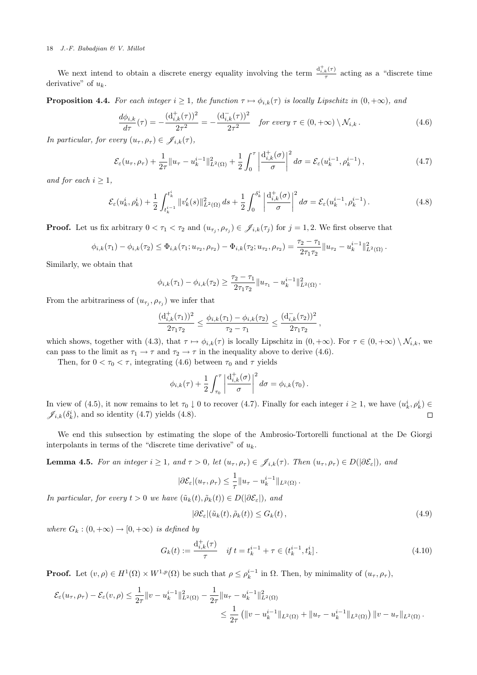We next intend to obtain a discrete energy equality involving the term  $\frac{d_{i,k}^+(r)}{\tau}$  acting as a "discrete time" derivative" of  $u_k$ .

**Proposition 4.4.** For each integer  $i \geq 1$ , the function  $\tau \mapsto \phi_{i,k}(\tau)$  is locally Lipschitz in  $(0, +\infty)$ , and

$$
\frac{d\phi_{i,k}}{d\tau}(\tau) = -\frac{(\mathbf{d}_{i,k}^+(\tau))^2}{2\tau^2} = -\frac{(\mathbf{d}_{i,k}^-(\tau))^2}{2\tau^2} \quad \text{for every } \tau \in (0, +\infty) \setminus \mathcal{N}_{i,k} \,.
$$
 (4.6)

In particular, for every  $(u_\tau, \rho_\tau) \in \mathscr{J}_{i,k}(\tau)$ ,

$$
\mathcal{E}_{\varepsilon}(u_{\tau}, \rho_{\tau}) + \frac{1}{2\tau} \|u_{\tau} - u_k^{i-1}\|_{L^2(\Omega)}^2 + \frac{1}{2} \int_0^{\tau} \left| \frac{d_{i,k}^+(\sigma)}{\sigma} \right|^2 d\sigma = \mathcal{E}_{\varepsilon}(u_k^{i-1}, \rho_k^{i-1}), \tag{4.7}
$$

and for each  $i \geq 1$ ,

$$
\mathcal{E}_{\varepsilon}(u_k^i, \rho_k^i) + \frac{1}{2} \int_{t_k^{i-1}}^{t_k^i} \|v_k'(s)\|_{L^2(\Omega)}^2 ds + \frac{1}{2} \int_0^{\delta_k^i} \left| \frac{d_{i,k}^+(\sigma)}{\sigma} \right|^2 d\sigma = \mathcal{E}_{\varepsilon}(u_k^{i-1}, \rho_k^{i-1}). \tag{4.8}
$$

**Proof.** Let us fix arbitrary  $0 < \tau_1 < \tau_2$  and  $(u_{\tau_j}, \rho_{\tau_j}) \in \mathscr{J}_{i,k}(\tau_j)$  for  $j = 1, 2$ . We first observe that

$$
\phi_{i,k}(\tau_1) - \phi_{i,k}(\tau_2) \leq \Phi_{i,k}(\tau_1; u_{\tau_2}, \rho_{\tau_2}) - \Phi_{i,k}(\tau_2; u_{\tau_2}, \rho_{\tau_2}) = \frac{\tau_2 - \tau_1}{2\tau_1\tau_2} \|u_{\tau_2} - u_k^{i-1}\|_{L^2(\Omega)}^2.
$$

Similarly, we obtain that

$$
\phi_{i,k}(\tau_1) - \phi_{i,k}(\tau_2) \geq \frac{\tau_2 - \tau_1}{2\tau_1\tau_2} \|u_{\tau_1} - u_k^{i-1}\|_{L^2(\Omega)}^2.
$$

From the arbitrariness of  $(u_{\tau_j}, \rho_{\tau_j})$  we infer that

$$
\frac{(\mathrm{d}_{i,k}^+(\tau_1))^2}{2\tau_1\tau_2} \le \frac{\phi_{i,k}(\tau_1) - \phi_{i,k}(\tau_2)}{\tau_2 - \tau_1} \le \frac{(\mathrm{d}_{i,k}^-(\tau_2))^2}{2\tau_1\tau_2},
$$

which shows, together with (4.3), that  $\tau \mapsto \phi_{i,k}(\tau)$  is locally Lipschitz in  $(0, +\infty)$ . For  $\tau \in (0, +\infty) \setminus \mathcal{N}_{i,k}$ , we can pass to the limit as  $\tau_1 \to \tau$  and  $\tau_2 \to \tau$  in the inequality above to derive (4.6).

Then, for  $0 < \tau_0 < \tau$ , integrating (4.6) between  $\tau_0$  and  $\tau$  yields

$$
\phi_{i,k}(\tau) + \frac{1}{2} \int_{\tau_0}^{\tau} \left| \frac{d_{i,k}^+(\sigma)}{\sigma} \right|^2 d\sigma = \phi_{i,k}(\tau_0).
$$

In view of (4.5), it now remains to let  $\tau_0 \downarrow 0$  to recover (4.7). Finally for each integer  $i \geq 1$ , we have  $(u_k^i, \rho_k^i) \in$  $\mathscr{J}_{i,k}(\delta_k^i)$ , and so identity (4.7) yields (4.8).  $\Box$ 

We end this subsection by estimating the slope of the Ambrosio-Tortorelli functional at the De Giorgi interpolants in terms of the "discrete time derivative" of  $u_k$ .

**Lemma 4.5.** For an integer  $i \geq 1$ , and  $\tau > 0$ , let  $(u_{\tau}, \rho_{\tau}) \in \mathscr{J}_{i,k}(\tau)$ . Then  $(u_{\tau}, \rho_{\tau}) \in D(|\partial \mathcal{E}_{\varepsilon}|)$ , and

$$
|\partial \mathcal{E}_{\varepsilon}|(u_{\tau}, \rho_{\tau}) \leq \frac{1}{\tau} ||u_{\tau} - u_k^{i-1}||_{L^2(\Omega)}.
$$

In particular, for every  $t > 0$  we have  $(\tilde{u}_k(t), \tilde{\rho}_k(t)) \in D(|\partial \mathcal{E}_{\varepsilon}|)$ , and

$$
|\partial \mathcal{E}_{\varepsilon}|(\tilde{u}_k(t), \tilde{\rho}_k(t)) \le G_k(t), \qquad (4.9)
$$

where  $G_k : (0, +\infty) \to [0, +\infty)$  is defined by

$$
G_k(t) := \frac{\mathrm{d}_{i,k}^+(\tau)}{\tau} \quad \text{if } t = t_k^{i-1} + \tau \in (t_k^{i-1}, t_k^i]. \tag{4.10}
$$

**Proof.** Let  $(v, \rho) \in H^1(\Omega) \times W^{1,p}(\Omega)$  be such that  $\rho \leq \rho_k^{i-1}$  in  $\Omega$ . Then, by minimality of  $(u_\tau, \rho_\tau)$ ,

$$
\mathcal{E}_{\varepsilon}(u_{\tau}, \rho_{\tau}) - \mathcal{E}_{\varepsilon}(v, \rho) \leq \frac{1}{2\tau} \|v - u_k^{i-1}\|_{L^2(\Omega)}^2 - \frac{1}{2\tau} \|u_{\tau} - u_k^{i-1}\|_{L^2(\Omega)}^2 \n\leq \frac{1}{2\tau} \left( \|v - u_k^{i-1}\|_{L^2(\Omega)} + \|u_{\tau} - u_k^{i-1}\|_{L^2(\Omega)} \right) \|v - u_{\tau}\|_{L^2(\Omega)}.
$$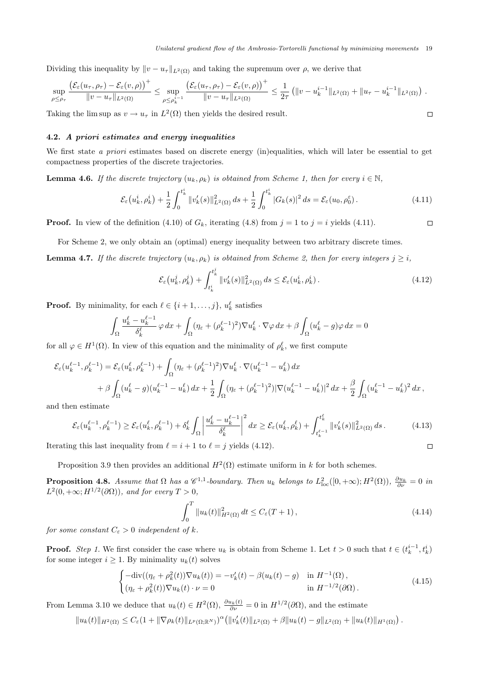$\Box$ 

 $\Box$ 

Dividing this inequality by  $||v - u_{\tau}||_{L^2(\Omega)}$  and taking the supremum over  $\rho$ , we derive that

$$
\sup_{\rho \leq \rho_{\tau}} \frac{\left(\mathcal{E}_{\varepsilon}(u_{\tau}, \rho_{\tau}) - \mathcal{E}_{\varepsilon}(v, \rho)\right)^{+}}{\|v - u_{\tau}\|_{L^{2}(\Omega)}} \leq \sup_{\rho \leq \rho_{k}^{i-1}} \frac{\left(\mathcal{E}_{\varepsilon}(u_{\tau}, \rho_{\tau}) - \mathcal{E}_{\varepsilon}(v, \rho)\right)^{+}}{\|v - u_{\tau}\|_{L^{2}(\Omega)}} \leq \frac{1}{2\tau} \left(\|v - u_{k}^{i-1}\|_{L^{2}(\Omega)} + \|u_{\tau} - u_{k}^{i-1}\|_{L^{2}(\Omega)}\right).
$$

Taking the lim sup as  $v \to u_\tau$  in  $L^2(\Omega)$  then yields the desired result.

# 4.2. A priori estimates and energy inequalities

We first state a priori estimates based on discrete energy (in)equalities, which will later be essential to get compactness properties of the discrete trajectories.

**Lemma 4.6.** If the discrete trajectory  $(u_k, \rho_k)$  is obtained from Scheme 1, then for every  $i \in \mathbb{N}$ ,

$$
\mathcal{E}_{\varepsilon}(u_k^i, \rho_k^i) + \frac{1}{2} \int_0^{t_k^i} \|v_k'(s)\|_{L^2(\Omega)}^2 ds + \frac{1}{2} \int_0^{t_k^i} |G_k(s)|^2 ds = \mathcal{E}_{\varepsilon}(u_0, \rho_0^{\varepsilon}). \tag{4.11}
$$

**Proof.** In view of the definition (4.10) of  $G_k$ , iterating (4.8) from  $j = 1$  to  $j = i$  yields (4.11).

For Scheme 2, we only obtain an (optimal) energy inequality between two arbitrary discrete times.

**Lemma 4.7.** If the discrete trajectory  $(u_k, \rho_k)$  is obtained from Scheme 2, then for every integers  $j \geq i$ ,

$$
\mathcal{E}_{\varepsilon}(u_k^j, \rho_k^j) + \int_{t_k^i}^{t_k^j} \|v_k'(s)\|_{L^2(\Omega)}^2 ds \le \mathcal{E}_{\varepsilon}(u_k^i, \rho_k^i). \tag{4.12}
$$

**Proof.** By minimality, for each  $\ell \in \{i + 1, \ldots, j\}$ ,  $u_k^{\ell}$  satisfies

$$
\int_{\Omega} \frac{u_k^{\ell} - u_k^{\ell-1}}{\delta_k^{\ell}} \varphi \, dx + \int_{\Omega} (\eta_{\varepsilon} + (\rho_k^{\ell-1})^2) \nabla u_k^{\ell} \cdot \nabla \varphi \, dx + \beta \int_{\Omega} (u_k^{\ell} - g) \varphi \, dx = 0
$$

for all  $\varphi \in H^1(\Omega)$ . In view of this equation and the minimality of  $\rho_k^{\ell}$ , we first compute

$$
\mathcal{E}_{\varepsilon}(u_{k}^{\ell-1}, \rho_{k}^{\ell-1}) = \mathcal{E}_{\varepsilon}(u_{k}^{\ell}, \rho_{k}^{\ell-1}) + \int_{\Omega} (\eta_{\varepsilon} + (\rho_{k}^{\ell-1})^{2}) \nabla u_{k}^{\ell} \cdot \nabla (u_{k}^{\ell-1} - u_{k}^{\ell}) dx \n+ \beta \int_{\Omega} (u_{k}^{\ell} - g)(u_{k}^{\ell-1} - u_{k}^{\ell}) dx + \frac{1}{2} \int_{\Omega} (\eta_{\varepsilon} + (\rho_{k}^{\ell-1})^{2}) |\nabla (u_{k}^{\ell-1} - u_{k}^{\ell})|^{2} dx + \frac{\beta}{2} \int_{\Omega} (u_{k}^{\ell-1} - u_{k}^{\ell})^{2} dx,
$$

and then estimate

$$
\mathcal{E}_{\varepsilon}(u_{k}^{\ell-1},\rho_{k}^{\ell-1}) \ge \mathcal{E}_{\varepsilon}(u_{k}^{\ell},\rho_{k}^{\ell-1}) + \delta_{k}^{\ell} \int_{\Omega} \left| \frac{u_{k}^{\ell} - u_{k}^{\ell-1}}{\delta_{k}^{\ell}} \right|^{2} dx \ge \mathcal{E}_{\varepsilon}(u_{k}^{\ell},\rho_{k}^{\ell}) + \int_{t_{k}^{\ell-1}}^{t_{k}^{\ell}} \|v_{k}'(s)\|_{L^{2}(\Omega)}^{2} ds.
$$
\n(4.13)\n\nag this last inequality from  $\ell = i + 1$  to  $\ell = j$  yields (4.12).

Iterating this last inequality from  $\ell = i + 1$  to  $\ell = j$  yields (4.12).

Proposition 3.9 then provides an additional  $H^2(\Omega)$  estimate uniform in k for both schemes.

**Proposition 4.8.** Assume that  $\Omega$  has a  $\mathscr{C}^{1,1}$ -boundary. Then  $u_k$  belongs to  $L^2_{loc}([0,+\infty);H^2(\Omega)$ ,  $\frac{\partial u_k}{\partial \nu}=0$  in  $L^2(0, +\infty; H^{1/2}(\partial\Omega))$ , and for every  $T > 0$ ,

$$
\int_0^T \|u_k(t)\|_{H^2(\Omega)}^2 dt \le C_{\varepsilon}(T+1),
$$
\n(4.14)

for some constant  $C_{\varepsilon} > 0$  independent of k.

**Proof.** Step 1. We first consider the case where  $u_k$  is obtain from Scheme 1. Let  $t > 0$  such that  $t \in (t_k^{i-1}, t_k^i)$ for some integer  $i > 1$ . By minimality  $u_k(t)$  solves

$$
\begin{cases}\n-\text{div}((\eta_{\varepsilon} + \rho_k^2(t))\nabla u_k(t)) = -v'_k(t) - \beta(u_k(t) - g) & \text{in } H^{-1}(\Omega), \\
(\eta_{\varepsilon} + \rho_k^2(t))\nabla u_k(t) \cdot \nu = 0 & \text{in } H^{-1/2}(\partial\Omega).\n\end{cases}
$$
\n(4.15)

From Lemma 3.10 we deduce that  $u_k(t) \in H^2(\Omega)$ ,  $\frac{\partial u_k(t)}{\partial \nu} = 0$  in  $H^{1/2}(\partial \Omega)$ , and the estimate

$$
||u_k(t)||_{H^2(\Omega)} \leq C_{\varepsilon} (1+||\nabla \rho_k(t)||_{L^p(\Omega;\mathbb{R}^N)})^{\alpha} (||v'_k(t)||_{L^2(\Omega)} + \beta ||u_k(t)-g||_{L^2(\Omega)} + ||u_k(t)||_{H^1(\Omega)}).
$$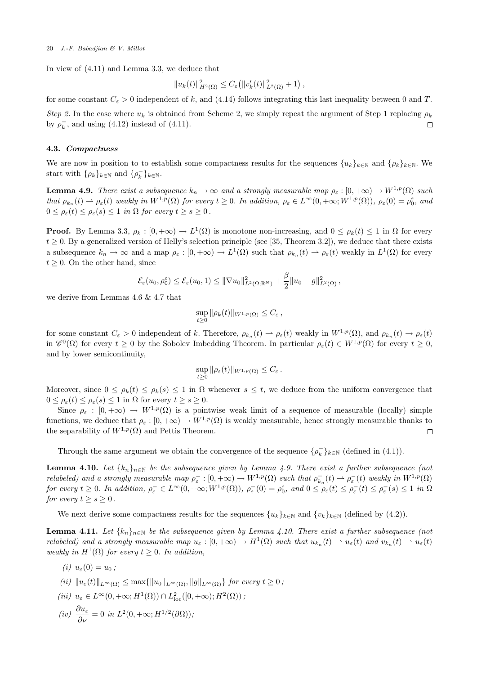In view of (4.11) and Lemma 3.3, we deduce that

$$
||u_k(t)||_{H^2(\Omega)}^2 \leq C_{\varepsilon} (||v'_k(t)||_{L^2(\Omega)}^2 + 1),
$$

for some constant  $C_{\varepsilon} > 0$  independent of k, and (4.14) follows integrating this last inequality between 0 and T.

Step 2. In the case where  $u_k$  is obtained from Scheme 2, we simply repeat the argument of Step 1 replacing  $\rho_k$ by  $\rho_k^-$ , and using (4.12) instead of (4.11).  $\Box$ 

## 4.3. Compactness

We are now in position to to establish some compactness results for the sequences  $\{u_k\}_{k\in\mathbb{N}}$  and  $\{\rho_k\}_{k\in\mathbb{N}}$ . We start with  $\{\rho_k\}_{k\in\mathbb{N}}$  and  $\{\rho_k^-\}_{k\in\mathbb{N}}$ .

**Lemma 4.9.** There exist a subsequence  $k_n \to \infty$  and a strongly measurable map  $\rho_{\varepsilon} : [0, +\infty) \to W^{1,p}(\Omega)$  such that  $\rho_{k_n}(t) \rightharpoonup \rho_{\varepsilon}(t)$  weakly in  $W^{1,p}(\Omega)$  for every  $t \geq 0$ . In addition,  $\rho_{\varepsilon} \in L^{\infty}(0, +\infty; W^{1,p}(\Omega))$ ,  $\rho_{\varepsilon}(0) = \rho_0^{\varepsilon}$ , and  $0 \leq \rho_{\varepsilon}(t) \leq \rho_{\varepsilon}(s) \leq 1$  in  $\Omega$  for every  $t \geq s \geq 0$ .

**Proof.** By Lemma 3.3,  $\rho_k : [0, +\infty) \to L^1(\Omega)$  is monotone non-increasing, and  $0 \le \rho_k(t) \le 1$  in  $\Omega$  for every  $t \geq 0$ . By a generalized version of Helly's selection principle (see [35, Theorem 3.2]), we deduce that there exists a subsequence  $k_n \to \infty$  and a map  $\rho_{\varepsilon} : [0, +\infty) \to L^1(\Omega)$  such that  $\rho_{k_n}(t) \to \rho_{\varepsilon}(t)$  weakly in  $L^1(\Omega)$  for every  $t \geq 0$ . On the other hand, since

$$
\mathcal{E}_{\varepsilon}(u_0,\rho_0^{\varepsilon}) \leq \mathcal{E}_{\varepsilon}(u_0,1) \leq \|\nabla u_0\|_{L^2(\Omega;\mathbb{R}^N)}^2 + \frac{\beta}{2} \|u_0 - g\|_{L^2(\Omega)}^2,
$$

we derive from Lemmas 4.6 & 4.7 that

$$
\sup_{t\geq 0} \|\rho_k(t)\|_{W^{1,p}(\Omega)} \leq C_{\varepsilon},
$$

for some constant  $C_{\varepsilon} > 0$  independent of k. Therefore,  $\rho_{k_n}(t) \rightharpoonup \rho_{\varepsilon}(t)$  weakly in  $W^{1,p}(\Omega)$ , and  $\rho_{k_n}(t) \rightharpoonup \rho_{\varepsilon}(t)$ in  $\mathscr{C}^0(\overline{\Omega})$  for every  $t \geq 0$  by the Sobolev Imbedding Theorem. In particular  $\rho_{\varepsilon}(t) \in W^{1,p}(\Omega)$  for every  $t \geq 0$ , and by lower semicontinuity,

$$
\sup_{t\geq 0} \|\rho_{\varepsilon}(t)\|_{W^{1,p}(\Omega)} \leq C_{\varepsilon}.
$$

Moreover, since  $0 \le \rho_k(t) \le \rho_k(s) \le 1$  in  $\Omega$  whenever  $s \le t$ , we deduce from the uniform convergence that  $0 \leq \rho_{\varepsilon}(t) \leq \rho_{\varepsilon}(s) \leq 1$  in  $\Omega$  for every  $t \geq s \geq 0$ .

Since  $\rho_{\varepsilon} : [0, +\infty) \to W^{1,p}(\Omega)$  is a pointwise weak limit of a sequence of measurable (locally) simple functions, we deduce that  $\rho_{\varepsilon} : [0, +\infty) \to W^{1,p}(\Omega)$  is weakly measurable, hence strongly measurable thanks to the separability of  $W^{1,p}(\Omega)$  and Pettis Theorem.  $\Box$ 

Through the same argument we obtain the convergence of the sequence  $\{\rho_k^-\}_{k\in\mathbb{N}}$  (defined in (4.1)).

**Lemma 4.10.** Let  $\{k_n\}_{n\in\mathbb{N}}$  be the subsequence given by Lemma 4.9. There exist a further subsequence (not relabeled) and a strongly measurable map  $\rho_{\varepsilon}^-:[0,+\infty) \to W^{1,p}(\Omega)$  such that  $\rho_{k_n}^-(t) \rightharpoonup \rho_{\varepsilon}^-(t)$  weakly in  $W^{1,p}(\Omega)$ for every  $t \geq 0$ . In addition,  $\rho_{\varepsilon}^{-} \in L^{\infty}(0, +\infty; W^{1,p}(\Omega)),$   $\rho_{\varepsilon}^{-}(0) = \rho_{0}^{\varepsilon}$ , and  $0 \leq \rho_{\varepsilon}(t) \leq \rho_{\varepsilon}^{-}(t) \leq \rho_{\varepsilon}^{-}(s) \leq 1$  in  $\Omega$ for every  $t \geq s \geq 0$ .

We next derive some compactness results for the sequences  ${u_k}_{k\in\mathbb{N}}$  and  ${v_k}_{k\in\mathbb{N}}$  (defined by (4.2)).

**Lemma 4.11.** Let  $\{k_n\}_{n\in\mathbb{N}}$  be the subsequence given by Lemma 4.10. There exist a further subsequence (not relabeled) and a strongly measurable map  $u_{\varepsilon}:[0,+\infty) \to H^1(\Omega)$  such that  $u_{k_n}(t) \to u_{\varepsilon}(t)$  and  $v_{k_n}(t) \to u_{\varepsilon}(t)$ weakly in  $H^1(\Omega)$  for every  $t \geq 0$ . In addition,

- (i)  $u_{\varepsilon}(0) = u_0$ ; (ii)  $||u_{\varepsilon}(t)||_{L^{\infty}(\Omega)} \leq \max{||u_{0}||_{L^{\infty}(\Omega)}, ||g||_{L^{\infty}(\Omega)}}$  for every  $t \geq 0$ ;
- (iii)  $u_{\varepsilon} \in L^{\infty}(0, +\infty; H^1(\Omega)) \cap L^2_{\text{loc}}([0, +\infty); H^2(\Omega))$ ;

$$
(iv) \frac{\partial u_{\varepsilon}}{\partial \nu} = 0 \text{ in } L^2(0, +\infty; H^{1/2}(\partial \Omega));
$$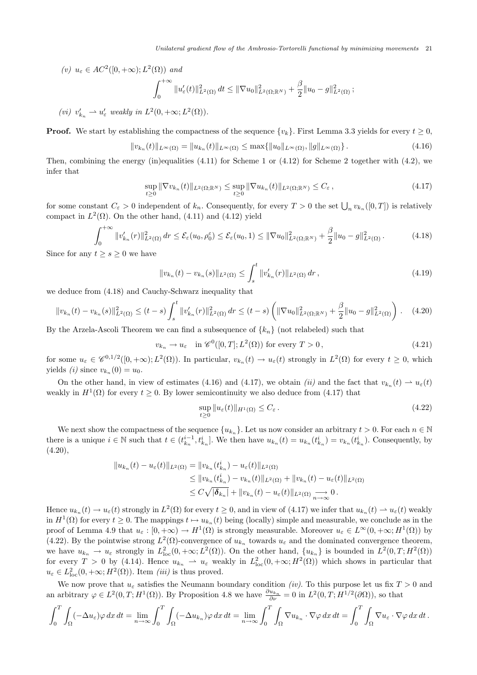(v) 
$$
u_{\varepsilon} \in AC^2([0, +\infty); L^2(\Omega))
$$
 and  
\n
$$
\int_0^{+\infty} ||u'_{\varepsilon}(t)||^2_{L^2(\Omega)} dt \le ||\nabla u_0||^2_{L^2(\Omega;\mathbb{R}^N)} + \frac{\beta}{2} ||u_0 - g||^2_{L^2(\Omega)};
$$

(vi)  $v'_{k_n} \rightharpoonup u'_{\varepsilon}$  weakly in  $L^2(0, +\infty; L^2(\Omega))$ .

**Proof.** We start by establishing the compactness of the sequence  $\{v_k\}$ . First Lemma 3.3 yields for every  $t \ge 0$ ,

$$
||v_{k_n}(t)||_{L^{\infty}(\Omega)} = ||u_{k_n}(t)||_{L^{\infty}(\Omega)} \le \max\{||u_0||_{L^{\infty}(\Omega)}, ||g||_{L^{\infty}(\Omega)}\}.
$$
\n(4.16)

Then, combining the energy (in)equalities  $(4.11)$  for Scheme 1 or  $(4.12)$  for Scheme 2 together with  $(4.2)$ , we infer that

$$
\sup_{t\geq 0} \|\nabla v_{k_n}(t)\|_{L^2(\Omega;\mathbb{R}^N)} \leq \sup_{t\geq 0} \|\nabla u_{k_n}(t)\|_{L^2(\Omega;\mathbb{R}^N)} \leq C_{\varepsilon},\tag{4.17}
$$

for some constant  $C_{\varepsilon} > 0$  independent of  $k_n$ . Consequently, for every  $T > 0$  the set  $\bigcup_n v_{k_n}([0,T])$  is relatively compact in  $L^2(\Omega)$ . On the other hand, (4.11) and (4.12) yield

$$
\int_0^{+\infty} \|v_{k_n}'(r)\|_{L^2(\Omega)}^2 dr \le \mathcal{E}_{\varepsilon}(u_0, \rho_0^{\varepsilon}) \le \mathcal{E}_{\varepsilon}(u_0, 1) \le \|\nabla u_0\|_{L^2(\Omega; \mathbb{R}^N)}^2 + \frac{\beta}{2} \|u_0 - g\|_{L^2(\Omega)}^2.
$$
 (4.18)

Since for any  $t \geq s \geq 0$  we have

$$
||v_{k_n}(t) - v_{k_n}(s)||_{L^2(\Omega)} \le \int_s^t ||v'_{k_n}(r)||_{L^2(\Omega)} dr , \qquad (4.19)
$$

we deduce from (4.18) and Cauchy-Schwarz inequality that

$$
||v_{k_n}(t) - v_{k_n}(s)||_{L^2(\Omega)}^2 \le (t - s) \int_s^t ||v_{k_n}'(r)||_{L^2(\Omega)}^2 dr \le (t - s) \left( ||\nabla u_0||_{L^2(\Omega; \mathbb{R}^N)}^2 + \frac{\beta}{2} ||u_0 - g||_{L^2(\Omega)}^2 \right). \tag{4.20}
$$

By the Arzela-Ascoli Theorem we can find a subsequence of  $\{k_n\}$  (not relabeled) such that

$$
v_{k_n} \to u_{\varepsilon} \quad \text{in } \mathscr{C}^0([0,T]; L^2(\Omega)) \text{ for every } T > 0, \tag{4.21}
$$

for some  $u_{\varepsilon} \in \mathscr{C}^{0,1/2}([0,+\infty);L^2(\Omega))$ . In particular,  $v_{k_n}(t) \to u_{\varepsilon}(t)$  strongly in  $L^2(\Omega)$  for every  $t \geq 0$ , which yields (*i*) since  $v_{k_n}(0) = u_0$ .

On the other hand, in view of estimates (4.16) and (4.17), we obtain (ii) and the fact that  $v_{k_n}(t) \to u_{\varepsilon}(t)$ weakly in  $H^1(\Omega)$  for every  $t \geq 0$ . By lower semicontinuity we also deduce from (4.17) that

$$
\sup_{t\geq 0} \|u_{\varepsilon}(t)\|_{H^1(\Omega)} \leq C_{\varepsilon} \,. \tag{4.22}
$$

We next show the compactness of the sequence  $\{u_{k_n}\}\$ . Let us now consider an arbitrary  $t > 0$ . For each  $n \in \mathbb{N}$ there is a unique  $i \in \mathbb{N}$  such that  $t \in (t_{k_n}^{i-1}, t_{k_n}^i]$ . We then have  $u_{k_n}(t) = u_{k_n}(t_{k_n}^i) = v_{k_n}(t_{k_n}^i)$ . Consequently, by  $(4.20),$ 

$$
||u_{k_n}(t) - u_{\varepsilon}(t)||_{L^2(\Omega)} = ||v_{k_n}(t_{k_n}^i) - u_{\varepsilon}(t)||_{L^2(\Omega)}
$$
  
\n
$$
\leq ||v_{k_n}(t_{k_n}^i) - v_{k_n}(t)||_{L^2(\Omega)} + ||v_{k_n}(t) - u_{\varepsilon}(t)||_{L^2(\Omega)}
$$
  
\n
$$
\leq C\sqrt{|\delta_{k_n}|} + ||v_{k_n}(t) - u_{\varepsilon}(t)||_{L^2(\Omega)} \underset{n \to \infty}{\longrightarrow} 0.
$$

Hence  $u_{k_n}(t) \to u_{\varepsilon}(t)$  strongly in  $L^2(\Omega)$  for every  $t \geq 0$ , and in view of  $(4.17)$  we infer that  $u_{k_n}(t) \to u_{\varepsilon}(t)$  weakly in  $H^1(\Omega)$  for every  $t \geq 0$ . The mappings  $t \mapsto u_{k_n}(t)$  being (locally) simple and measurable, we conclude as in the proof of Lemma 4.9 that  $u_{\varepsilon} : [0, +\infty) \to H^1(\Omega)$  is strongly measurable. Moreover  $u_{\varepsilon} \in L^{\infty}(0, +\infty; H^1(\Omega))$  by (4.22). By the pointwise strong  $L^2(\Omega)$ -convergence of  $u_{k_n}$  towards  $u_{\varepsilon}$  and the dominated convergence theorem, we have  $u_{k_n} \to u_{\varepsilon}$  strongly in  $L^2_{loc}(0, +\infty; L^2(\Omega))$ . On the other hand,  $\{u_{k_n}\}\$ is bounded in  $L^2(0, T; H^2(\Omega))$ for every  $T > 0$  by (4.14). Hence  $u_{k_n} \rightharpoonup u_{\varepsilon}$  weakly in  $L^2_{loc}(0, +\infty; H^2(\Omega))$  which shows in particular that  $u_{\varepsilon} \in L_{\text{loc}}^2(0, +\infty; H^2(\Omega))$ . Item *(iii)* is thus proved.

We now prove that  $u_{\varepsilon}$  satisfies the Neumann boundary condition *(iv)*. To this purpose let us fix  $T > 0$  and an arbitrary  $\varphi \in L^2(0,T;H^1(\Omega))$ . By Proposition 4.8 we have  $\frac{\partial u_{k_n}}{\partial \nu} = 0$  in  $L^2(0,T;H^{1/2}(\partial \Omega))$ , so that

$$
\int_0^T \int_{\Omega} (-\Delta u_{\varepsilon}) \varphi \, dx \, dt = \lim_{n \to \infty} \int_0^T \int_{\Omega} (-\Delta u_{k_n}) \varphi \, dx \, dt = \lim_{n \to \infty} \int_0^T \int_{\Omega} \nabla u_{k_n} \cdot \nabla \varphi \, dx \, dt = \int_0^T \int_{\Omega} \nabla u_{\varepsilon} \cdot \nabla \varphi \, dx \, dt.
$$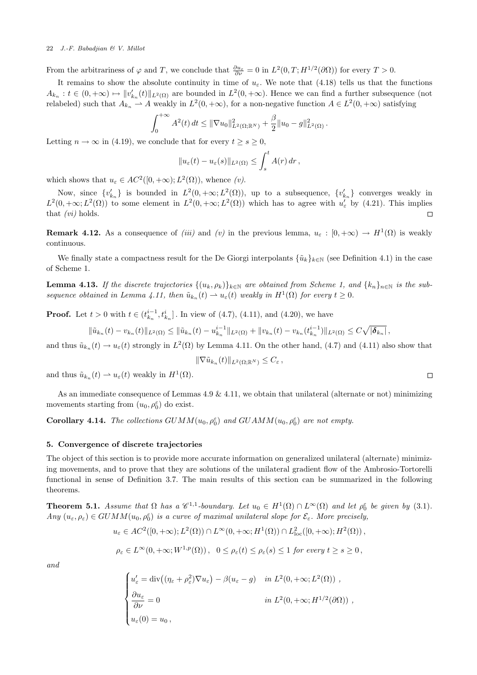From the arbitrariness of  $\varphi$  and T, we conclude that  $\frac{\partial u_{\varepsilon}}{\partial \nu} = 0$  in  $L^2(0,T;H^{1/2}(\partial\Omega))$  for every  $T > 0$ .

It remains to show the absolute continuity in time of  $u_{\varepsilon}$ . We note that (4.18) tells us that the functions  $A_{k_n}: t \in (0, +\infty) \mapsto ||v_{k_n}'(t)||_{L^2(\Omega)}$  are bounded in  $L^2(0, +\infty)$ . Hence we can find a further subsequence (not relabeled) such that  $A_{k_n} \to A$  weakly in  $L^2(0, +\infty)$ , for a non-negative function  $A \in L^2(0, +\infty)$  satisfying

$$
\int_0^{+\infty} A^2(t) dt \leq \|\nabla u_0\|_{L^2(\Omega;\mathbb{R}^N)}^2 + \frac{\beta}{2} \|u_0 - g\|_{L^2(\Omega)}^2.
$$

Letting  $n \to \infty$  in (4.19), we conclude that for every  $t \geq s \geq 0$ ,

$$
||u_{\varepsilon}(t)-u_{\varepsilon}(s)||_{L^{2}(\Omega)} \leq \int_{s}^{t} A(r) dr,
$$

which shows that  $u_{\varepsilon} \in AC^2([0, +\infty); L^2(\Omega))$ , whence  $(v)$ .

Now, since  $\{v'_{k_n}\}\$ is bounded in  $L^2(0, +\infty; L^2(\Omega))$ , up to a subsequence,  $\{v'_{k_n}\}\$ converges weakly in  $L^2(0, +\infty; L^2(\Omega))$  to some element in  $L^2(0, +\infty; L^2(\Omega))$  which has to agree with  $u'_\varepsilon$  by (4.21). This implies that  $(vi)$  holds.  $\Box$ 

**Remark 4.12.** As a consequence of *(iii)* and *(v)* in the previous lemma,  $u_{\varepsilon} : [0, +\infty) \to H^1(\Omega)$  is weakly continuous.

We finally state a compactness result for the De Giorgi interpolants  $\{\tilde{u}_k\}_{k\in\mathbb{N}}$  (see Definition 4.1) in the case of Scheme 1.

**Lemma 4.13.** If the discrete trajectories  $\{(u_k, \rho_k)\}_{k \in \mathbb{N}}$  are obtained from Scheme 1, and  $\{k_n\}_{n \in \mathbb{N}}$  is the subsequence obtained in Lemma 4.11, then  $\tilde{u}_{k_n}(t) \rightharpoonup u_{\varepsilon}(t)$  weakly in  $H^1(\Omega)$  for every  $t \geq 0$ .

**Proof.** Let  $t > 0$  with  $t \in (t_{k_n}^{i-1}, t_{k_n}^i]$ . In view of (4.7), (4.11), and (4.20), we have

$$
\|\tilde{u}_{k_n}(t)-v_{k_n}(t)\|_{L^2(\Omega)} \le \|\tilde{u}_{k_n}(t)-u_{k_n}^{i-1}\|_{L^2(\Omega)} + \|v_{k_n}(t)-v_{k_n}(t_{k_n}^{i-1})\|_{L^2(\Omega)} \le C\sqrt{|\boldsymbol{\delta}_{k_n}|},
$$

and thus  $\tilde{u}_{k_n}(t) \to u_{\varepsilon}(t)$  strongly in  $L^2(\Omega)$  by Lemma 4.11. On the other hand, (4.7) and (4.11) also show that

$$
\|\nabla \tilde u_{k_n}(t)\|_{L^2(\Omega;\mathbb{R}^N)} \leq C_{\varepsilon},
$$

and thus  $\tilde{u}_{k_n}(t) \rightharpoonup u_{\varepsilon}(t)$  weakly in  $H^1(\Omega)$ .

As an immediate consequence of Lemmas 4.9 & 4.11, we obtain that unilateral (alternate or not) minimizing movements starting from  $(u_0, \rho_0^{\varepsilon})$  do exist.

**Corollary 4.14.** The collections  $GUMM(u_0, \rho_0^{\varepsilon})$  and  $GUAMM(u_0, \rho_0^{\varepsilon})$  are not empty.

# 5. Convergence of discrete trajectories

The object of this section is to provide more accurate information on generalized unilateral (alternate) minimizing movements, and to prove that they are solutions of the unilateral gradient flow of the Ambrosio-Tortorelli functional in sense of Definition 3.7. The main results of this section can be summarized in the following theorems.

**Theorem 5.1.** Assume that  $\Omega$  has a  $\mathscr{C}^{1,1}$ -boundary. Let  $u_0 \in H^1(\Omega) \cap L^{\infty}(\Omega)$  and let  $\rho_0^{\varepsilon}$  be given by (3.1).  $Any (u_{\varepsilon}, \rho_{\varepsilon}) \in GUMM(u_0, \rho_0^{\varepsilon})$  is a curve of maximal unilateral slope for  $\mathcal{E}_{\varepsilon}$ . More precisely,

$$
u_{\varepsilon} \in AC^2([0, +\infty); L^2(\Omega)) \cap L^{\infty}(0, +\infty; H^1(\Omega)) \cap L^2_{\text{loc}}([0, +\infty); H^2(\Omega)),
$$

$$
\rho_{\varepsilon} \in L^{\infty}(0, +\infty; W^{1, p}(\Omega)), \quad 0 \le \rho_{\varepsilon}(t) \le \rho_{\varepsilon}(s) \le 1 \text{ for every } t \ge s \ge 0,
$$

and

$$
\begin{cases}\nu'_{\varepsilon} = \text{div}\big((\eta_{\varepsilon} + \rho_{\varepsilon}^2)\nabla u_{\varepsilon}\big) - \beta(u_{\varepsilon} - g) & \text{in } L^2(0, +\infty; L^2(\Omega)) ,\\ \frac{\partial u_{\varepsilon}}{\partial \nu} = 0 & \text{in } L^2(0, +\infty; H^{1/2}(\partial \Omega)) ,\\ u_{\varepsilon}(0) = u_0 ,\end{cases}
$$

$$
\Box
$$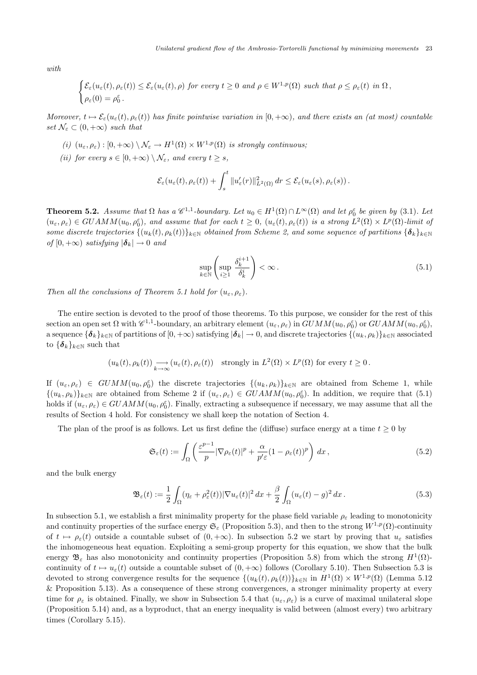with

$$
\begin{cases} \mathcal{E}_{\varepsilon}(u_{\varepsilon}(t), \rho_{\varepsilon}(t)) \leq \mathcal{E}_{\varepsilon}(u_{\varepsilon}(t), \rho) \text{ for every } t \geq 0 \text{ and } \rho \in W^{1, p}(\Omega) \text{ such that } \rho \leq \rho_{\varepsilon}(t) \text{ in } \Omega, \\ \rho_{\varepsilon}(0) = \rho_{0}^{\varepsilon} \text{ .} \end{cases}
$$

Moreover,  $t \mapsto \mathcal{E}_{\varepsilon}(u_{\varepsilon}(t), \rho_{\varepsilon}(t))$  has finite pointwise variation in  $[0, +\infty)$ , and there exists an (at most) countable set  $\mathcal{N}_{\varepsilon} \subset (0, +\infty)$  such that

- (i)  $(u_{\varepsilon}, \rho_{\varepsilon}) : [0, +\infty) \setminus \mathcal{N}_{\varepsilon} \to H^1(\Omega) \times W^{1,p}(\Omega)$  is strongly continuous;
- (ii) for every  $s \in [0, +\infty) \setminus \mathcal{N}_{\varepsilon}$ , and every  $t > s$ ,

$$
\mathcal{E}_{\varepsilon}(u_{\varepsilon}(t),\rho_{\varepsilon}(t)) + \int_{s}^{t} \|u_{\varepsilon}'(r)\|_{L^{2}(\Omega)}^{2} dr \leq \mathcal{E}_{\varepsilon}(u_{\varepsilon}(s),\rho_{\varepsilon}(s)).
$$

**Theorem 5.2.** Assume that  $\Omega$  has a  $\mathscr{C}^{1,1}$ -boundary. Let  $u_0 \in H^1(\Omega) \cap L^{\infty}(\Omega)$  and let  $\rho_0^{\varepsilon}$  be given by (3.1). Let  $(u_{\varepsilon}, \rho_{\varepsilon}) \in GUAMM(u_0, \rho_0^{\varepsilon})$ , and assume that for each  $t \geq 0$ ,  $(u_{\varepsilon}(t), \rho_{\varepsilon}(t))$  is a strong  $L^2(\Omega) \times L^p(\Omega)$ -limit of some discrete trajectories  $\{(u_k(t), \rho_k(t))\}_{k\in\mathbb{N}}$  obtained from Scheme 2, and some sequence of partitions  $\{\boldsymbol{\delta}_k\}_{k\in\mathbb{N}}$ of  $[0, +\infty)$  satisfying  $|\boldsymbol{\delta}_k| \to 0$  and

$$
\sup_{k \in \mathbb{N}} \left( \sup_{i \ge 1} \frac{\delta_k^{i+1}}{\delta_k^i} \right) < \infty. \tag{5.1}
$$

Then all the conclusions of Theorem 5.1 hold for  $(u_{\varepsilon}, \rho_{\varepsilon})$ .

The entire section is devoted to the proof of those theorems. To this purpose, we consider for the rest of this section an open set  $\Omega$  with  $\mathscr{C}^{1,1}$ -boundary, an arbitrary element  $(u_\varepsilon, \rho_\varepsilon)$  in  $GUMM(u_0, \rho_0^\varepsilon)$  or  $GUAMM(u_0, \rho_0^\varepsilon)$ , a sequence  $\{\boldsymbol{\delta}_k\}_{k\in\mathbb{N}}$  of partitions of  $[0, +\infty)$  satisfying  $|\boldsymbol{\delta}_k| \to 0$ , and discrete trajectories  $\{(u_k, \rho_k)\}_{k\in\mathbb{N}}$  associated to  $\{\boldsymbol{\delta}_k\}_{k\in\mathbb{N}}$  such that

$$
(u_k(t), \rho_k(t)) \underset{k \to \infty}{\longrightarrow} (u_{\varepsilon}(t), \rho_{\varepsilon}(t)) \quad \text{strongly in } L^2(\Omega) \times L^p(\Omega) \text{ for every } t \ge 0.
$$

If  $(u_\varepsilon, \rho_\varepsilon) \in GUMM(u_0, \rho_0^\varepsilon)$  the discrete trajectories  $\{(u_k, \rho_k)\}_{k\in\mathbb{N}}$  are obtained from Scheme 1, while  $\{(u_k, \rho_k)\}_{k\in\mathbb{N}}$  are obtained from Scheme 2 if  $(u_{\varepsilon}, \rho_{\varepsilon}) \in GUAMM(u_0, \rho_0^{\varepsilon})$ . In addition, we require that  $(5.1)$ holds if  $(u_\varepsilon, \rho_\varepsilon) \in GUAMM(u_0, \rho_0^\varepsilon)$ . Finally, extracting a subsequence if necessary, we may assume that all the results of Section 4 hold. For consistency we shall keep the notation of Section 4.

The plan of the proof is as follows. Let us first define the (diffuse) surface energy at a time  $t \geq 0$  by

$$
\mathfrak{S}_{\varepsilon}(t) := \int_{\Omega} \left( \frac{\varepsilon^{p-1}}{p} |\nabla \rho_{\varepsilon}(t)|^p + \frac{\alpha}{p' \varepsilon} (1 - \rho_{\varepsilon}(t))^p \right) dx , \qquad (5.2)
$$

and the bulk energy

$$
\mathfrak{B}_{\varepsilon}(t) := \frac{1}{2} \int_{\Omega} (\eta_{\varepsilon} + \rho_{\varepsilon}^2(t)) |\nabla u_{\varepsilon}(t)|^2 dx + \frac{\beta}{2} \int_{\Omega} (u_{\varepsilon}(t) - g)^2 dx.
$$
 (5.3)

In subsection 5.1, we establish a first minimality property for the phase field variable  $\rho_{\varepsilon}$  leading to monotonicity and continuity properties of the surface energy  $\mathfrak{S}_{\varepsilon}$  (Proposition 5.3), and then to the strong  $W^{1,p}(\Omega)$ -continuity of  $t \mapsto \rho_{\varepsilon}(t)$  outside a countable subset of  $(0, +\infty)$ . In subsection 5.2 we start by proving that  $u_{\varepsilon}$  satisfies the inhomogeneous heat equation. Exploiting a semi-group property for this equation, we show that the bulk energy  $\mathfrak{B}_{\varepsilon}$  has also monotonicity and continuity properties (Proposition 5.8) from which the strong  $H^1(\Omega)$ continuity of  $t \mapsto u_{\varepsilon}(t)$  outside a countable subset of  $(0, +\infty)$  follows (Corollary 5.10). Then Subsection 5.3 is devoted to strong convergence results for the sequence  $\{(u_k(t), \rho_k(t))\}_{k\in\mathbb{N}}$  in  $H^1(\Omega) \times W^{1,p}(\Omega)$  (Lemma 5.12) & Proposition 5.13). As a consequence of these strong convergences, a stronger minimality property at every time for  $\rho_{\varepsilon}$  is obtained. Finally, we show in Subsection 5.4 that  $(u_{\varepsilon}, \rho_{\varepsilon})$  is a curve of maximal unilateral slope (Proposition 5.14) and, as a byproduct, that an energy inequality is valid between (almost every) two arbitrary times (Corollary 5.15).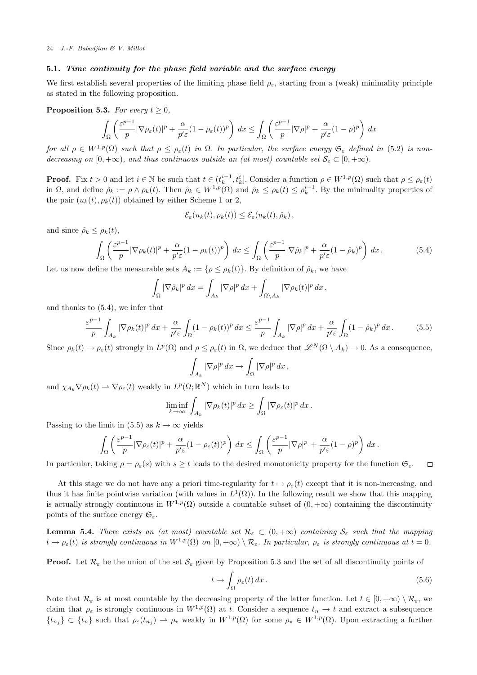### 5.1. Time continuity for the phase field variable and the surface energy

We first establish several properties of the limiting phase field  $\rho_{\varepsilon}$ , starting from a (weak) minimality principle as stated in the following proposition.

**Proposition 5.3.** For every  $t \geq 0$ ,

$$
\int_{\Omega} \left( \frac{\varepsilon^{p-1}}{p} |\nabla \rho_{\varepsilon}(t)|^p + \frac{\alpha}{p' \varepsilon} (1 - \rho_{\varepsilon}(t))^p \right) dx \le \int_{\Omega} \left( \frac{\varepsilon^{p-1}}{p} |\nabla \rho|^p + \frac{\alpha}{p' \varepsilon} (1 - \rho)^p \right) dx
$$

for all  $\rho \in W^{1,p}(\Omega)$  such that  $\rho \leq \rho_{\varepsilon}(t)$  in  $\Omega$ . In particular, the surface energy  $\mathfrak{S}_{\varepsilon}$  defined in (5.2) is nondecreasing on  $[0, +\infty)$ , and thus continuous outside an (at most) countable set  $\mathcal{S}_{\varepsilon} \subset [0, +\infty)$ .

**Proof.** Fix  $t > 0$  and let  $i \in \mathbb{N}$  be such that  $t \in (t_k^{i-1}, t_k^i]$ . Consider a function  $\rho \in W^{1,p}(\Omega)$  such that  $\rho \leq \rho_{\varepsilon}(t)$ in  $\Omega$ , and define  $\rho_k := \rho \wedge \rho_k(t)$ . Then  $\rho_k \in W^{1,p}(\Omega)$  and  $\rho_k \leq \rho_k(t) \leq \rho_k^{i-1}$ . By the minimality properties of the pair  $(u_k(t), \rho_k(t))$  obtained by either Scheme 1 or 2,

$$
\mathcal{E}_{\varepsilon}(u_k(t), \rho_k(t)) \leq \mathcal{E}_{\varepsilon}(u_k(t), \hat{\rho}_k),
$$

and since  $\hat{\rho}_k \leq \rho_k(t)$ ,

$$
\int_{\Omega} \left( \frac{\varepsilon^{p-1}}{p} |\nabla \rho_k(t)|^p + \frac{\alpha}{p' \varepsilon} (1 - \rho_k(t))^p \right) dx \le \int_{\Omega} \left( \frac{\varepsilon^{p-1}}{p} |\nabla \hat{\rho}_k|^p + \frac{\alpha}{p' \varepsilon} (1 - \hat{\rho}_k)^p \right) dx. \tag{5.4}
$$

Let us now define the measurable sets  $A_k := \{ \rho \leq \rho_k(t) \}$ . By definition of  $\hat{\rho}_k$ , we have

$$
\int_{\Omega} |\nabla \hat{\rho}_k|^p dx = \int_{A_k} |\nabla \rho|^p dx + \int_{\Omega \setminus A_k} |\nabla \rho_k(t)|^p dx,
$$

and thanks to (5.4), we infer that

$$
\frac{\varepsilon^{p-1}}{p} \int_{A_k} |\nabla \rho_k(t)|^p \, dx + \frac{\alpha}{p' \varepsilon} \int_{\Omega} (1 - \rho_k(t))^p \, dx \le \frac{\varepsilon^{p-1}}{p} \int_{A_k} |\nabla \rho|^p \, dx + \frac{\alpha}{p' \varepsilon} \int_{\Omega} (1 - \hat{\rho}_k)^p \, dx. \tag{5.5}
$$

Since  $\rho_k(t) \to \rho_{\varepsilon}(t)$  strongly in  $L^p(\Omega)$  and  $\rho \leq \rho_{\varepsilon}(t)$  in  $\Omega$ , we deduce that  $\mathscr{L}^N(\Omega \setminus A_k) \to 0$ . As a consequence,

$$
\int_{A_k} |\nabla \rho|^p \, dx \to \int_{\Omega} |\nabla \rho|^p \, dx \, ,
$$

and  $\chi_{A_k} \nabla \rho_k(t) \rightharpoonup \nabla \rho_{\varepsilon}(t)$  weakly in  $L^p(\Omega; \mathbb{R}^N)$  which in turn leads to

$$
\liminf_{k\to\infty}\int_{A_k}|\nabla\rho_k(t)|^p\,dx\geq\int_{\Omega}|\nabla\rho_{\varepsilon}(t)|^p\,dx.
$$

Passing to the limit in (5.5) as  $k \to \infty$  yields

$$
\int_{\Omega} \left( \frac{\varepsilon^{p-1}}{p} |\nabla \rho_{\varepsilon}(t)|^p + \frac{\alpha}{p' \varepsilon} (1 - \rho_{\varepsilon}(t))^p \right) dx \leq \int_{\Omega} \left( \frac{\varepsilon^{p-1}}{p} |\nabla \rho|^p + \frac{\alpha}{p' \varepsilon} (1 - \rho)^p \right) dx.
$$

In particular, taking  $\rho = \rho_{\varepsilon}(s)$  with  $s \geq t$  leads to the desired monotonicity property for the function  $\mathfrak{S}_{\varepsilon}$ .  $\Box$ 

At this stage we do not have any a priori time-regularity for  $t \mapsto \rho_{\varepsilon}(t)$  except that it is non-increasing, and thus it has finite pointwise variation (with values in  $L^1(\Omega)$ ). In the following result we show that this mapping is actually strongly continuous in  $W^{1,p}(\Omega)$  outside a countable subset of  $(0, +\infty)$  containing the discontinuity points of the surface energy  $\mathfrak{S}_{\varepsilon}$ .

**Lemma 5.4.** There exists an (at most) countable set  $\mathcal{R}_{\varepsilon} \subset (0, +\infty)$  containing  $\mathcal{S}_{\varepsilon}$  such that the mapping  $t \mapsto \rho_{\varepsilon}(t)$  is strongly continuous in  $W^{1,p}(\Omega)$  on  $[0, +\infty) \setminus \mathcal{R}_{\varepsilon}$ . In particular,  $\rho_{\varepsilon}$  is strongly continuous at  $t = 0$ .

**Proof.** Let  $\mathcal{R}_{\varepsilon}$  be the union of the set  $\mathcal{S}_{\varepsilon}$  given by Proposition 5.3 and the set of all discontinuity points of

$$
t \mapsto \int_{\Omega} \rho_{\varepsilon}(t) dx. \tag{5.6}
$$

Note that  $\mathcal{R}_{\varepsilon}$  is at most countable by the decreasing property of the latter function. Let  $t \in [0, +\infty) \setminus \mathcal{R}_{\varepsilon}$ , we claim that  $\rho_{\varepsilon}$  is strongly continuous in  $W^{1,p}(\Omega)$  at t. Consider a sequence  $t_n \to t$  and extract a subsequence  $\{t_{n_j}\}\subset \{t_n\}$  such that  $\rho_{\varepsilon}(t_{n_j})\rightharpoonup \rho_{\star}$  weakly in  $W^{1,p}(\Omega)$  for some  $\rho_{\star}\in W^{1,p}(\Omega)$ . Upon extracting a further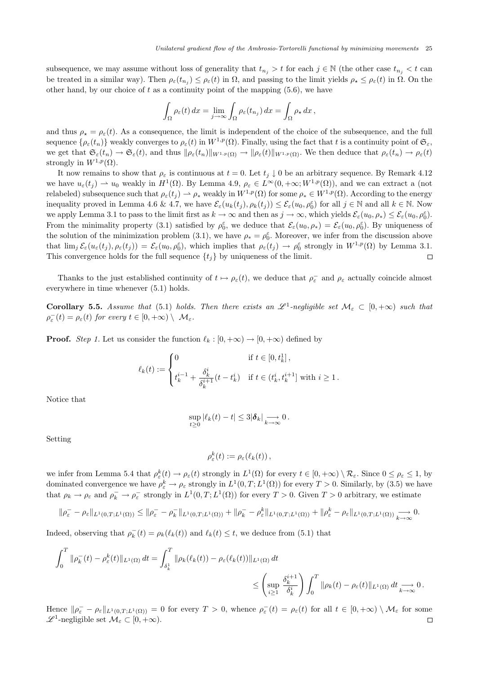subsequence, we may assume without loss of generality that  $t_{n_j} > t$  for each  $j \in \mathbb{N}$  (the other case  $t_{n_j} < t$  can be treated in a similar way). Then  $\rho_{\varepsilon}(t_{n_j}) \leq \rho_{\varepsilon}(t)$  in  $\Omega$ , and passing to the limit yields  $\rho_{\star} \leq \rho_{\varepsilon}(t)$  in  $\Omega$ . On the other hand, by our choice of  $t$  as a continuity point of the mapping  $(5.6)$ , we have

$$
\int_{\Omega} \rho_{\varepsilon}(t) dx = \lim_{j \to \infty} \int_{\Omega} \rho_{\varepsilon}(t_{n_j}) dx = \int_{\Omega} \rho_{\star} dx,
$$

and thus  $\rho_* = \rho_{\varepsilon}(t)$ . As a consequence, the limit is independent of the choice of the subsequence, and the full sequence  $\{\rho_{\varepsilon}(t_n)\}\$  weakly converges to  $\rho_{\varepsilon}(t)$  in  $W^{1,p}(\Omega)$ . Finally, using the fact that t is a continuity point of  $\mathfrak{S}_{\varepsilon}$ , we get that  $\mathfrak{S}_{\varepsilon}(t_n) \to \mathfrak{S}_{\varepsilon}(t)$ , and thus  $\|\rho_{\varepsilon}(t_n)\|_{W^{1,p}(\Omega)} \to \|\rho_{\varepsilon}(t)\|_{W^{1,p}(\Omega)}$ . We then deduce that  $\rho_{\varepsilon}(t_n) \to \rho_{\varepsilon}(t)$ strongly in  $W^{1,p}(\Omega)$ .

It now remains to show that  $\rho_{\varepsilon}$  is continuous at  $t = 0$ . Let  $t_i \downarrow 0$  be an arbitrary sequence. By Remark 4.12 we have  $u_{\varepsilon}(t_j) \rightharpoonup u_0$  weakly in  $H^1(\Omega)$ . By Lemma 4.9,  $\rho_{\varepsilon} \in L^{\infty}(0, +\infty; W^{1,p}(\Omega))$ , and we can extract a (not relabeled) subsequence such that  $\rho_{\varepsilon}(t_j) \rightharpoonup \rho_*$  weakly in  $W^{1,p}(\Omega)$  for some  $\rho_* \in W^{1,p}(\Omega)$ . According to the energy inequality proved in Lemma 4.6 & 4.7, we have  $\mathcal{E}_{\varepsilon}(u_k(t_j), \rho_k(t_j)) \leq \mathcal{E}_{\varepsilon}(u_0, \rho_0^{\varepsilon})$  for all  $j \in \mathbb{N}$  and all  $k \in \mathbb{N}$ . Now we apply Lemma 3.1 to pass to the limit first as  $k \to \infty$  and then as  $j \to \infty$ , which yields  $\mathcal{E}_{\varepsilon}(u_0, \rho_*) \leq \mathcal{E}_{\varepsilon}(u_0, \rho_0^{\varepsilon})$ . From the minimality property (3.1) satisfied by  $\rho_0^{\varepsilon}$ , we deduce that  $\mathcal{E}_{\varepsilon}(u_0, \rho_*) = \mathcal{E}_{\varepsilon}(u_0, \rho_0^{\varepsilon})$ . By uniqueness of the solution of the minimization problem (3.1), we have  $\rho_* = \rho_0^{\varepsilon}$ . Moreover, we infer from the discussion above that  $\lim_{j} \mathcal{E}_{\varepsilon}(u_{\varepsilon}(t_j), \rho_{\varepsilon}(t_j)) = \mathcal{E}_{\varepsilon}(u_0, \rho_0^{\varepsilon}),$  which implies that  $\rho_{\varepsilon}(t_j) \to \rho_0^{\varepsilon}$  strongly in  $W^{1,p}(\Omega)$  by Lemma 3.1. This convergence holds for the full sequence  $\{t_i\}$  by uniqueness of the limit.  $\Box$ 

Thanks to the just established continuity of  $t \mapsto \rho_{\varepsilon}(t)$ , we deduce that  $\rho_{\varepsilon}$  and  $\rho_{\varepsilon}$  actually coincide almost everywhere in time whenever (5.1) holds.

**Corollary 5.5.** Assume that (5.1) holds. Then there exists an  $\mathscr{L}^1$ -negligible set  $\mathcal{M}_{\varepsilon} \subset [0, +\infty)$  such that  $\rho_{\varepsilon}^{-}(t) = \rho_{\varepsilon}(t)$  for every  $t \in [0, +\infty) \setminus \mathcal{M}_{\varepsilon}$ .

**Proof.** Step 1. Let us consider the function  $\ell_k : [0, +\infty) \to [0, +\infty)$  defined by

$$
\ell_k(t) := \begin{cases} 0 & \text{if } t \in [0, t_k^1], \\ t_k^{i-1} + \frac{\delta_k^i}{\delta_k^{i+1}}(t - t_k^i) & \text{if } t \in (t_k^i, t_k^{i+1}] \text{ with } i \ge 1. \end{cases}
$$

Notice that

$$
\sup_{t\geq 0} |\ell_k(t)-t| \leq 3|\boldsymbol{\delta}_k| \underset{k\to\infty}{\longrightarrow} 0.
$$

Setting

$$
\rho_{\varepsilon}^k(t) := \rho_{\varepsilon}(\ell_k(t)),
$$

we infer from Lemma 5.4 that  $\rho_{\varepsilon}^k(t) \to \rho_{\varepsilon}(t)$  strongly in  $L^1(\Omega)$  for every  $t \in [0, +\infty) \setminus \mathcal{R}_{\varepsilon}$ . Since  $0 \le \rho_{\varepsilon} \le 1$ , by dominated convergence we have  $\rho_{\varepsilon}^{k} \to \rho_{\varepsilon}$  strongly in  $L^{1}(0,T;L^{1}(\Omega))$  for every  $T > 0$ . Similarly, by (3.5) we have that  $\rho_k \to \rho_{\varepsilon}$  and  $\rho_k^- \to \rho_{\varepsilon}^-$  strongly in  $L^1(0,T;L^1(\Omega))$  for every  $T > 0$ . Given  $T > 0$  arbitrary, we estimate

$$
\|\rho_{\varepsilon}^{-}-\rho_{\varepsilon}\|_{L^{1}(0,T;L^{1}(\Omega))}\leq \|\rho_{\varepsilon}^{-}-\rho_{k}^{-}\|_{L^{1}(0,T;L^{1}(\Omega))}+\|\rho_{k}^{-}-\rho_{\varepsilon}^{k}\|_{L^{1}(0,T;L^{1}(\Omega))}+\|\rho_{\varepsilon}^{k}-\rho_{\varepsilon}\|_{L^{1}(0,T;L^{1}(\Omega))}\underset{k\to\infty}{\longrightarrow}0.
$$

Indeed, observing that  $\rho_k^-(t) = \rho_k(\ell_k(t))$  and  $\ell_k(t) \leq t$ , we deduce from (5.1) that

$$
\int_0^T \|\rho_k^-(t) - \rho_\varepsilon^k(t)\|_{L^1(\Omega)} dt = \int_{\delta_k^1}^T \|\rho_k(\ell_k(t)) - \rho_\varepsilon(\ell_k(t))\|_{L^1(\Omega)} dt
$$
  

$$
\leq \left(\sup_{i \geq 1} \frac{\delta_k^{i+1}}{\delta_k^i} \right) \int_0^T \|\rho_k(t) - \rho_\varepsilon(t)\|_{L^1(\Omega)} dt \longrightarrow 0.
$$

Hence  $\|\rho_{\varepsilon}^{\perp}-\rho_{\varepsilon}\|_{L^{1}(0,T;L^{1}(\Omega))}=0$  for every  $T>0$ , whence  $\rho_{\varepsilon}^{\perp}(t)=\rho_{\varepsilon}(t)$  for all  $t\in[0,+\infty)\setminus\mathcal{M}_{\varepsilon}$  for some  $\mathscr{L}^1$ -negligible set  $\mathcal{M}_{\varepsilon} \subset [0, +\infty)$ .  $\Box$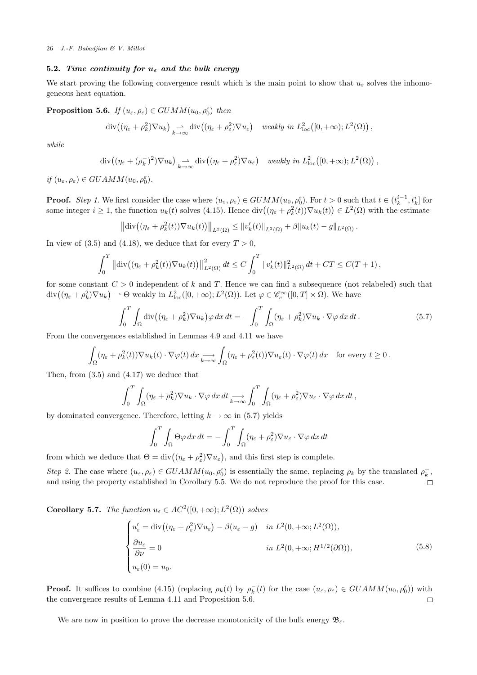## 5.2. Time continuity for  $u_{\varepsilon}$  and the bulk energy

We start proving the following convergence result which is the main point to show that  $u_{\varepsilon}$  solves the inhomogeneous heat equation.

**Proposition 5.6.** If  $(u_{\varepsilon}, \rho_{\varepsilon}) \in GUMM(u_0, \rho_0^{\varepsilon})$  then

$$
\mathrm{div}\big((\eta_{\varepsilon}+\rho_k^2)\nabla u_k\big) \underset{k\to\infty}{\rightharpoonup} \mathrm{div}\big((\eta_{\varepsilon}+\rho_{\varepsilon}^2)\nabla u_{\varepsilon}\big) \quad weakly\ in\ L^2_{\mathrm{loc}}\big([0,+\infty);L^2(\Omega)\big)\,,
$$

while

$$
\operatorname{div}\left((\eta_{\varepsilon}+(\rho_k^-)^2)\nabla u_k\right) \underset{k\to\infty}{\to} \operatorname{div}\left((\eta_{\varepsilon}+\rho_{\varepsilon}^2)\nabla u_{\varepsilon}\right) \quad weakly \ in \ L^2_{\text{loc}}\left([0,+\infty);L^2(\Omega)\right),
$$

if  $(u_{\varepsilon}, \rho_{\varepsilon}) \in GUAMM(u_0, \rho_0^{\varepsilon}).$ 

**Proof.** Step 1. We first consider the case where  $(u_{\varepsilon}, \rho_{\varepsilon}) \in GUMM(u_0, \rho_0^{\varepsilon})$ . For  $t > 0$  such that  $t \in (t_k^{i-1}, t_k^i]$  for some integer  $i \geq 1$ , the function  $u_k(t)$  solves (4.15). Hence  $\text{div}\left((\eta_{\varepsilon} + \rho_k^2(t))\nabla u_k(t)\right) \in L^2(\Omega)$  with the estimate

$$
\left\| \mathrm{div} \big( (\eta_{\varepsilon} + \rho_k^2(t)) \nabla u_k(t) \big) \right\|_{L^2(\Omega)} \leq \| v'_k(t) \|_{L^2(\Omega)} + \beta \| u_k(t) - g \|_{L^2(\Omega)}.
$$

In view of (3.5) and (4.18), we deduce that for every  $T > 0$ .

$$
\int_0^T \left\| \mathrm{div} \big( (\eta_{\varepsilon} + \rho_k^2(t)) \nabla u_k(t) \big) \right\|_{L^2(\Omega)}^2 dt \le C \int_0^T \|v_k'(t)\|_{L^2(\Omega)}^2 dt + CT \le C(T+1),
$$

for some constant  $C > 0$  independent of k and T. Hence we can find a subsequence (not relabeled) such that  $\text{div}\big((\eta_{\varepsilon}+\rho_k^2)\nabla u_k\big)\rightharpoonup \Theta$  weakly in  $L^2_{\text{loc}}([0,+\infty);L^2(\Omega))$ . Let  $\varphi\in\mathscr{C}_c^\infty([0,T]\times\Omega)$ . We have

$$
\int_0^T \int_{\Omega} \operatorname{div} \left( (\eta_{\varepsilon} + \rho_k^2) \nabla u_k \right) \varphi \, dx \, dt = - \int_0^T \int_{\Omega} (\eta_{\varepsilon} + \rho_k^2) \nabla u_k \cdot \nabla \varphi \, dx \, dt \,. \tag{5.7}
$$

From the convergences established in Lemmas 4.9 and 4.11 we have

$$
\int_{\Omega} (\eta_{\varepsilon} + \rho_k^2(t)) \nabla u_k(t) \cdot \nabla \varphi(t) dx \underset{k \to \infty}{\longrightarrow} \int_{\Omega} (\eta_{\varepsilon} + \rho_{\varepsilon}^2(t)) \nabla u_{\varepsilon}(t) \cdot \nabla \varphi(t) dx \quad \text{for every } t \ge 0.
$$

Then, from (3.5) and (4.17) we deduce that

$$
\int_0^T \int_{\Omega} (\eta_{\varepsilon} + \rho_k^2) \nabla u_k \cdot \nabla \varphi \, dx \, dt \longrightarrow \int_0^T \int_{\Omega} (\eta_{\varepsilon} + \rho_{\varepsilon}^2) \nabla u_{\varepsilon} \cdot \nabla \varphi \, dx \, dt,
$$

by dominated convergence. Therefore, letting  $k \to \infty$  in (5.7) yields

$$
\int_0^T \int_{\Omega} \Theta \varphi \, dx \, dt = -\int_0^T \int_{\Omega} (\eta_{\varepsilon} + \rho_{\varepsilon}^2) \nabla u_{\varepsilon} \cdot \nabla \varphi \, dx \, dt
$$

from which we deduce that  $\Theta = \text{div}((\eta_{\varepsilon} + \rho_{\varepsilon}^2) \nabla u_{\varepsilon}),$  and this first step is complete.

Step 2. The case where  $(u_{\varepsilon}, \rho_{\varepsilon}) \in GUAMM(u_0, \rho_0^{\varepsilon})$  is essentially the same, replacing  $\rho_k$  by the translated  $\rho_k^-$ , and using the property established in Corollary 5.5. We do not reproduce the proof for this case.  $\Box$ 

**Corollary 5.7.** The function  $u_{\varepsilon} \in AC^2([0, +\infty); L^2(\Omega))$  solves

$$
\begin{cases}\nu'_{\varepsilon} = \text{div}\left((\eta_{\varepsilon} + \rho_{\varepsilon}^{2})\nabla u_{\varepsilon}\right) - \beta(u_{\varepsilon} - g) & \text{in } L^{2}(0, +\infty; L^{2}(\Omega)), \\
\frac{\partial u_{\varepsilon}}{\partial \nu} = 0 & \text{in } L^{2}(0, +\infty; H^{1/2}(\partial \Omega)), \\
u_{\varepsilon}(0) = u_{0}.\n\end{cases}
$$
\n(5.8)

**Proof.** It suffices to combine (4.15) (replacing  $\rho_k(t)$  by  $\rho_k^-(t)$  for the case  $(u_\varepsilon, \rho_\varepsilon) \in GUAMM(u_0, \rho_0^\varepsilon)$ ) with the convergence results of Lemma 4.11 and Proposition 5.6.  $\Box$ 

We are now in position to prove the decrease monotonicity of the bulk energy  $\mathfrak{B}_{\varepsilon}$ .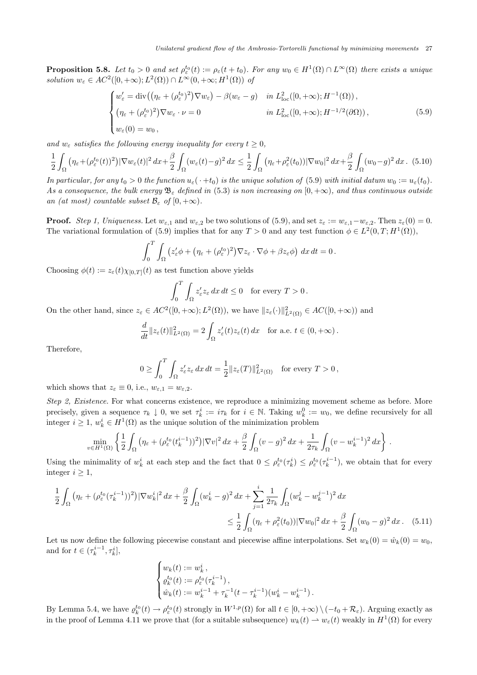**Proposition 5.8.** Let  $t_0 > 0$  and set  $\rho_{\varepsilon}^{t_0}(t) := \rho_{\varepsilon}(t + t_0)$ . For any  $w_0 \in H^1(\Omega) \cap L^{\infty}(\Omega)$  there exists a unique solution  $w_{\varepsilon} \in AC^2([0, +\infty); L^2(\Omega)) \cap L^{\infty}(0, +\infty; H^1(\Omega))$  of

$$
\begin{cases}\nw_{\varepsilon}' = \text{div}\left(\left(\eta_{\varepsilon} + (\rho_{\varepsilon}^{t_0})^2\right)\nabla w_{\varepsilon}\right) - \beta(w_{\varepsilon} - g) & \text{in } L^2_{\text{loc}}([0, +\infty); H^{-1}(\Omega)), \\
\left(\eta_{\varepsilon} + (\rho_{\varepsilon}^{t_0})^2\right)\nabla w_{\varepsilon} \cdot \nu = 0 & \text{in } L^2_{\text{loc}}([0, +\infty); H^{-1/2}(\partial\Omega)), \\
w_{\varepsilon}(0) = w_0,\n\end{cases} \tag{5.9}
$$

and  $w_{\varepsilon}$  satisfies the following energy inequality for every  $t \geq 0$ ,

$$
\frac{1}{2} \int_{\Omega} \left( \eta_{\varepsilon} + (\rho_{\varepsilon}^{t_0}(t))^2 \right) |\nabla w_{\varepsilon}(t)|^2 dx + \frac{\beta}{2} \int_{\Omega} (w_{\varepsilon}(t) - g)^2 dx \le \frac{1}{2} \int_{\Omega} \left( \eta_{\varepsilon} + \rho_{\varepsilon}^2(t_0) \right) |\nabla w_0|^2 dx + \frac{\beta}{2} \int_{\Omega} (w_0 - g)^2 dx. \tag{5.10}
$$

In particular, for any  $t_0 > 0$  the function  $u_{\varepsilon}(\cdot + t_0)$  is the unique solution of (5.9) with initial datum  $w_0 := u_{\varepsilon}(t_0)$ . As a consequence, the bulk energy  $\mathfrak{B}_{\varepsilon}$  defined in (5.3) is non increasing on  $[0, +\infty)$ , and thus continuous outside an (at most) countable subset  $\mathcal{B}_{\varepsilon}$  of  $[0, +\infty)$ .

**Proof.** Step 1, Uniqueness. Let  $w_{\varepsilon,1}$  and  $w_{\varepsilon,2}$  be two solutions of (5.9), and set  $z_{\varepsilon} := w_{\varepsilon,1} - w_{\varepsilon,2}$ . Then  $z_{\varepsilon}(0) = 0$ . The variational formulation of (5.9) implies that for any  $T > 0$  and any test function  $\phi \in L^2(0,T;H^1(\Omega))$ ,

$$
\int_0^T \int_{\Omega} \left( z_{\varepsilon}' \phi + \left( \eta_{\varepsilon} + (\rho_{\varepsilon}^{t_0})^2 \right) \nabla z_{\varepsilon} \cdot \nabla \phi + \beta z_{\varepsilon} \phi \right) dx dt = 0.
$$

Choosing  $\phi(t) := z_{\varepsilon}(t) \chi_{[0,T]}(t)$  as test function above yields

$$
\int_0^T \int_{\Omega} z_{\varepsilon}' z_{\varepsilon} dx dt \le 0 \quad \text{for every } T > 0.
$$

On the other hand, since  $z_{\varepsilon} \in AC^2([0, +\infty); L^2(\Omega))$ , we have  $||z_{\varepsilon}(\cdot)||_{L^2(\Omega)}^2 \in AC([0, +\infty))$  and

$$
\frac{d}{dt}||z_{\varepsilon}(t)||_{L^{2}(\Omega)}^{2}=2\int_{\Omega}z_{\varepsilon}'(t)z_{\varepsilon}(t) dx \quad \text{for a.e. } t\in(0,+\infty).
$$

Therefore,

$$
0 \ge \int_0^T \int_{\Omega} z_{\varepsilon}' z_{\varepsilon} dx dt = \frac{1}{2} ||z_{\varepsilon}(T)||^2_{L^2(\Omega)} \text{ for every } T > 0,
$$

which shows that  $z_{\varepsilon} \equiv 0$ , i.e.,  $w_{\varepsilon,1} = w_{\varepsilon,2}$ .

Step 2, Existence. For what concerns existence, we reproduce a minimizing movement scheme as before. More precisely, given a sequence  $\tau_k \downarrow 0$ , we set  $\tau_k^i := i\tau_k$  for  $i \in \mathbb{N}$ . Taking  $w_k^0 := w_0$ , we define recursively for all integer  $i \geq 1$ ,  $w_k^i \in H^1(\Omega)$  as the unique solution of the minimization problem

$$
\min_{v\in H^1(\Omega)} \left\{ \frac{1}{2} \int_{\Omega} \left( \eta_\varepsilon + (\rho_\varepsilon^{t_0} (t_k^{i-1}))^2 \right) |\nabla v|^2 \, dx + \frac{\beta}{2} \int_{\Omega} (v-g)^2 \, dx + \frac{1}{2\tau_k} \int_{\Omega} (v-u_k^{i-1})^2 \, dx \right\} \, .
$$

Using the minimality of  $w_k^i$  at each step and the fact that  $0 \leq \rho_{\varepsilon}^{t_0}(\tau_k^i) \leq \rho_{\varepsilon}^{t_0}(\tau_k^{i-1})$ , we obtain that for every integer  $i \geq 1$ ,

$$
\frac{1}{2} \int_{\Omega} \left( \eta_{\varepsilon} + (\rho_{\varepsilon}^{t_0} (\tau_k^{i-1}))^2 \right) |\nabla w_k^i|^2 \, dx + \frac{\beta}{2} \int_{\Omega} (w_k^i - g)^2 \, dx + \sum_{j=1}^i \frac{1}{2\tau_k} \int_{\Omega} (w_k^j - w_k^{j-1})^2 \, dx
$$
\n
$$
\leq \frac{1}{2} \int_{\Omega} (\eta_{\varepsilon} + \rho_{\varepsilon}^2(t_0)) |\nabla w_0|^2 \, dx + \frac{\beta}{2} \int_{\Omega} (w_0 - g)^2 \, dx. \tag{5.11}
$$

Let us now define the following piecewise constant and piecewise affine interpolations. Set  $w_k(0) = \hat{w}_k(0) = w_0$ , and for  $t \in (\tau_k^{i-1}, \tau_k^i]$ ,

$$
\begin{cases} w_k(t) := w_k^i \,, \\ \varrho_k^{t_0}(t) := \rho_{\varepsilon}^{t_0}(\tau_k^{i-1}) \,, \\ \hat{w}_k(t) := w_k^{i-1} + \tau_k^{-1}(t - \tau_k^{i-1})(w_k^i - w_k^{i-1}) \,. \end{cases}
$$

By Lemma 5.4, we have  $\varrho_k^{t_0}(t) \to \varrho_{\varepsilon}^{t_0}(t)$  strongly in  $W^{1,p}(\Omega)$  for all  $t \in [0, +\infty) \setminus (-t_0 + \mathcal{R}_{\varepsilon})$ . Arguing exactly as in the proof of Lemma 4.11 we prove that (for a suitable subsequence)  $w_k(t) \to w_{\varepsilon}(t)$  weakly in  $H^1(\Omega)$  for every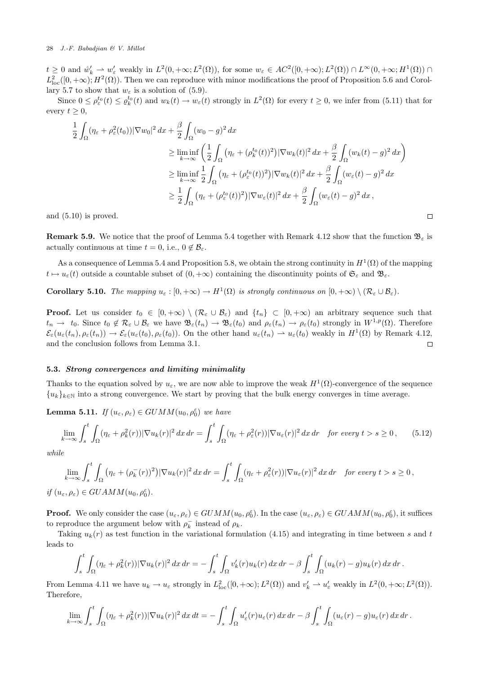$t \geq 0$  and  $\hat{w}'_k \rightharpoonup w'_\varepsilon$  weakly in  $L^2(0, +\infty; L^2(\Omega))$ , for some  $w_\varepsilon \in AC^2([0, +\infty); L^2(\Omega)) \cap L^\infty(0, +\infty; H^1(\Omega)) \cap$  $L^2_{loc}([0,+\infty); H^2(\Omega))$ . Then we can reproduce with minor modifications the proof of Proposition 5.6 and Corollary 5.7 to show that  $w_{\varepsilon}$  is a solution of (5.9).

Since  $0 \leq \rho_{\varepsilon}^{t_0}(t) \leq \varrho_k^{t_0}(t)$  and  $w_k(t) \to w_{\varepsilon}(t)$  strongly in  $L^2(\Omega)$  for every  $t \geq 0$ , we infer from (5.11) that for every  $t \geq 0$ ,

$$
\frac{1}{2} \int_{\Omega} (\eta_{\varepsilon} + \rho_{\varepsilon}^{2}(t_{0})) |\nabla w_{0}|^{2} dx + \frac{\beta}{2} \int_{\Omega} (w_{0} - g)^{2} dx
$$
\n
$$
\geq \liminf_{k \to \infty} \left( \frac{1}{2} \int_{\Omega} (\eta_{\varepsilon} + (\rho_{k}^{t_{0}}(t))^{2}) |\nabla w_{k}(t)|^{2} dx + \frac{\beta}{2} \int_{\Omega} (w_{k}(t) - g)^{2} dx \right)
$$
\n
$$
\geq \liminf_{k \to \infty} \frac{1}{2} \int_{\Omega} (\eta_{\varepsilon} + (\rho_{\varepsilon}^{t_{0}}(t))^{2}) |\nabla w_{k}(t)|^{2} dx + \frac{\beta}{2} \int_{\Omega} (w_{\varepsilon}(t) - g)^{2} dx
$$
\n
$$
\geq \frac{1}{2} \int_{\Omega} (\eta_{\varepsilon} + (\rho_{\varepsilon}^{t_{0}}(t))^{2}) |\nabla w_{\varepsilon}(t)|^{2} dx + \frac{\beta}{2} \int_{\Omega} (w_{\varepsilon}(t) - g)^{2} dx,
$$

 $\Box$ 

and (5.10) is proved.

**Remark 5.9.** We notice that the proof of Lemma 5.4 together with Remark 4.12 show that the function  $\mathfrak{B}_{\varepsilon}$  is actually continuous at time  $t = 0$ , i.e.,  $0 \notin \mathcal{B}_{\varepsilon}$ .

As a consequence of Lemma 5.4 and Proposition 5.8, we obtain the strong continuity in  $H^1(\Omega)$  of the mapping  $t \mapsto u_{\varepsilon}(t)$  outside a countable subset of  $(0, +\infty)$  containing the discontinuity points of  $\mathfrak{S}_{\varepsilon}$  and  $\mathfrak{B}_{\varepsilon}$ .

**Corollary 5.10.** The mapping  $u_{\varepsilon} : [0, +\infty) \to H^1(\Omega)$  is strongly continuous on  $[0, +\infty) \setminus (\mathcal{R}_{\varepsilon} \cup \mathcal{B}_{\varepsilon})$ .

**Proof.** Let us consider  $t_0 \in [0, +\infty) \setminus (\mathcal{R}_{\varepsilon} \cup \mathcal{B}_{\varepsilon})$  and  $\{t_n\} \subset [0, +\infty)$  an arbitrary sequence such that  $t_n \to t_0$ . Since  $t_0 \notin \mathcal{R}_{\varepsilon} \cup \mathcal{B}_{\varepsilon}$  we have  $\mathfrak{B}_{\varepsilon}(t_n) \to \mathfrak{B}_{\varepsilon}(t_0)$  and  $\rho_{\varepsilon}(t_n) \to \rho_{\varepsilon}(t_0)$  strongly in  $W^{1,p}(\Omega)$ . Therefore  $\mathcal{E}_{\varepsilon}(u_{\varepsilon}(t_n), \rho_{\varepsilon}(t_n)) \to \mathcal{E}_{\varepsilon}(u_{\varepsilon}(t_0), \rho_{\varepsilon}(t_0)).$  On the other hand  $u_{\varepsilon}(t_n) \to u_{\varepsilon}(t_0)$  weakly in  $H^1(\Omega)$  by Remark 4.12, and the conclusion follows from Lemma 3.1.  $\Box$ 

### 5.3. Strong convergences and limiting minimality

Thanks to the equation solved by  $u_{\varepsilon}$ , we are now able to improve the weak  $H^1(\Omega)$ -convergence of the sequence  ${u_k}_{k\in\mathbb{N}}$  into a strong convergence. We start by proving that the bulk energy converges in time average.

**Lemma 5.11.** If  $(u_{\varepsilon}, \rho_{\varepsilon}) \in GUMM(u_0, \rho_0^{\varepsilon})$  we have

$$
\lim_{k \to \infty} \int_{s}^{t} \int_{\Omega} (\eta_{\varepsilon} + \rho_{k}^{2}(r)) |\nabla u_{k}(r)|^{2} dx dr = \int_{s}^{t} \int_{\Omega} (\eta_{\varepsilon} + \rho_{\varepsilon}^{2}(r)) |\nabla u_{\varepsilon}(r)|^{2} dx dr \quad \text{for every } t > s \ge 0,
$$
 (5.12)

while

$$
\lim_{k \to \infty} \int_{s}^{t} \int_{\Omega} \left( \eta_{\varepsilon} + (\rho_{k}^{-}(r))^{2} \right) |\nabla u_{k}(r)|^{2} dx dr = \int_{s}^{t} \int_{\Omega} (\eta_{\varepsilon} + \rho_{\varepsilon}^{2}(r)) |\nabla u_{\varepsilon}(r)|^{2} dx dr \text{ for every } t > s \ge 0,
$$
  
if  $(u_{\varepsilon}, \rho_{\varepsilon}) \in GUAMM(u_{0}, \rho_{0}^{\varepsilon}).$ 

**Proof.** We only consider the case  $(u_{\varepsilon}, \rho_{\varepsilon}) \in GUMM(u_0, \rho_0^{\varepsilon})$ . In the case  $(u_{\varepsilon}, \rho_{\varepsilon}) \in GUAMM(u_0, \rho_0^{\varepsilon})$ , it suffices to reproduce the argument below with  $\rho_k^-$  instead of  $\rho_k$ .

Taking  $u_k(r)$  as test function in the variational formulation (4.15) and integrating in time between s and t leads to

$$
\int_s^t \int_{\Omega} (\eta_{\varepsilon} + \rho_k^2(r)) |\nabla u_k(r)|^2 \, dx \, dr = - \int_s^t \int_{\Omega} v'_k(r) u_k(r) \, dx \, dr - \beta \int_s^t \int_{\Omega} (u_k(r) - g) u_k(r) \, dx \, dr.
$$

From Lemma 4.11 we have  $u_k \to u_\varepsilon$  strongly in  $L^2_{loc}([0, +\infty); L^2(\Omega))$  and  $v'_k \to u'_\varepsilon$  weakly in  $L^2(0, +\infty; L^2(\Omega))$ . Therefore,

$$
\lim_{k\to\infty}\int_s^t\int_{\Omega}(\eta_{\varepsilon}+\rho_k^2(r))|\nabla u_k(r)|^2\,dx\,dt=-\int_s^t\int_{\Omega}u_{\varepsilon}'(r)u_{\varepsilon}(r)\,dx\,dr-\beta\int_s^t\int_{\Omega}(u_{\varepsilon}(r)-g)u_{\varepsilon}(r)\,dx\,dr.
$$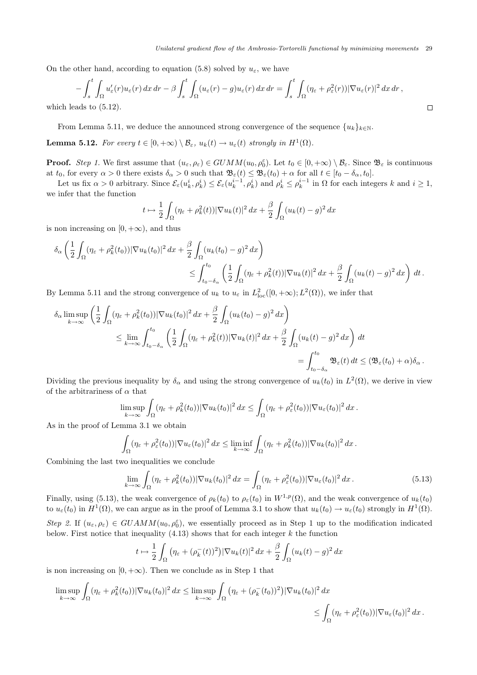On the other hand, according to equation (5.8) solved by  $u_{\varepsilon}$ , we have

$$
-\int_{s}^{t} \int_{\Omega} u_{\varepsilon}'(r) u_{\varepsilon}(r) \, dx \, dr - \beta \int_{s}^{t} \int_{\Omega} (u_{\varepsilon}(r) - g) u_{\varepsilon}(r) \, dx \, dr = \int_{s}^{t} \int_{\Omega} (\eta_{\varepsilon} + \rho_{\varepsilon}^{2}(r)) |\nabla u_{\varepsilon}(r)|^{2} \, dx \, dr,
$$
  
eads to (5.12).

which 1

From Lemma 5.11, we deduce the announced strong convergence of the sequence  $\{u_k\}_{k\in\mathbb{N}}$ .

**Lemma 5.12.** For every  $t \in [0, +\infty) \setminus \mathcal{B}_{\varepsilon}$ ,  $u_k(t) \to u_{\varepsilon}(t)$  strongly in  $H^1(\Omega)$ .

**Proof.** Step 1. We first assume that  $(u_{\varepsilon}, \rho_{\varepsilon}) \in GUMM(u_0, \rho_0^{\varepsilon})$ . Let  $t_0 \in [0, +\infty) \setminus \mathcal{B}_{\varepsilon}$ . Since  $\mathfrak{B}_{\varepsilon}$  is continuous at  $t_0$ , for every  $\alpha > 0$  there exists  $\delta_{\alpha} > 0$  such that  $\mathfrak{B}_{\varepsilon}(t) \leq \mathfrak{B}_{\varepsilon}(t_0) + \alpha$  for all  $t \in [t_0 - \delta_{\alpha}, t_0]$ .

Let us fix  $\alpha > 0$  arbitrary. Since  $\mathcal{E}_{\varepsilon}(u_k^i, \rho_k^i) \leq \mathcal{E}_{\varepsilon}(u_k^{i-1}, \rho_k^i)$  and  $\rho_k^i \leq \rho_k^{i-1}$  in  $\Omega$  for each integers k and  $i \geq 1$ , we infer that the function

$$
t \mapsto \frac{1}{2} \int_{\Omega} (\eta_{\varepsilon} + \rho_k^2(t)) |\nabla u_k(t)|^2 dx + \frac{\beta}{2} \int_{\Omega} (u_k(t) - g)^2 dx
$$

is non increasing on  $[0, +\infty)$ , and thus

$$
\delta_{\alpha} \left( \frac{1}{2} \int_{\Omega} (\eta_{\varepsilon} + \rho_k^2(t_0)) |\nabla u_k(t_0)|^2 dx + \frac{\beta}{2} \int_{\Omega} (u_k(t_0) - g)^2 dx \right) \leq \int_{t_0 - \delta_{\alpha}}^{t_0} \left( \frac{1}{2} \int_{\Omega} (\eta_{\varepsilon} + \rho_k^2(t)) |\nabla u_k(t)|^2 dx + \frac{\beta}{2} \int_{\Omega} (u_k(t) - g)^2 dx \right) dt.
$$

By Lemma 5.11 and the strong convergence of  $u_k$  to  $u_{\varepsilon}$  in  $L^2_{loc}([0,+\infty);L^2(\Omega))$ , we infer that

$$
\delta_{\alpha} \limsup_{k \to \infty} \left( \frac{1}{2} \int_{\Omega} (\eta_{\varepsilon} + \rho_k^2(t_0)) |\nabla u_k(t_0)|^2 dx + \frac{\beta}{2} \int_{\Omega} (u_k(t_0) - g)^2 dx \right)
$$
  

$$
\leq \lim_{k \to \infty} \int_{t_0 - \delta_{\alpha}}^{t_0} \left( \frac{1}{2} \int_{\Omega} (\eta_{\varepsilon} + \rho_k^2(t)) |\nabla u_k(t)|^2 dx + \frac{\beta}{2} \int_{\Omega} (u_k(t) - g)^2 dx \right) dt
$$
  

$$
= \int_{t_0 - \delta_{\alpha}}^{t_0} \mathfrak{B}_{\varepsilon}(t) dt \leq (\mathfrak{B}_{\varepsilon}(t_0) + \alpha) \delta_{\alpha}.
$$

Dividing the previous inequality by  $\delta_{\alpha}$  and using the strong convergence of  $u_k(t_0)$  in  $L^2(\Omega)$ , we derive in view of the arbitrariness of  $\alpha$  that

$$
\limsup_{k\to\infty}\int_{\Omega}(\eta_{\varepsilon}+\rho_k^2(t_0))|\nabla u_k(t_0)|^2\,dx\leq \int_{\Omega}(\eta_{\varepsilon}+\rho_{\varepsilon}^2(t_0))|\nabla u_{\varepsilon}(t_0)|^2\,dx.
$$

As in the proof of Lemma 3.1 we obtain

$$
\int_{\Omega} (\eta_{\varepsilon} + \rho_{\varepsilon}^2(t_0)) |\nabla u_{\varepsilon}(t_0)|^2 dx \le \liminf_{k \to \infty} \int_{\Omega} (\eta_{\varepsilon} + \rho_k^2(t_0)) |\nabla u_k(t_0)|^2 dx.
$$

Combining the last two inequalities we conclude

$$
\lim_{k \to \infty} \int_{\Omega} (\eta_{\varepsilon} + \rho_k^2(t_0)) |\nabla u_k(t_0)|^2 dx = \int_{\Omega} (\eta_{\varepsilon} + \rho_{\varepsilon}^2(t_0)) |\nabla u_{\varepsilon}(t_0)|^2 dx.
$$
\n(5.13)

Finally, using (5.13), the weak convergence of  $\rho_k(t_0)$  to  $\rho_{\varepsilon}(t_0)$  in  $W^{1,p}(\Omega)$ , and the weak convergence of  $u_k(t_0)$ to  $u_{\varepsilon}(t_0)$  in  $H^1(\Omega)$ , we can argue as in the proof of Lemma 3.1 to show that  $u_k(t_0) \to u_{\varepsilon}(t_0)$  strongly in  $H^1(\Omega)$ . Step 2. If  $(u_{\varepsilon}, \rho_{\varepsilon}) \in GUAMM(u_0, \rho_0^{\varepsilon})$ , we essentially proceed as in Step 1 up to the modification indicated below. First notice that inequality  $(4.13)$  shows that for each integer k the function

$$
t \mapsto \frac{1}{2} \int_{\Omega} \left( \eta_{\varepsilon} + (\rho_k^-(t))^2 \right) |\nabla u_k(t)|^2 \, dx + \frac{\beta}{2} \int_{\Omega} (u_k(t) - g)^2 \, dx
$$

is non increasing on  $[0, +\infty)$ . Then we conclude as in Step 1 that

$$
\limsup_{k \to \infty} \int_{\Omega} (\eta_{\varepsilon} + \rho_k^2(t_0)) |\nabla u_k(t_0)|^2 dx \leq \limsup_{k \to \infty} \int_{\Omega} (\eta_{\varepsilon} + (\rho_k^-(t_0))^2) |\nabla u_k(t_0)|^2 dx
$$
  

$$
\leq \int_{\Omega} (\eta_{\varepsilon} + \rho_{\varepsilon}^2(t_0)) |\nabla u_{\varepsilon}(t_0)|^2 dx.
$$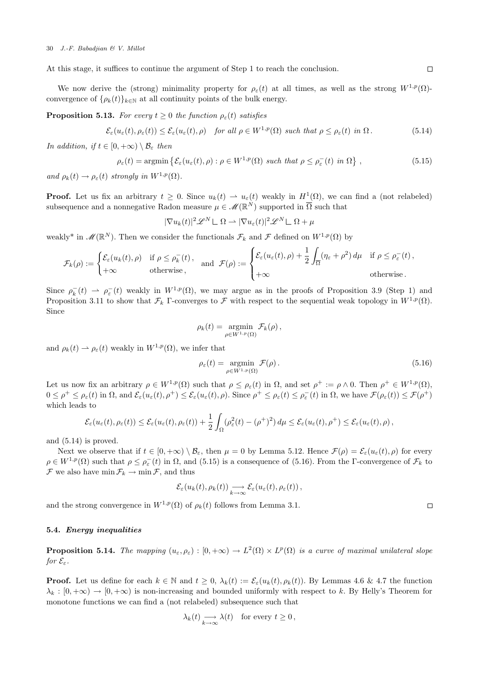At this stage, it suffices to continue the argument of Step 1 to reach the conclusion.

We now derive the (strong) minimality property for  $\rho_{\varepsilon}(t)$  at all times, as well as the strong  $W^{1,p}(\Omega)$ convergence of  $\{\rho_k(t)\}_{k\in\mathbb{N}}$  at all continuity points of the bulk energy.

**Proposition 5.13.** For every  $t \geq 0$  the function  $\rho_{\varepsilon}(t)$  satisfies

$$
\mathcal{E}_{\varepsilon}(u_{\varepsilon}(t), \rho_{\varepsilon}(t)) \leq \mathcal{E}_{\varepsilon}(u_{\varepsilon}(t), \rho) \quad \text{for all } \rho \in W^{1, p}(\Omega) \text{ such that } \rho \leq \rho_{\varepsilon}(t) \text{ in } \Omega. \tag{5.14}
$$

In addition, if  $t \in [0, +\infty) \setminus \mathcal{B}_{\varepsilon}$  then

$$
\rho_{\varepsilon}(t) = \operatorname{argmin} \left\{ \mathcal{E}_{\varepsilon}(u_{\varepsilon}(t), \rho) : \rho \in W^{1, p}(\Omega) \text{ such that } \rho \le \rho_{\varepsilon}^{-}(t) \text{ in } \Omega \right\},\tag{5.15}
$$

and  $\rho_k(t) \to \rho_{\varepsilon}(t)$  strongly in  $W^{1,p}(\Omega)$ .

**Proof.** Let us fix an arbitrary  $t \geq 0$ . Since  $u_k(t) \to u_{\varepsilon}(t)$  weakly in  $H^1(\Omega)$ , we can find a (not relabeled) subsequence and a nonnegative Radon measure  $\mu \in \mathscr{M}(\mathbb{R}^N)$  supported in  $\overline{\Omega}$  such that

$$
|\nabla u_k(t)|^2 \mathscr{L}^N \mathbb{L} \Omega \rightharpoonup |\nabla u_\varepsilon(t)|^2 \mathscr{L}^N \mathbb{L} \Omega + \mu
$$

weakly<sup>\*</sup> in  $\mathscr{M}(\mathbb{R}^N)$ . Then we consider the functionals  $\mathcal{F}_k$  and  $\mathcal F$  defined on  $W^{1,p}(\Omega)$  by

$$
\mathcal{F}_k(\rho) := \begin{cases} \mathcal{E}_\varepsilon(u_k(t), \rho) & \text{if } \rho \le \rho_k^-(t), \\ +\infty & \text{otherwise,} \end{cases} \quad \text{and} \quad \mathcal{F}(\rho) := \begin{cases} \mathcal{E}_\varepsilon(u_\varepsilon(t), \rho) + \frac{1}{2} \int_{\overline{\Omega}} (\eta_\varepsilon + \rho^2) d\mu & \text{if } \rho \le \rho_\varepsilon^-(t), \\ +\infty & \text{otherwise.} \end{cases}
$$

Since  $\rho_k^- (t) \rightharpoonup \rho_{\varepsilon}^- (t)$  weakly in  $W^{1,p}(\Omega)$ , we may argue as in the proofs of Proposition 3.9 (Step 1) and Proposition 3.11 to show that  $\mathcal{F}_k$  Γ-converges to F with respect to the sequential weak topology in  $W^{1,p}(\Omega)$ . Since

$$
\rho_k(t) = \operatorname*{argmin}_{\rho \in W^{1,p}(\Omega)} \mathcal{F}_k(\rho),
$$

and  $\rho_k(t) \rightharpoonup \rho_{\varepsilon}(t)$  weakly in  $W^{1,p}(\Omega)$ , we infer that

$$
\rho_{\varepsilon}(t) = \underset{\rho \in W^{1,p}(\Omega)}{\operatorname{argmin}} \mathcal{F}(\rho).
$$
\n(5.16)

Let us now fix an arbitrary  $\rho \in W^{1,p}(\Omega)$  such that  $\rho \leq \rho_{\varepsilon}(t)$  in  $\Omega$ , and set  $\rho^+ := \rho \wedge 0$ . Then  $\rho^+ \in W^{1,p}(\Omega)$ ,  $0 \leq \rho^+ \leq \rho_{\varepsilon}(t)$  in  $\Omega$ , and  $\mathcal{E}_{\varepsilon}(u_{\varepsilon}(t), \rho^+) \leq \mathcal{E}_{\varepsilon}(u_{\varepsilon}(t), \rho)$ . Since  $\rho^+ \leq \rho_{\varepsilon}(t) \leq \rho_{\varepsilon}^-(t)$  in  $\Omega$ , we have  $\mathcal{F}(\rho_{\varepsilon}(t)) \leq \mathcal{F}(\rho^+)$ which leads to

$$
\mathcal{E}_{\varepsilon}(u_{\varepsilon}(t),\rho_{\varepsilon}(t)) \leq \mathcal{E}_{\varepsilon}(u_{\varepsilon}(t),\rho_{\varepsilon}(t)) + \frac{1}{2} \int_{\Omega} (\rho_{\varepsilon}^{2}(t) - (\rho^{+})^{2}) d\mu \leq \mathcal{E}_{\varepsilon}(u_{\varepsilon}(t),\rho^{+}) \leq \mathcal{E}_{\varepsilon}(u_{\varepsilon}(t),\rho) ,
$$

and (5.14) is proved.

Next we observe that if  $t \in [0, +\infty) \setminus \mathcal{B}_{\varepsilon}$ , then  $\mu = 0$  by Lemma 5.12. Hence  $\mathcal{F}(\rho) = \mathcal{E}_{\varepsilon}(u_{\varepsilon}(t), \rho)$  for every  $\rho \in W^{1,p}(\Omega)$  such that  $\rho \leq \rho_{\varepsilon}^{-}(t)$  in  $\Omega$ , and (5.15) is a consequence of (5.16). From the  $\Gamma$ -convergence of  $\mathcal{F}_k$  to  $\mathcal F$  we also have  $\min \mathcal F_k \to \min \mathcal F$ , and thus

$$
\mathcal{E}_{\varepsilon}(u_k(t), \rho_k(t)) \underset{k\to\infty}{\longrightarrow} \mathcal{E}_{\varepsilon}(u_{\varepsilon}(t), \rho_{\varepsilon}(t)),
$$

and the strong convergence in  $W^{1,p}(\Omega)$  of  $\rho_k(t)$  follows from Lemma 3.1.

### 5.4. Energy inequalities

**Proposition 5.14.** The mapping  $(u_{\varepsilon}, \rho_{\varepsilon}) : [0, +\infty) \to L^2(\Omega) \times L^p(\Omega)$  is a curve of maximal unilateral slope for  $\mathcal{E}_{\varepsilon}$ .

**Proof.** Let us define for each  $k \in \mathbb{N}$  and  $t \geq 0$ ,  $\lambda_k(t) := \mathcal{E}_{\varepsilon}(u_k(t), \rho_k(t))$ . By Lemmas 4.6 & 4.7 the function  $\lambda_k : [0, +\infty) \to [0, +\infty)$  is non-increasing and bounded uniformly with respect to k. By Helly's Theorem for monotone functions we can find a (not relabeled) subsequence such that

$$
\lambda_k(t) \underset{k \to \infty}{\longrightarrow} \lambda(t) \quad \text{for every } t \ge 0,
$$

 $\Box$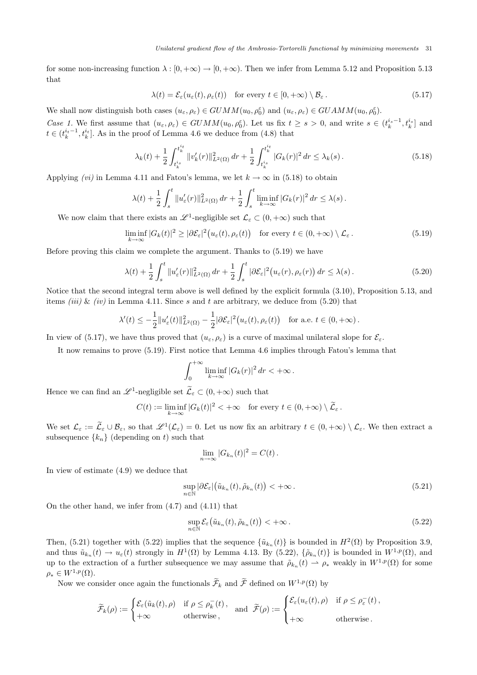for some non-increasing function  $\lambda : [0, +\infty) \to [0, +\infty)$ . Then we infer from Lemma 5.12 and Proposition 5.13 that

$$
\lambda(t) = \mathcal{E}_{\varepsilon}(u_{\varepsilon}(t), \rho_{\varepsilon}(t)) \quad \text{for every } t \in [0, +\infty) \setminus \mathcal{B}_{\varepsilon}.
$$
 (5.17)

We shall now distinguish both cases  $(u_{\varepsilon}, \rho_{\varepsilon}) \in GUMM(u_0, \rho_0^{\varepsilon})$  and  $(u_{\varepsilon}, \rho_{\varepsilon}) \in GUAMM(u_0, \rho_0^{\varepsilon})$ .

Case 1. We first assume that  $(u_{\varepsilon}, \rho_{\varepsilon}) \in GUMM(u_0, \rho_0^{\varepsilon})$ . Let us fix  $t \geq s > 0$ , and write  $s \in (t_k^{i_s-1}, t_k^{i_s}]$  and  $t \in (t_k^{i_t-1}, t_k^{i_t}]$ . As in the proof of Lemma 4.6 we deduce from (4.8) that

$$
\lambda_k(t) + \frac{1}{2} \int_{t_k^{i_s}}^{t_k^{i_t}} \|v'_k(r)\|_{L^2(\Omega)}^2 \, dr + \frac{1}{2} \int_{t_k^{i_s}}^{t_k^{i_t}} |G_k(r)|^2 \, dr \le \lambda_k(s) \,. \tag{5.18}
$$

Applying (vi) in Lemma 4.11 and Fatou's lemma, we let  $k \to \infty$  in (5.18) to obtain

$$
\lambda(t) + \frac{1}{2} \int_s^t \|u_{\varepsilon}'(r)\|_{L^2(\Omega)}^2 \, dr + \frac{1}{2} \int_s^t \liminf_{k \to \infty} |G_k(r)|^2 \, dr \le \lambda(s) \, .
$$

We now claim that there exists an  $\mathscr{L}^1$ -negligible set  $\mathcal{L}_{\varepsilon} \subset (0, +\infty)$  such that

$$
\liminf_{k \to \infty} |G_k(t)|^2 \ge |\partial \mathcal{E}_{\varepsilon}|^2 (u_{\varepsilon}(t), \rho_{\varepsilon}(t)) \quad \text{for every } t \in (0, +\infty) \setminus \mathcal{L}_{\varepsilon} \,.
$$

Before proving this claim we complete the argument. Thanks to (5.19) we have

$$
\lambda(t) + \frac{1}{2} \int_{s}^{t} \|u_{\varepsilon}'(r)\|_{L^{2}(\Omega)}^{2} dr + \frac{1}{2} \int_{s}^{t} |\partial \mathcal{E}_{\varepsilon}|^{2} (u_{\varepsilon}(r), \rho_{\varepsilon}(r)) dr \leq \lambda(s).
$$
 (5.20)

Notice that the second integral term above is well defined by the explicit formula (3.10), Proposition 5.13, and items *(iii)* & *(iv)* in Lemma 4.11. Since s and t are arbitrary, we deduce from (5.20) that

$$
\lambda'(t) \leq -\frac{1}{2} ||u'_{\varepsilon}(t)||_{L^{2}(\Omega)}^{2} - \frac{1}{2} |\partial \mathcal{E}_{\varepsilon}|^{2} (u_{\varepsilon}(t), \rho_{\varepsilon}(t)) \quad \text{for a.e. } t \in (0, +\infty).
$$

In view of (5.17), we have thus proved that  $(u_{\varepsilon}, \rho_{\varepsilon})$  is a curve of maximal unilateral slope for  $\mathcal{E}_{\varepsilon}$ .

It now remains to prove (5.19). First notice that Lemma 4.6 implies through Fatou's lemma that

$$
\int_0^{+\infty} \liminf_{k \to \infty} |G_k(r)|^2 \, dr < +\infty \, .
$$

Hence we can find an  $\mathscr{L}^1$ -negligible set  $\tilde{\mathcal{L}}_{\varepsilon} \subset (0, +\infty)$  such that

$$
C(t) := \liminf_{k \to \infty} |G_k(t)|^2 < +\infty \quad \text{for every } t \in (0, +\infty) \setminus \widetilde{\mathcal{L}}_{\varepsilon}.
$$

We set  $\mathcal{L}_{\varepsilon} := \widetilde{\mathcal{L}}_{\varepsilon} \cup \mathcal{B}_{\varepsilon}$ , so that  $\mathscr{L}^1(\mathcal{L}_{\varepsilon}) = 0$ . Let us now fix an arbitrary  $t \in (0, +\infty) \setminus \mathcal{L}_{\varepsilon}$ . We then extract a subsequence  $\{k_n\}$  (depending on t) such that

$$
\lim_{n \to \infty} |G_{k_n}(t)|^2 = C(t).
$$

In view of estimate (4.9) we deduce that

$$
\sup_{n \in \mathbb{N}} |\partial \mathcal{E}_{\varepsilon}|(\tilde{u}_{k_n}(t), \tilde{\rho}_{k_n}(t)) < +\infty.
$$
\n(5.21)

On the other hand, we infer from (4.7) and (4.11) that

$$
\sup_{n \in \mathbb{N}} \mathcal{E}_{\varepsilon}(\tilde{u}_{k_n}(t), \tilde{\rho}_{k_n}(t)) < +\infty.
$$
\n(5.22)

Then, (5.21) together with (5.22) implies that the sequence  $\{\tilde{u}_{k_n}(t)\}\$ is bounded in  $H^2(\Omega)$  by Proposition 3.9, and thus  $\tilde{u}_{k_n}(t) \to u_\varepsilon(t)$  strongly in  $H^1(\Omega)$  by Lemma 4.13. By (5.22),  $\{\tilde{\rho}_{k_n}(t)\}$  is bounded in  $W^{1,p}(\Omega)$ , and up to the extraction of a further subsequence we may assume that  $\tilde{\rho}_{k_n}(t) \rightharpoonup \rho_*$  weakly in  $W^{1,p}(\Omega)$  for some  $\rho_* \in W^{1,p}(\Omega).$ 

Now we consider once again the functionals  $\widetilde{\mathcal{F}}_k$  and  $\widetilde{\mathcal{F}}$  defined on  $W^{1,p}(\Omega)$  by

$$
\widetilde{\mathcal{F}}_k(\rho) := \begin{cases} \mathcal{E}_{\varepsilon}(\tilde{u}_k(t), \rho) & \text{if } \rho \leq \rho_k^-(t), \\ +\infty & \text{otherwise}, \end{cases} \text{ and } \widetilde{\mathcal{F}}(\rho) := \begin{cases} \mathcal{E}_{\varepsilon}(u_{\varepsilon}(t), \rho) & \text{if } \rho \leq \rho_{\varepsilon}^-(t), \\ +\infty & \text{otherwise}. \end{cases}
$$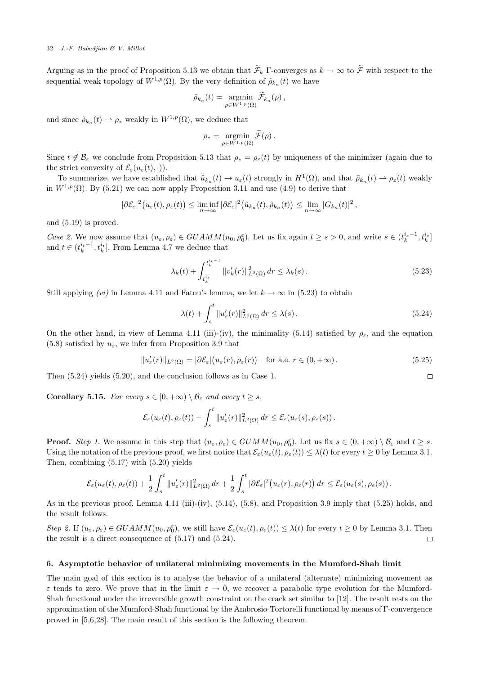Arguing as in the proof of Proposition 5.13 we obtain that  $\widetilde{\mathcal{F}}_k$  Γ-converges as  $k \to \infty$  to  $\widetilde{\mathcal{F}}$  with respect to the sequential weak topology of  $W^{1,p}(\Omega)$ . By the very definition of  $\tilde{\rho}_{k_n}(t)$  we have

$$
\tilde{\rho}_{k_n}(t) = \operatorname*{argmin}_{\rho \in W^{1,p}(\Omega)} \tilde{\mathcal{F}}_{k_n}(\rho),
$$

and since  $\tilde{\rho}_{k_n}(t) \rightharpoonup \rho_*$  weakly in  $W^{1,p}(\Omega)$ , we deduce that

$$
\rho_* = \operatorname*{argmin}_{\rho \in W^{1,p}(\Omega)} \widetilde{\mathcal{F}}(\rho) .
$$

Since  $t \notin \mathcal{B}_{\varepsilon}$  we conclude from Proposition 5.13 that  $\rho_* = \rho_{\varepsilon}(t)$  by uniqueness of the minimizer (again due to the strict convexity of  $\mathcal{E}_{\varepsilon}(u_{\varepsilon}(t),\cdot)$ ).

To summarize, we have established that  $\tilde{u}_{k_n}(t) \to u_{\varepsilon}(t)$  strongly in  $H^1(\Omega)$ , and that  $\tilde{\rho}_{k_n}(t) \to \rho_{\varepsilon}(t)$  weakly in  $W^{1,p}(\Omega)$ . By (5.21) we can now apply Proposition 3.11 and use (4.9) to derive that

$$
|\partial \mathcal{E}_{\varepsilon}|^2(u_{\varepsilon}(t), \rho_{\varepsilon}(t)) \leq \liminf_{n \to \infty} |\partial \mathcal{E}_{\varepsilon}|^2(\tilde{u}_{k_n}(t), \tilde{\rho}_{k_n}(t)) \leq \lim_{n \to \infty} |G_{k_n}(t)|^2,
$$

and (5.19) is proved.

Case 2. We now assume that  $(u_{\varepsilon}, \rho_{\varepsilon}) \in GUAMM(u_0, \rho_0^{\varepsilon})$ . Let us fix again  $t \geq s > 0$ , and write  $s \in (t_k^{i_s-1}, t_k^{i_s})$ and  $t \in (t_k^{i_t-1}, t_k^{i_t}]$ . From Lemma 4.7 we deduce that

$$
\lambda_k(t) + \int_{t_k^{is}}^{t_k^{it-1}} \|v_k'(r)\|_{L^2(\Omega)}^2 \, dr \le \lambda_k(s) \,. \tag{5.23}
$$

Still applying (vi) in Lemma 4.11 and Fatou's lemma, we let  $k \to \infty$  in (5.23) to obtain

$$
\lambda(t) + \int_{s}^{t} \|u_{\varepsilon}'(r)\|_{L^{2}(\Omega)}^{2} dr \leq \lambda(s).
$$
\n(5.24)

 $\Box$ 

On the other hand, in view of Lemma 4.11 (iii)-(iv), the minimality (5.14) satisfied by  $\rho_{\varepsilon}$ , and the equation (5.8) satisfied by  $u_{\varepsilon}$ , we infer from Proposition 3.9 that

$$
||u'_{\varepsilon}(r)||_{L^{2}(\Omega)} = |\partial \mathcal{E}_{\varepsilon}|(u_{\varepsilon}(r), \rho_{\varepsilon}(r)) \quad \text{for a.e. } r \in (0, +\infty).
$$
 (5.25)

Then (5.24) yields (5.20), and the conclusion follows as in Case 1.

**Corollary 5.15.** For every  $s \in [0, +\infty) \setminus \mathcal{B}_{\varepsilon}$  and every  $t \geq s$ ,

$$
\mathcal{E}_{\varepsilon}(u_{\varepsilon}(t),\rho_{\varepsilon}(t)) + \int_{s}^{t} \|u_{\varepsilon}'(r)\|_{L^{2}(\Omega)}^{2} dr \leq \mathcal{E}_{\varepsilon}(u_{\varepsilon}(s),\rho_{\varepsilon}(s)).
$$

**Proof.** Step 1. We assume in this step that  $(u_{\varepsilon}, \rho_{\varepsilon}) \in GUMM(u_0, \rho_0^{\varepsilon})$ . Let us fix  $s \in (0, +\infty) \setminus \mathcal{B}_{\varepsilon}$  and  $t \geq s$ . Using the notation of the previous proof, we first notice that  $\mathcal{E}_{\varepsilon}(u_{\varepsilon}(t), \rho_{\varepsilon}(t)) \leq \lambda(t)$  for every  $t \geq 0$  by Lemma 3.1. Then, combining (5.17) with (5.20) yields

$$
\mathcal{E}_{\varepsilon}(u_{\varepsilon}(t),\rho_{\varepsilon}(t)) + \frac{1}{2}\int_{s}^{t} \|u_{\varepsilon}'(r)\|_{L^{2}(\Omega)}^{2} dr + \frac{1}{2}\int_{s}^{t} |\partial \mathcal{E}_{\varepsilon}|^{2} (u_{\varepsilon}(r),\rho_{\varepsilon}(r)) dr \leq \mathcal{E}_{\varepsilon}(u_{\varepsilon}(s),\rho_{\varepsilon}(s)).
$$

As in the previous proof, Lemma 4.11 (iii)-(iv), (5.14), (5.8), and Proposition 3.9 imply that (5.25) holds, and the result follows.

Step 2. If  $(u_{\varepsilon}, \rho_{\varepsilon}) \in GUAMM(u_0, \rho_0^{\varepsilon})$ , we still have  $\mathcal{E}_{\varepsilon}(u_{\varepsilon}(t), \rho_{\varepsilon}(t)) \leq \lambda(t)$  for every  $t \geq 0$  by Lemma 3.1. Then the result is a direct consequence of (5.17) and (5.24).  $\Box$ 

### 6. Asymptotic behavior of unilateral minimizing movements in the Mumford-Shah limit

The main goal of this section is to analyse the behavior of a unilateral (alternate) minimizing movement as  $\varepsilon$  tends to zero. We prove that in the limit  $\varepsilon \to 0$ , we recover a parabolic type evolution for the Mumford-Shah functional under the irreversible growth constraint on the crack set similar to [12]. The result rests on the approximation of the Mumford-Shah functional by the Ambrosio-Tortorelli functional by means of Γ-convergence proved in [5,6,28]. The main result of this section is the following theorem.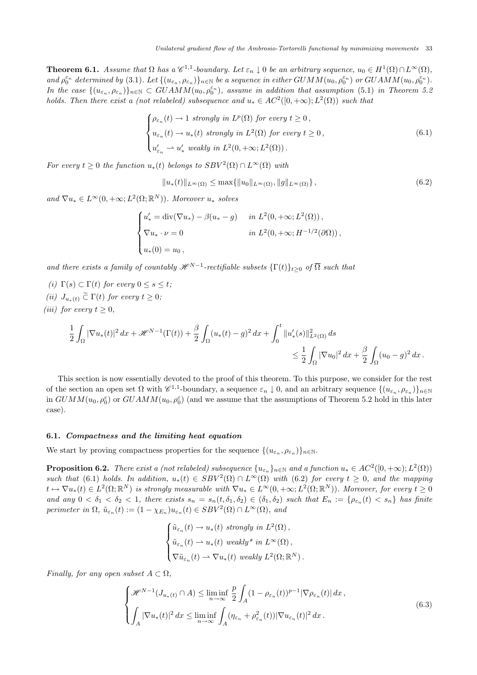**Theorem 6.1.** Assume that  $\Omega$  has a  $\mathscr{C}^{1,1}$ -boundary. Let  $\varepsilon_n \downarrow 0$  be an arbitrary sequence,  $u_0 \in H^1(\Omega) \cap L^{\infty}(\Omega)$ , and  $\rho_0^{\varepsilon_n}$  determined by (3.1). Let  $\{(u_{\varepsilon_n}, \rho_{\varepsilon_n})\}_{n\in\mathbb{N}}$  be a sequence in either  $GUMM(u_0, \rho_0^{\varepsilon_n})$  or  $GUAMM(u_0, \rho_0^{\varepsilon_n})$ . In the case  $\{(u_{\varepsilon_n}, \rho_{\varepsilon_n})\}_{n\in\mathbb{N}}\subset GUAMM(u_0,\rho_0^{\varepsilon_n})$ , assume in addition that assumption (5.1) in Theorem 5.2 holds. Then there exist a (not relabeled) subsequence and  $u_* \in AC^2([0, +\infty); L^2(\Omega))$  such that

$$
\begin{cases}\n\rho_{\varepsilon_n}(t) \to 1 \text{ strongly in } L^p(\Omega) \text{ for every } t \ge 0, \\
u_{\varepsilon_n}(t) \to u_*(t) \text{ strongly in } L^2(\Omega) \text{ for every } t \ge 0, \\
u'_{\varepsilon_n} \to u'_* \text{ weakly in } L^2(0, +\infty; L^2(\Omega)).\n\end{cases}
$$
\n(6.1)

For every  $t \geq 0$  the function  $u_*(t)$  belongs to  $SBV^2(\Omega) \cap L^{\infty}(\Omega)$  with

$$
||u_*(t)||_{L^{\infty}(\Omega)} \le \max\{||u_0||_{L^{\infty}(\Omega)}, ||g||_{L^{\infty}(\Omega)}\},
$$
\n(6.2)

and  $\nabla u_* \in L^{\infty}(0, +\infty; L^2(\Omega; \mathbb{R}^N))$ . Moreover  $u_*$  solves

$$
\begin{cases}\nu'_* = \operatorname{div}(\nabla u_*) - \beta(u_* - g) & \text{in } L^2(0, +\infty; L^2(\Omega)), \\
\nabla u_* \cdot \nu = 0 & \text{in } L^2(0, +\infty; H^{-1/2}(\partial \Omega)), \\
u_*(0) = u_0,\n\end{cases}
$$

and there exists a family of countably  $\mathscr{H}^{N-1}$ -rectifiable subsets  $\{\Gamma(t)\}_{t\geq0}$  of  $\overline{\Omega}$  such that

- (i)  $\Gamma(s) \subset \Gamma(t)$  for every  $0 \leq s \leq t$ ;
- (ii)  $J_{u_*(t)} \tilde{\subset} \Gamma(t)$  for every  $t \geq 0$ ;
- (iii) for every  $t \geq 0$ ,

$$
\begin{aligned} \frac{1}{2}\int_{\Omega}|\nabla u_{*}(t)|^{2}\,dx &+\mathscr{H}^{N-1}(\Gamma(t)) &+\frac{\beta}{2}\int_{\Omega}(u_{*}(t)-g)^{2}\,dx+\int_{0}^{t}\|u_{*}'(s)\|_{L^{2}(\Omega)}^{2}\,ds \\ & \leq \frac{1}{2}\int_{\Omega}|\nabla u_{0}|^{2}\,dx+\frac{\beta}{2}\int_{\Omega}(u_{0}-g)^{2}\,dx\,. \end{aligned}
$$

This section is now essentially devoted to the proof of this theorem. To this purpose, we consider for the rest of the section an open set  $\Omega$  with  $\mathscr{C}^{1,1}$ -boundary, a sequence  $\varepsilon_n \downarrow 0$ , and an arbitrary sequence  $\{(u_{\varepsilon_n}, \rho_{\varepsilon_n})\}_{n\in\mathbb{N}}$ in  $GUMM(u_0, \rho_0^{\varepsilon})$  or  $GUAMM(u_0, \rho_0^{\varepsilon})$  (and we assume that the assumptions of Theorem 5.2 hold in this later case).

## 6.1. Compactness and the limiting heat equation

We start by proving compactness properties for the sequence  $\{(u_{\varepsilon_n}, \rho_{\varepsilon_n})\}_{n\in\mathbb{N}}$ .

**Proposition 6.2.** There exist a (not relabeled) subsequence  $\{u_{\varepsilon_n}\}_{n\in\mathbb{N}}$  and a function  $u_*\in AC^2([0,+\infty);L^2(\Omega))$ such that (6.1) holds. In addition,  $u_*(t) \in SBV^2(\Omega) \cap L^{\infty}(\Omega)$  with (6.2) for every  $t \geq 0$ , and the mapping  $t \mapsto \nabla u_*(t) \in L^2(\Omega;\mathbb{R}^N)$  is strongly measurable with  $\nabla u_* \in L^\infty(0,+\infty; L^2(\Omega;\mathbb{R}^N))$ . Moreover, for every  $t \geq 0$ and any  $0 < \delta_1 < \delta_2 < 1$ , there exists  $s_n = s_n(t, \delta_1, \delta_2) \in (\delta_1, \delta_2)$  such that  $E_n := \{\rho_{\varepsilon_n}(t) < s_n\}$  has finite perimeter in  $\Omega$ ,  $\tilde{u}_{\varepsilon_n}(t) := (1 - \chi_{E_n}) u_{\varepsilon_n}(t) \in SBV^2(\Omega) \cap L^{\infty}(\Omega)$ , and

$$
\begin{cases} \tilde{u}_{\varepsilon_n}(t) \to u_*(t) \text{ strongly in } L^2(\Omega), \\ \tilde{u}_{\varepsilon_n}(t) \to u_*(t) \text{ weakly* in } L^{\infty}(\Omega), \\ \nabla \tilde{u}_{\varepsilon_n}(t) \to \nabla u_*(t) \text{ weakly } L^2(\Omega; \mathbb{R}^N). \end{cases}
$$

Finally, for any open subset  $A \subset \Omega$ ,

$$
\begin{cases}\n\mathcal{H}^{N-1}(J_{u_*(t)} \cap A) \leq \liminf_{n \to \infty} \frac{p}{2} \int_A (1 - \rho_{\varepsilon_n}(t))^{p-1} |\nabla \rho_{\varepsilon_n}(t)| dx, \\
\int_A |\nabla u_*(t)|^2 dx \leq \liminf_{n \to \infty} \int_A (\eta_{\varepsilon_n} + \rho_{\varepsilon_n}^2(t)) |\nabla u_{\varepsilon_n}(t)|^2 dx.\n\end{cases} \tag{6.3}
$$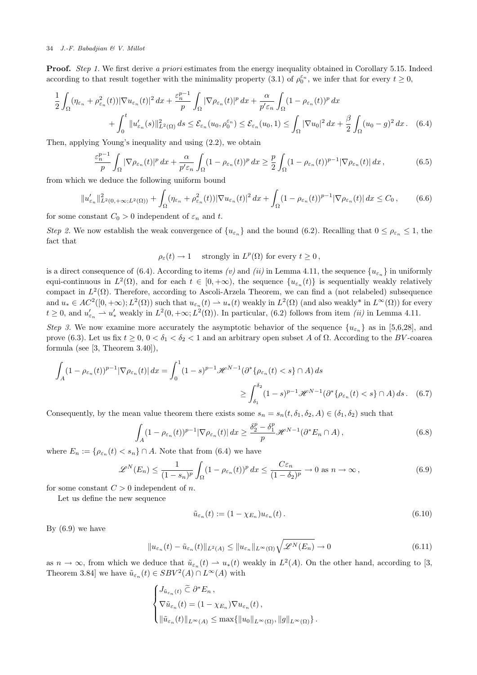**Proof.** Step 1. We first derive a priori estimates from the energy inequality obtained in Corollary 5.15. Indeed according to that result together with the minimality property (3.1) of  $\rho_0^{\varepsilon_n}$ , we infer that for every  $t \geq 0$ ,

$$
\frac{1}{2} \int_{\Omega} (\eta_{\varepsilon_n} + \rho_{\varepsilon_n}^2(t)) |\nabla u_{\varepsilon_n}(t)|^2 dx + \frac{\varepsilon_n^{p-1}}{p} \int_{\Omega} |\nabla \rho_{\varepsilon_n}(t)|^p dx + \frac{\alpha}{p' \varepsilon_n} \int_{\Omega} (1 - \rho_{\varepsilon_n}(t))^p dx \n+ \int_0^t \|u'_{\varepsilon_n}(s)\|_{L^2(\Omega)}^2 ds \leq \mathcal{E}_{\varepsilon_n}(u_0, \rho_0^{\varepsilon_n}) \leq \mathcal{E}_{\varepsilon_n}(u_0, 1) \leq \int_{\Omega} |\nabla u_0|^2 dx + \frac{\beta}{2} \int_{\Omega} (u_0 - g)^2 dx. \tag{6.4}
$$

Then, applying Young's inequality and using (2.2), we obtain

$$
\frac{\varepsilon_n^{p-1}}{p} \int_{\Omega} |\nabla \rho_{\varepsilon_n}(t)|^p \, dx + \frac{\alpha}{p' \varepsilon_n} \int_{\Omega} (1 - \rho_{\varepsilon_n}(t))^p \, dx \ge \frac{p}{2} \int_{\Omega} (1 - \rho_{\varepsilon_n}(t))^{p-1} |\nabla \rho_{\varepsilon_n}(t)| \, dx \,, \tag{6.5}
$$

from which we deduce the following uniform bound

$$
||u'_{\varepsilon_n}||_{L^2(0,+\infty;L^2(\Omega))}^2 + \int_{\Omega} (\eta_{\varepsilon_n} + \rho_{\varepsilon_n}^2(t)) |\nabla u_{\varepsilon_n}(t)|^2 dx + \int_{\Omega} (1 - \rho_{\varepsilon_n}(t))^{p-1} |\nabla \rho_{\varepsilon_n}(t)| dx \le C_0,
$$
 (6.6)

for some constant  $C_0 > 0$  independent of  $\varepsilon_n$  and t.

Step 2. We now establish the weak convergence of  $\{u_{\varepsilon_n}\}\$ and the bound (6.2). Recalling that  $0 \le \rho_{\varepsilon_n} \le 1$ , the fact that

 $\rho_{\varepsilon}(t) \to 1$  strongly in  $L^p(\Omega)$  for every  $t \geq 0$ ,

is a direct consequence of (6.4). According to items (v) and (ii) in Lemma 4.11, the sequence  $\{u_{\varepsilon_n}\}$  in uniformly equi-continuous in  $L^2(\Omega)$ , and for each  $t \in [0, +\infty)$ , the sequence  $\{u_{\varepsilon_n}(t)\}\$ is sequentially weakly relatively compact in  $L^2(\Omega)$ . Therefore, according to Ascoli-Arzela Theorem, we can find a (not relabeled) subsequence and  $u_* \in AC^2([0, +\infty); L^2(\Omega))$  such that  $u_{\varepsilon_n}(t) \to u_*(t)$  weakly in  $L^2(\Omega)$  (and also weakly\* in  $L^{\infty}(\Omega)$ ) for every  $t \geq 0$ , and  $u'_{\varepsilon_n} \rightharpoonup u'_{*}$  weakly in  $L^2(0, +\infty; L^2(\Omega))$ . In particular, (6.2) follows from item *(ii)* in Lemma 4.11.

Step 3. We now examine more accurately the asymptotic behavior of the sequence  ${u_{\epsilon_n}}$  as in [5,6,28], and prove (6.3). Let us fix  $t \geq 0$ ,  $0 < \delta_1 < \delta_2 < 1$  and an arbitrary open subset A of  $\Omega$ . According to the BV-coarea formula (see [3, Theorem 3.40]),

$$
\int_{A} (1 - \rho_{\varepsilon_n}(t))^{p-1} |\nabla \rho_{\varepsilon_n}(t)| dx = \int_0^1 (1 - s)^{p-1} \mathcal{H}^{N-1}(\partial^* \{ \rho_{\varepsilon_n}(t) < s \} \cap A) ds
$$
\n
$$
\geq \int_{\delta_1}^{\delta_2} (1 - s)^{p-1} \mathcal{H}^{N-1}(\partial^* \{ \rho_{\varepsilon_n}(t) < s \} \cap A) ds. \quad (6.7)
$$

Consequently, by the mean value theorem there exists some  $s_n = s_n(t, \delta_1, \delta_2, A) \in (\delta_1, \delta_2)$  such that

$$
\int_{A} (1 - \rho_{\varepsilon_n}(t))^{p-1} |\nabla \rho_{\varepsilon_n}(t)| dx \ge \frac{\delta_2^p - \delta_1^p}{p} \mathcal{H}^{N-1}(\partial^* E_n \cap A), \tag{6.8}
$$

where  $E_n := \{ \rho_{\varepsilon_n}(t) < s_n \} \cap A$ . Note that from (6.4) we have

$$
\mathscr{L}^N(E_n) \le \frac{1}{(1 - s_n)^p} \int_{\Omega} (1 - \rho_{\varepsilon_n}(t))^p \, dx \le \frac{C \varepsilon_n}{(1 - \delta_2)^p} \to 0 \text{ as } n \to \infty \,, \tag{6.9}
$$

for some constant  $C > 0$  independent of n.

Let us define the new sequence

$$
\tilde{u}_{\varepsilon_n}(t) := (1 - \chi_{E_n}) u_{\varepsilon_n}(t).
$$
\n(6.10)

By  $(6.9)$  we have

$$
||u_{\varepsilon_n}(t) - \tilde{u}_{\varepsilon_n}(t)||_{L^2(A)} \le ||u_{\varepsilon_n}||_{L^\infty(\Omega)} \sqrt{\mathscr{L}^N(E_n)} \to 0
$$
\n(6.11)

as  $n \to \infty$ , from which we deduce that  $\tilde{u}_{\varepsilon_n}(t) \to u_*(t)$  weakly in  $L^2(A)$ . On the other hand, according to [3, Theorem 3.84] we have  $\tilde{u}_{\varepsilon_n}(t) \in SBV^2(A) \cap L^{\infty}(A)$  with

$$
\begin{cases}\nJ_{\tilde{u}_{\varepsilon_n}(t)} \tilde{\subset} \partial^* E_n, \\
\nabla \tilde{u}_{\varepsilon_n}(t) = (1 - \chi_{E_n}) \nabla u_{\varepsilon_n}(t), \\
\|\tilde{u}_{\varepsilon_n}(t)\|_{L^\infty(A)} \le \max\{\|u_0\|_{L^\infty(\Omega)}, \|g\|_{L^\infty(\Omega)}\}.\n\end{cases}
$$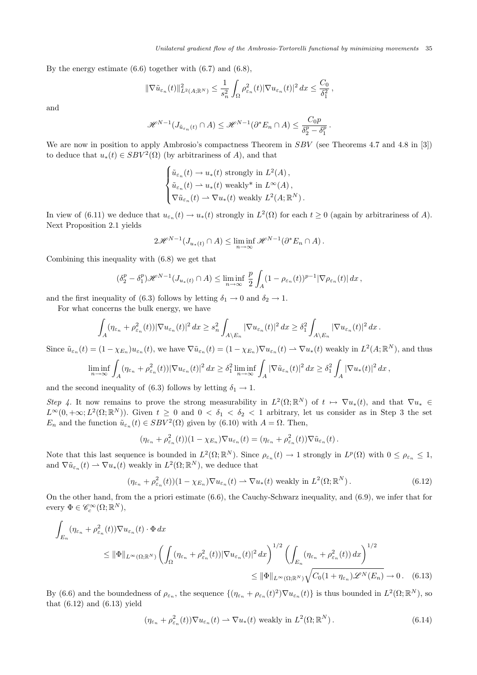By the energy estimate  $(6.6)$  together with  $(6.7)$  and  $(6.8)$ ,

$$
\|\nabla \tilde{u}_{\varepsilon_n}(t)\|^2_{L^2(A;\mathbb{R}^N)} \leq \frac{1}{s_n^2} \int_{\Omega} \rho_{\varepsilon_n}^2(t) |\nabla u_{\varepsilon_n}(t)|^2 dx \leq \frac{C_0}{\delta_1^2},
$$

and

$$
\mathcal{H}^{N-1}(J_{\tilde{u}_{\varepsilon_n}(t)} \cap A) \leq \mathcal{H}^{N-1}(\partial^* E_n \cap A) \leq \frac{C_0 p}{\delta_2^p - \delta_1^p}.
$$

We are now in position to apply Ambrosio's compactness Theorem in SBV (see Theorems 4.7 and 4.8 in [3]) to deduce that  $u_*(t) \in SBV^2(\Omega)$  (by arbitrariness of A), and that

$$
\begin{cases} \tilde{u}_{\varepsilon_n}(t) \to u_*(t) \text{ strongly in } L^2(A), \\ \tilde{u}_{\varepsilon_n}(t) \to u_*(t) \text{ weakly* in } L^{\infty}(A), \\ \nabla \tilde{u}_{\varepsilon_n}(t) \to \nabla u_*(t) \text{ weakly } L^2(A; \mathbb{R}^N). \end{cases}
$$

In view of (6.11) we deduce that  $u_{\varepsilon_n}(t) \to u_*(t)$  strongly in  $L^2(\Omega)$  for each  $t \geq 0$  (again by arbitrariness of A). Next Proposition 2.1 yields

$$
2\mathscr{H}^{N-1}(J_{u_*(t)}\cap A)\leq \liminf_{n\to\infty}\mathscr{H}^{N-1}(\partial^*E_n\cap A).
$$

Combining this inequality with (6.8) we get that

$$
(\delta_2^p - \delta_1^p) \mathscr{H}^{N-1}(J_{u_*(t)} \cap A) \le \liminf_{n \to \infty} \frac{p}{2} \int_A (1 - \rho_{\varepsilon_n}(t))^{p-1} |\nabla \rho_{\varepsilon_n}(t)| dx,
$$

and the first inequality of (6.3) follows by letting  $\delta_1 \rightarrow 0$  and  $\delta_2 \rightarrow 1$ .

For what concerns the bulk energy, we have

$$
\int_A (\eta_{\varepsilon_n} + \rho_{\varepsilon_n}^2(t)) |\nabla u_{\varepsilon_n}(t)|^2 dx \geq s_n^2 \int_{A \setminus E_n} |\nabla u_{\varepsilon_n}(t)|^2 dx \geq \delta_1^2 \int_{A \setminus E_n} |\nabla u_{\varepsilon_n}(t)|^2 dx.
$$

Since  $\tilde{u}_{\varepsilon_n}(t) = (1 - \chi_{E_n}) u_{\varepsilon_n}(t)$ , we have  $\nabla \tilde{u}_{\varepsilon_n}(t) = (1 - \chi_{E_n}) \nabla u_{\varepsilon_n}(t) \rightharpoonup \nabla u_*(t)$  weakly in  $L^2(A; \mathbb{R}^N)$ , and thus

$$
\liminf_{n\to\infty}\int_A(\eta_{\varepsilon_n}+\rho_{\varepsilon_n}^2(t))|\nabla u_{\varepsilon_n}(t)|^2\,dx\geq \delta_1^2\liminf_{n\to\infty}\int_A|\nabla \tilde u_{\varepsilon_n}(t)|^2\,dx\geq \delta_1^2\int_A|\nabla u_*(t)|^2\,dx,
$$

and the second inequality of (6.3) follows by letting  $\delta_1 \rightarrow 1$ .

Step 4. It now remains to prove the strong measurability in  $L^2(\Omega;\mathbb{R}^N)$  of  $t \mapsto \nabla u_*(t)$ , and that  $\nabla u_* \in$  $L^{\infty}(0, +\infty; L^2(\Omega;\mathbb{R}^N))$ . Given  $t \geq 0$  and  $0 < \delta_1 < \delta_2 < 1$  arbitrary, let us consider as in Step 3 the set  $E_n$  and the function  $\tilde{u}_{\varepsilon_n}(t) \in SBV^2(\Omega)$  given by (6.10) with  $A = \Omega$ . Then,

$$
(\eta_{\varepsilon_n} + \rho_{\varepsilon_n}^2(t))(1 - \chi_{E_n}) \nabla u_{\varepsilon_n}(t) = (\eta_{\varepsilon_n} + \rho_{\varepsilon_n}^2(t)) \nabla \tilde{u}_{\varepsilon_n}(t).
$$

Note that this last sequence is bounded in  $L^2(\Omega;\mathbb{R}^N)$ . Since  $\rho_{\varepsilon_n}(t) \to 1$  strongly in  $L^p(\Omega)$  with  $0 \leq \rho_{\varepsilon_n} \leq 1$ , and  $\nabla \tilde{u}_{\varepsilon_n}(t) \rightharpoonup \nabla u_*(t)$  weakly in  $L^2(\Omega;\mathbb{R}^N)$ , we deduce that

$$
(\eta_{\varepsilon_n} + \rho_{\varepsilon_n}^2(t))(1 - \chi_{E_n}) \nabla u_{\varepsilon_n}(t) \rightharpoonup \nabla u_*(t) \text{ weakly in } L^2(\Omega; \mathbb{R}^N). \tag{6.12}
$$

On the other hand, from the a priori estimate (6.6), the Cauchy-Schwarz inequality, and (6.9), we infer that for every  $\Phi \in \mathscr{C}_c^\infty(\Omega;\mathbb{R}^N)$ ,

$$
\int_{E_n} (\eta_{\varepsilon_n} + \rho_{\varepsilon_n}^2(t)) \nabla u_{\varepsilon_n}(t) \cdot \Phi \, dx
$$
\n
$$
\leq \|\Phi\|_{L^{\infty}(\Omega; \mathbb{R}^N)} \left( \int_{\Omega} (\eta_{\varepsilon_n} + \rho_{\varepsilon_n}^2(t)) |\nabla u_{\varepsilon_n}(t)|^2 \, dx \right)^{1/2} \left( \int_{E_n} (\eta_{\varepsilon_n} + \rho_{\varepsilon_n}^2(t)) \, dx \right)^{1/2}
$$
\n
$$
\leq \|\Phi\|_{L^{\infty}(\Omega; \mathbb{R}^N)} \sqrt{C_0 (1 + \eta_{\varepsilon_n}) \mathscr{L}^N(E_n)} \to 0. \quad (6.13)
$$

By (6.6) and the boundedness of  $\rho_{\varepsilon_n}$ , the sequence  $\{(\eta_{\varepsilon_n} + \rho_{\varepsilon_n}(t)^2) \nabla u_{\varepsilon_n}(t)\}\)$  is thus bounded in  $L^2(\Omega;\mathbb{R}^N)$ , so that  $(6.12)$  and  $(6.13)$  yield

$$
(\eta_{\varepsilon_n} + \rho_{\varepsilon_n}^2(t))\nabla u_{\varepsilon_n}(t) \rightharpoonup \nabla u_*(t) \text{ weakly in } L^2(\Omega; \mathbb{R}^N). \tag{6.14}
$$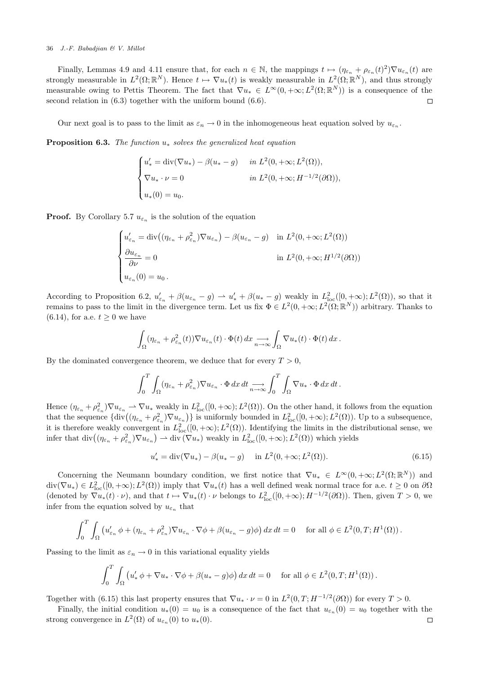Finally, Lemmas 4.9 and 4.11 ensure that, for each  $n \in \mathbb{N}$ , the mappings  $t \mapsto (\eta_{\varepsilon_n} + \rho_{\varepsilon_n}(t)^2) \nabla u_{\varepsilon_n}(t)$  are strongly measurable in  $L^2(\Omega;\mathbb{R}^N)$ . Hence  $t \mapsto \nabla u_*(t)$  is weakly measurable in  $L^2(\Omega;\mathbb{R}^N)$ , and thus strongly measurable owing to Pettis Theorem. The fact that  $\nabla u_* \in L^{\infty}(0, +\infty; L^2(\Omega; \mathbb{R}^N))$  is a consequence of the second relation in (6.3) together with the uniform bound (6.6).  $\Box$ 

Our next goal is to pass to the limit as  $\varepsilon_n \to 0$  in the inhomogeneous heat equation solved by  $u_{\varepsilon_n}$ .

**Proposition 6.3.** The function  $u_*$  solves the generalized heat equation

$$
\begin{cases}\nu'_{*} = \text{div}(\nabla u_{*}) - \beta(u_{*} - g) & \text{in } L^{2}(0, +\infty; L^{2}(\Omega)), \\
\nabla u_{*} \cdot \nu = 0 & \text{in } L^{2}(0, +\infty; H^{-1/2}(\partial \Omega)), \\
u_{*}(0) = u_{0}.\n\end{cases}
$$

**Proof.** By Corollary 5.7  $u_{\varepsilon_n}$  is the solution of the equation

$$
\begin{cases}\nu'_{\varepsilon_n} = \text{div}\left((\eta_{\varepsilon_n} + \rho_{\varepsilon_n}^2)\nabla u_{\varepsilon_n}\right) - \beta(u_{\varepsilon_n} - g) & \text{in } L^2(0, +\infty; L^2(\Omega)) \\
\frac{\partial u_{\varepsilon_n}}{\partial \nu} = 0 & \text{in } L^2(0, +\infty; H^{1/2}(\partial \Omega)) \\
u_{\varepsilon_n}(0) = u_0.\n\end{cases}
$$

According to Proposition 6.2,  $u'_{\varepsilon_n} + \beta(u_{\varepsilon_n} - g) \rightharpoonup u'_* + \beta(u_* - g)$  weakly in  $L^2_{loc}([0, +\infty); L^2(\Omega))$ , so that it remains to pass to the limit in the divergence term. Let us fix  $\Phi \in L^2(0, +\infty; L^2(\Omega; \mathbb{R}^N))$  arbitrary. Thanks to  $(6.14)$ , for a.e.  $t \geq 0$  we have

$$
\int_{\Omega} (\eta_{\varepsilon_n} + \rho_{\varepsilon_n}^2(t)) \nabla u_{\varepsilon_n}(t) \cdot \Phi(t) \, dx \longrightarrow \int_{\Omega} \nabla u_*(t) \cdot \Phi(t) \, dx \, .
$$

By the dominated convergence theorem, we deduce that for every  $T > 0$ ,

$$
\int_0^T \int_{\Omega} (\eta_{\varepsilon_n} + \rho_{\varepsilon_n}^2) \nabla u_{\varepsilon_n} \cdot \Phi \, dx \, dt \longrightarrow \int_0^T \int_{\Omega} \nabla u_* \cdot \Phi \, dx \, dt \, .
$$

Hence  $(\eta_{\varepsilon_n} + \rho_{\varepsilon_n}^2) \nabla u_{\varepsilon_n} \rightharpoonup \nabla u_*$  weakly in  $L^2_{loc}([0, +\infty); L^2(\Omega))$ . On the other hand, it follows from the equation that the sequence  $\{\text{div}\left((\eta_{\varepsilon_n}+\rho_{\varepsilon_n}^2)\nabla u_{\varepsilon_n}\right)\}\)$  is uniformly bounded in  $L^2_{\text{loc}}([0,+\infty);L^2(\Omega))$ . Up to a subsequence, it is therefore weakly convergent in  $L^2_{loc}([0, +\infty); L^2(\Omega))$ . Identifying the limits in the distributional sense, we infer that  $\mathrm{div}((\eta_{\varepsilon_n}+\rho_{\varepsilon_n}^2)\nabla u_{\varepsilon_n}) \rightharpoonup \mathrm{div}(\nabla u_*)$  weakly in  $L^2_{\mathrm{loc}}([0,+\infty);L^2(\Omega))$  which yields

$$
u'_{*} = \text{div}(\nabla u_{*}) - \beta(u_{*} - g) \quad \text{in } L^{2}(0, +\infty; L^{2}(\Omega)).
$$
\n(6.15)

Concerning the Neumann boundary condition, we first notice that  $\nabla u_* \in L^{\infty}(0, +\infty; L^2(\Omega; \mathbb{R}^N))$  and  $\text{div}(\nabla u_*) \in L^2_{\text{loc}}([0, +\infty); L^2(\Omega))$  imply that  $\nabla u_*(t)$  has a well defined weak normal trace for a.e.  $t \geq 0$  on  $\partial\Omega$ (denoted by  $\nabla u_*(t) \cdot \nu$ ), and that  $t \mapsto \nabla u_*(t) \cdot \nu$  belongs to  $L^2_{loc}([0, +\infty); H^{-1/2}(\partial \Omega))$ . Then, given  $T > 0$ , we infer from the equation solved by  $u_{\varepsilon_n}$  that

$$
\int_0^T \int_{\Omega} \left( u'_{\varepsilon_n} \phi + (\eta_{\varepsilon_n} + \rho_{\varepsilon_n}^2) \nabla u_{\varepsilon_n} \cdot \nabla \phi + \beta (u_{\varepsilon_n} - g) \phi \right) dx dt = 0 \quad \text{for all } \phi \in L^2(0, T; H^1(\Omega)).
$$

Passing to the limit as  $\varepsilon_n \to 0$  in this variational equality yields

$$
\int_0^T \int_{\Omega} \left( u'_* \, \phi + \nabla u_* \cdot \nabla \phi + \beta (u_* - g) \phi \right) dx \, dt = 0 \quad \text{for all } \phi \in L^2(0, T; H^1(\Omega)).
$$

Together with (6.15) this last property ensures that  $\nabla u_* \cdot \nu = 0$  in  $L^2(0,T;H^{-1/2}(\partial\Omega))$  for every  $T > 0$ .

Finally, the initial condition  $u_*(0) = u_0$  is a consequence of the fact that  $u_{\epsilon_n}(0) = u_0$  together with the strong convergence in  $L^2(\Omega)$  of  $u_{\varepsilon_n}(0)$  to  $u_*(0)$ .  $\Box$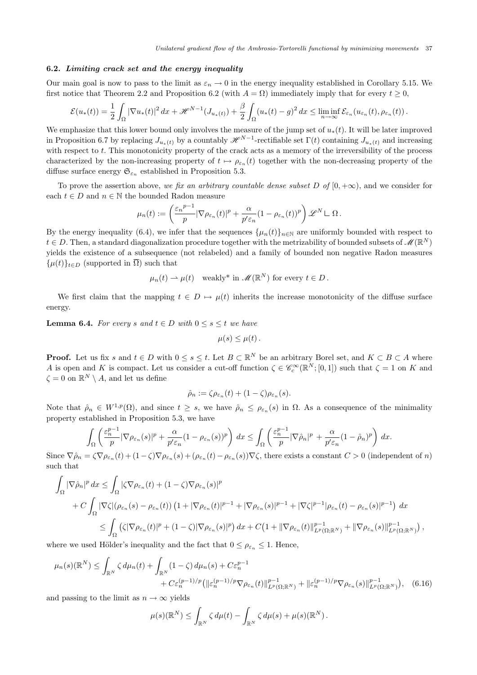## 6.2. Limiting crack set and the energy inequality

Our main goal is now to pass to the limit as  $\varepsilon_n \to 0$  in the energy inequality established in Corollary 5.15. We first notice that Theorem 2.2 and Proposition 6.2 (with  $A = \Omega$ ) immediately imply that for every  $t \geq 0$ ,

$$
\mathcal{E}(u_*(t)) = \frac{1}{2} \int_{\Omega} |\nabla u_*(t)|^2 dx + \mathcal{H}^{N-1}(J_{u_*(t)}) + \frac{\beta}{2} \int_{\Omega} (u_*(t) - g)^2 dx \le \liminf_{n \to \infty} \mathcal{E}_{\varepsilon_n}(u_{\varepsilon_n}(t), \rho_{\varepsilon_n}(t)).
$$

We emphasize that this lower bound only involves the measure of the jump set of  $u_*(t)$ . It will be later improved in Proposition 6.7 by replacing  $J_{u_*(t)}$  by a countably  $\mathscr{H}^{N-1}$ -rectifiable set  $\Gamma(t)$  containing  $J_{u_*(t)}$  and increasing with respect to t. This monotonicity property of the crack acts as a memory of the irreversibility of the process characterized by the non-increasing property of  $t \mapsto \rho_{\varepsilon_n}(t)$  together with the non-decreasing property of the diffuse surface energy  $\mathfrak{S}_{\varepsilon_n}$  established in Proposition 5.3.

To prove the assertion above, we fix an arbitrary countable dense subset D of  $[0, +\infty)$ , and we consider for each  $t \in D$  and  $n \in \mathbb{N}$  the bounded Radon measure

$$
\mu_n(t) := \left(\frac{\varepsilon_n^{p-1}}{p} |\nabla \rho_{\varepsilon_n}(t)|^p + \frac{\alpha}{p' \varepsilon_n} (1 - \rho_{\varepsilon_n}(t))^p\right) \mathscr{L}^N \mathcal{L} \Omega.
$$

By the energy inequality (6.4), we infer that the sequences  $\{\mu_n(t)\}_{n\in\mathbb{N}}$  are uniformly bounded with respect to  $t \in D$ . Then, a standard diagonalization procedure together with the metrizability of bounded subsets of  $\mathscr{M}(\mathbb{R}^N)$ yields the existence of a subsequence (not relabeled) and a family of bounded non negative Radon measures  $\{\mu(t)\}_{t\in D}$  (supported in  $\overline{\Omega}$ ) such that

$$
\mu_n(t) \rightharpoonup \mu(t)
$$
 weakly\* in  $\mathscr{M}(\mathbb{R}^N)$  for every  $t \in D$ .

We first claim that the mapping  $t \in D \mapsto \mu(t)$  inherits the increase monotonicity of the diffuse surface energy.

**Lemma 6.4.** For every s and  $t \in D$  with  $0 \leq s \leq t$  we have

$$
\mu(s)\leq\mu(t).
$$

**Proof.** Let us fix s and  $t \in D$  with  $0 \le s \le t$ . Let  $B \subset \mathbb{R}^N$  be an arbitrary Borel set, and  $K \subset B \subset A$  where A is open and K is compact. Let us consider a cut-off function  $\zeta \in \mathscr{C}_c^\infty(\mathbb{R}^N;[0,1])$  such that  $\zeta = 1$  on K and  $\zeta = 0$  on  $\mathbb{R}^N \setminus A$ , and let us define

$$
\hat{\rho}_n := \zeta \rho_{\varepsilon_n}(t) + (1 - \zeta) \rho_{\varepsilon_n}(s).
$$

Note that  $\rho_n \in W^{1,p}(\Omega)$ , and since  $t \geq s$ , we have  $\rho_n \leq \rho_{\varepsilon_n}(s)$  in  $\Omega$ . As a consequence of the minimality property established in Proposition 5.3, we have

$$
\int_{\Omega} \left( \frac{\varepsilon_n^{p-1}}{p} |\nabla \rho_{\varepsilon_n}(s)|^p + \frac{\alpha}{p' \varepsilon_n} (1 - \rho_{\varepsilon_n}(s))^p \right) dx \le \int_{\Omega} \left( \frac{\varepsilon_n^{p-1}}{p} |\nabla \hat{\rho}_n|^p + \frac{\alpha}{p' \varepsilon_n} (1 - \hat{\rho}_n)^p \right) dx.
$$

Since  $\nabla \hat{\rho}_n = \zeta \nabla \rho_{\varepsilon_n}(t) + (1-\zeta) \nabla \rho_{\varepsilon_n}(s) + (\rho_{\varepsilon_n}(t) - \rho_{\varepsilon_n}(s)) \nabla \zeta$ , there exists a constant  $C > 0$  (independent of n) such that

$$
\int_{\Omega} |\nabla \hat{\rho}_n|^p dx \leq \int_{\Omega} |\zeta \nabla \rho_{\varepsilon_n}(t) + (1 - \zeta) \nabla \rho_{\varepsilon_n}(s)|^p
$$
  
+  $C \int_{\Omega} |\nabla \zeta| (\rho_{\varepsilon_n}(s) - \rho_{\varepsilon_n}(t)) (1 + |\nabla \rho_{\varepsilon_n}(t)|^{p-1} + |\nabla \rho_{\varepsilon_n}(s)|^{p-1} + |\nabla \zeta|^{p-1} |\rho_{\varepsilon_n}(t) - \rho_{\varepsilon_n}(s)|^{p-1}) dx$   
 $\leq \int_{\Omega} (\zeta |\nabla \rho_{\varepsilon_n}(t)|^p + (1 - \zeta) |\nabla \rho_{\varepsilon_n}(s)|^p) dx + C (1 + ||\nabla \rho_{\varepsilon_n}(t)||_{L^p(\Omega; \mathbb{R}^N)}^{p-1} + ||\nabla \rho_{\varepsilon_n}(s)||_{L^p(\Omega; \mathbb{R}^N)}^{p-1}),$ 

where we used Hölder's inequality and the fact that  $0 \leq \rho_{\varepsilon_n} \leq 1$ . Hence,

$$
\mu_n(s)(\mathbb{R}^N) \le \int_{\mathbb{R}^N} \zeta \, d\mu_n(t) + \int_{\mathbb{R}^N} (1 - \zeta) \, d\mu_n(s) + C \varepsilon_n^{p-1} + C \varepsilon_n^{(p-1)/p} (\|\varepsilon_n^{(p-1)/p} \nabla \rho_{\varepsilon_n}(t)\|_{L^p(\Omega; \mathbb{R}^N)}^{p-1} + \|\varepsilon_n^{(p-1)/p} \nabla \rho_{\varepsilon_n}(s)\|_{L^p(\Omega; \mathbb{R}^N)}^{p-1}), \quad (6.16)
$$

and passing to the limit as  $n \to \infty$  yields

$$
\mu(s)(\mathbb{R}^N) \leq \int_{\mathbb{R}^N} \zeta \, d\mu(t) - \int_{\mathbb{R}^N} \zeta \, d\mu(s) + \mu(s)(\mathbb{R}^N).
$$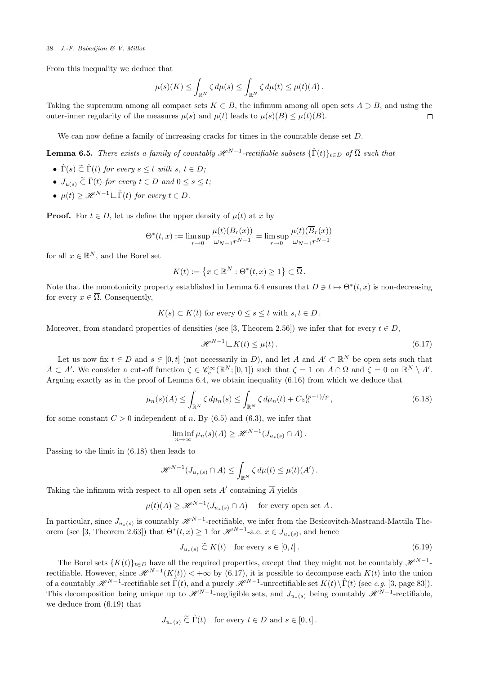From this inequality we deduce that

$$
\mu(s)(K) \leq \int_{\mathbb{R}^N} \zeta \, d\mu(s) \leq \int_{\mathbb{R}^N} \zeta \, d\mu(t) \leq \mu(t)(A) .
$$

Taking the supremum among all compact sets  $K \subset B$ , the infimum among all open sets  $A \supset B$ , and using the outer-inner regularity of the measures  $\mu(s)$  and  $\mu(t)$  leads to  $\mu(s)(B) \leq \mu(t)(B)$ .  $\Box$ 

We can now define a family of increasing cracks for times in the countable dense set  $D$ .

**Lemma 6.5.** There exists a family of countably  $\mathscr{H}^{N-1}$ -rectifiable subsets  $\{\hat{\Gamma}(t)\}_{t\in D}$  of  $\overline{\Omega}$  such that

- $\hat{\Gamma}(s) \tilde{\subset} \hat{\Gamma}(t)$  for every  $s \leq t$  with  $s, t \in D$ ;
- $J_{u(s)} \nightharpoonup \nightharpoonup (t)$  for every  $t \in D$  and  $0 \leq s \leq t$ ;
- $\mu(t) \geq \mathcal{H}^{N-1} \sqcup \hat{\Gamma}(t)$  for every  $t \in D$ .

**Proof.** For  $t \in D$ , let us define the upper density of  $\mu(t)$  at x by

$$
\Theta^*(t, x) := \limsup_{r \to 0} \frac{\mu(t)(B_r(x))}{\omega_{N-1}r^{N-1}} = \limsup_{r \to 0} \frac{\mu(t)(B_r(x))}{\omega_{N-1}r^{N-1}}
$$

for all  $x \in \mathbb{R}^N$ , and the Borel set

$$
K(t) := \left\{ x \in \mathbb{R}^N : \Theta^*(t, x) \ge 1 \right\} \subset \overline{\Omega} \, .
$$

Note that the monotonicity property established in Lemma 6.4 ensures that  $D \ni t \mapsto \Theta^*(t, x)$  is non-decreasing for every  $x \in \overline{\Omega}$ . Consequently,

$$
K(s) \subset K(t) \text{ for every } 0 \le s \le t \text{ with } s, t \in D.
$$

Moreover, from standard properties of densities (see [3, Theorem 2.56]) we infer that for every  $t \in D$ ,

$$
\mathcal{H}^{N-1} \mathcal{L} K(t) \le \mu(t). \tag{6.17}
$$

Let us now fix  $t \in D$  and  $s \in [0, t]$  (not necessarily in D), and let A and  $A' \subset \mathbb{R}^N$  be open sets such that  $\overline{A} \subset A'$ . We consider a cut-off function  $\zeta \in \mathscr{C}_{c}^{\infty}(\mathbb{R}^{N};[0,1])$  such that  $\zeta = 1$  on  $A \cap \Omega$  and  $\zeta = 0$  on  $\mathbb{R}^{N} \setminus A'$ . Arguing exactly as in the proof of Lemma 6.4, we obtain inequality (6.16) from which we deduce that

$$
\mu_n(s)(A) \le \int_{\mathbb{R}^N} \zeta \, d\mu_n(s) \le \int_{\mathbb{R}^N} \zeta \, d\mu_n(t) + C \varepsilon_n^{(p-1)/p},\tag{6.18}
$$

for some constant  $C > 0$  independent of n. By (6.5) and (6.3), we infer that

$$
\liminf_{n \to \infty} \mu_n(s)(A) \geq \mathcal{H}^{N-1}(J_{u_*(s)} \cap A).
$$

Passing to the limit in (6.18) then leads to

$$
\mathscr{H}^{N-1}(J_{u_*(s)} \cap A) \leq \int_{\mathbb{R}^N} \zeta \, d\mu(t) \leq \mu(t)(A').
$$

Taking the infimum with respect to all open sets  $A'$  containing  $\overline{A}$  yields

 $\mu(t)(\overline{A}) \geq \mathscr{H}^{N-1}(J_{u_*(s)} \cap A)$  for every open set A.

In particular, since  $J_{u_*(s)}$  is countably  $\mathscr{H}^{N-1}$ -rectifiable, we infer from the Besicovitch-Mastrand-Mattila Theorem (see [3, Theorem 2.63]) that  $\Theta^*(t,x) \geq 1$  for  $\mathscr{H}^{N-1}$ -a.e.  $x \in J_{u_*(s)}$ , and hence

$$
J_{u_*(s)} \tilde{\subset} K(t) \quad \text{for every } s \in [0, t]. \tag{6.19}
$$

The Borel sets  $\{K(t)\}_{t\in D}$  have all the required properties, except that they might not be countably  $\mathscr{H}^{N-1}$ rectifiable. However, since  $\mathscr{H}^{N-1}(K(t)) < +\infty$  by (6.17), it is possible to decompose each  $K(t)$  into the union of a countably  $\mathscr{H}^{N-1}$ -rectifiable set  $\hat{\Gamma}(t)$ , and a purely  $\mathscr{H}^{N-1}$ -unrectifiable set  $K(t)\setminus \hat{\Gamma}(t)$  (see e.g. [3, page 83]). This decomposition being unique up to  $\mathscr{H}^{N-1}$ -negligible sets, and  $J_{u_*(s)}$  being countably  $\mathscr{H}^{N-1}$ -rectifiable, we deduce from (6.19) that

$$
J_{u_*(s)} \widetilde{\subset} \widehat{\Gamma}(t) \quad \text{for every } t \in D \text{ and } s \in [0, t].
$$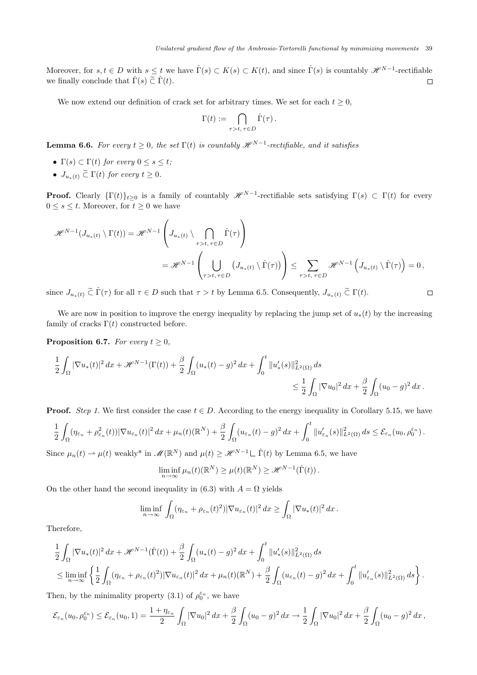$\Box$ 

Moreover, for  $s, t \in D$  with  $s \leq t$  we have  $\hat{\Gamma}(s) \subset K(s) \subset K(t)$ , and since  $\hat{\Gamma}(s)$  is countably  $\mathscr{H}^{N-1}$ -rectifiable we finally conclude that  $\hat{\Gamma}(s) \tilde{\subset} \hat{\Gamma}(t)$ .  $\Box$ 

We now extend our definition of crack set for arbitrary times. We set for each  $t \geq 0$ ,

$$
\Gamma(t) := \bigcap_{\tau > t, \, \tau \in D} \hat{\Gamma}(\tau).
$$

**Lemma 6.6.** For every  $t \geq 0$ , the set  $\Gamma(t)$  is countably  $\mathscr{H}^{N-1}$ -rectifiable, and it satisfies

- Γ(s)  $\subset \Gamma(t)$  for every  $0 \leq s \leq t$ ;
- $J_{u_*(t)} \nightharpoonup \Gamma(t)$  for every  $t \geq 0$ .

**Proof.** Clearly  $\{\Gamma(t)\}_{t\geq0}$  is a family of countably  $\mathscr{H}^{N-1}$ -rectifiable sets satisfying  $\Gamma(s) \subset \Gamma(t)$  for every  $0 \leq s \leq t$ . Moreover, for  $t \geq 0$  we have

$$
\mathcal{H}^{N-1}(J_{u_*(t)} \setminus \Gamma(t)) = \mathcal{H}^{N-1}\left(J_{u_*(t)} \setminus \bigcap_{\tau > t, \tau \in D} \hat{\Gamma}(\tau)\right)
$$
  
= 
$$
\mathcal{H}^{N-1}\left(\bigcup_{\tau > t, \tau \in D} (J_{u_*(t)} \setminus \hat{\Gamma}(\tau))\right) \le \sum_{\tau > t, \tau \in D} \mathcal{H}^{N-1}\left(J_{u_*(t)} \setminus \hat{\Gamma}(\tau)\right) = 0,
$$

since  $J_{u_*(t)} \tilde{\subset} \hat{\Gamma}(\tau)$  for all  $\tau \in D$  such that  $\tau > t$  by Lemma 6.5. Consequently,  $J_{u_*(t)} \tilde{\subset} \Gamma(t)$ .

We are now in position to improve the energy inequality by replacing the jump set of  $u_*(t)$  by the increasing family of cracks  $\Gamma(t)$  constructed before.

**Proposition 6.7.** For every  $t \geq 0$ ,

$$
\frac{1}{2} \int_{\Omega} |\nabla u_*(t)|^2 dx + \mathcal{H}^{N-1}(\Gamma(t)) + \frac{\beta}{2} \int_{\Omega} (u_*(t) - g)^2 dx + \int_0^t \|u'_*(s)\|_{L^2(\Omega)}^2 ds
$$
  

$$
\leq \frac{1}{2} \int_{\Omega} |\nabla u_0|^2 dx + \frac{\beta}{2} \int_{\Omega} (u_0 - g)^2 dx.
$$

**Proof.** Step 1. We first consider the case  $t \in D$ . According to the energy inequality in Corollary 5.15, we have

$$
\frac{1}{2}\int_{\Omega}(\eta_{\varepsilon_n}+\rho_{\varepsilon_n}^2(t))|\nabla u_{\varepsilon_n}(t)|^2\,dx+\mu_n(t)(\mathbb{R}^N)+\frac{\beta}{2}\int_{\Omega}(u_{\varepsilon_n}(t)-g)^2\,dx+\int_0^t\|u_{\varepsilon_n}'(s)\|_{L^2(\Omega)}^2\,ds\leq \mathcal{E}_{\varepsilon_n}(u_0,\rho_0^{\varepsilon_n}).
$$

Since  $\mu_n(t) \rightharpoonup \mu(t)$  weakly<sup>\*</sup> in  $\mathscr{M}(\mathbb{R}^N)$  and  $\mu(t) \geq \mathscr{H}^{N-1} \sqcup \hat{\Gamma}(t)$  by Lemma 6.5, we have

$$
\liminf_{n\to\infty}\mu_n(t)(\mathbb{R}^N)\geq\mu(t)(\mathbb{R}^N)\geq\mathscr{H}^{N-1}(\hat{\Gamma}(t)).
$$

On the other hand the second inequality in (6.3) with  $A = \Omega$  yields

$$
\liminf_{n\to\infty}\int_{\Omega}(\eta_{\varepsilon_n}+\rho_{\varepsilon_n}(t)^2)|\nabla u_{\varepsilon_n}(t)|^2\,dx\geq \int_{\Omega}|\nabla u_*(t)|^2\,dx.
$$

Therefore,

$$
\begin{split}\n&\frac{1}{2}\int_{\Omega}|\nabla u_{*}(t)|^{2} dx + \mathcal{H}^{N-1}(\hat{\Gamma}(t)) + \frac{\beta}{2}\int_{\Omega}(u_{*}(t)-g)^{2} dx + \int_{0}^{t} \|u_{*}'(s)\|_{L^{2}(\Omega)}^{2} ds \\
&\leq \liminf_{n \to \infty} \left\{ \frac{1}{2}\int_{\Omega} (\eta_{\varepsilon_{n}} + \rho_{\varepsilon_{n}}(t)^{2})|\nabla u_{\varepsilon_{n}}(t)|^{2} dx + \mu_{n}(t)(\mathbb{R}^{N}) + \frac{\beta}{2}\int_{\Omega}(u_{\varepsilon_{n}}(t)-g)^{2} dx + \int_{0}^{t} \|u_{\varepsilon_{n}}'(s)\|_{L^{2}(\Omega)}^{2} ds \right\}.\n\end{split}
$$

Then, by the minimality property (3.1) of  $\rho_0^{\varepsilon_n}$ , we have

$$
\mathcal{E}_{\varepsilon_n}(u_0,\rho_0^{\varepsilon_n}) \leq \mathcal{E}_{\varepsilon_n}(u_0,1) = \frac{1+\eta_{\varepsilon_n}}{2} \int_{\Omega} |\nabla u_0|^2 \, dx + \frac{\beta}{2} \int_{\Omega} (u_0 - g)^2 \, dx \to \frac{1}{2} \int_{\Omega} |\nabla u_0|^2 \, dx + \frac{\beta}{2} \int_{\Omega} (u_0 - g)^2 \, dx,
$$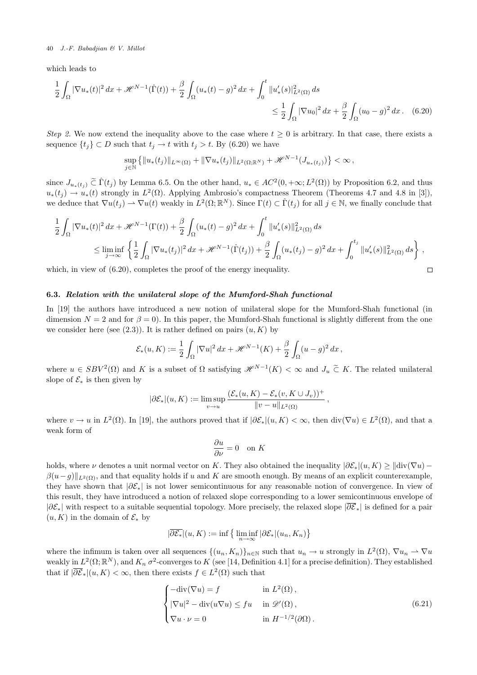which leads to

$$
\frac{1}{2} \int_{\Omega} |\nabla u_*(t)|^2 dx + \mathcal{H}^{N-1}(\hat{\Gamma}(t)) + \frac{\beta}{2} \int_{\Omega} (u_*(t) - g)^2 dx + \int_0^t \|u'_*(s)\|_{L^2(\Omega)}^2 ds
$$
  

$$
\leq \frac{1}{2} \int_{\Omega} |\nabla u_0|^2 dx + \frac{\beta}{2} \int_{\Omega} (u_0 - g)^2 dx. \quad (6.20)
$$

Step 2. We now extend the inequality above to the case where  $t \geq 0$  is arbitrary. In that case, there exists a sequence  $\{t_j\} \subset D$  such that  $t_j \to t$  with  $t_j > t$ . By (6.20) we have

$$
\sup_{j\in\mathbb{N}}\left\{\|u_*(t_j)\|_{L^\infty(\Omega)}+\|\nabla u_*(t_j)\|_{L^2(\Omega;\mathbb{R}^N)}+\mathscr{H}^{N-1}(J_{u_*(t_j)})\right\}<\infty\,,
$$

since  $J_{u_*(t_j)} \tilde{\subset} \hat{\Gamma}(t_j)$  by Lemma 6.5. On the other hand,  $u_* \in AC^2(0, +\infty; L^2(\Omega))$  by Proposition 6.2, and thus  $u_*(t_j) \to u_*(t)$  strongly in  $L^2(\Omega)$ . Applying Ambrosio's compactness Theorem (Theorems 4.7 and 4.8 in [3]), we deduce that  $\nabla u(t_j) \rightharpoonup \nabla u(t)$  weakly in  $L^2(\Omega; \mathbb{R}^N)$ . Since  $\Gamma(t) \subset \hat{\Gamma}(t_j)$  for all  $j \in \mathbb{N}$ , we finally conclude that

$$
\frac{1}{2} \int_{\Omega} |\nabla u_*(t)|^2 dx + \mathcal{H}^{N-1}(\Gamma(t)) + \frac{\beta}{2} \int_{\Omega} (u_*(t) - g)^2 dx + \int_0^t \|u'_*(s)\|_{L^2(\Omega)}^2 ds
$$
\n
$$
\leq \liminf_{j \to \infty} \left\{ \frac{1}{2} \int_{\Omega} |\nabla u_*(t_j)|^2 dx + \mathcal{H}^{N-1}(\hat{\Gamma}(t_j)) + \frac{\beta}{2} \int_{\Omega} (u_*(t_j) - g)^2 dx + \int_0^{t_j} \|u'_*(s)\|_{L^2(\Omega)}^2 ds \right\},
$$

 $\Box$ 

which, in view of  $(6.20)$ , completes the proof of the energy inequality.

# 6.3. Relation with the unilateral slope of the Mumford-Shah functional

In [19] the authors have introduced a new notion of unilateral slope for the Mumford-Shah functional (in dimension  $N = 2$  and for  $\beta = 0$ ). In this paper, the Mumford-Shah functional is slightly different from the one we consider here (see  $(2.3)$ ). It is rather defined on pairs  $(u, K)$  by

$$
\mathcal{E}_*(u,K) := \frac{1}{2} \int_{\Omega} |\nabla u|^2 dx + \mathcal{H}^{N-1}(K) + \frac{\beta}{2} \int_{\Omega} (u - g)^2 dx,
$$

where  $u \in SBV^2(\Omega)$  and K is a subset of  $\Omega$  satisfying  $\mathscr{H}^{N-1}(K) < \infty$  and  $J_u \subset K$ . The related unilateral slope of  $\mathcal{E}_*$  is then given by

$$
|\partial \mathcal{E}_*|(u,K):=\limsup_{v\to u}\frac{(\mathcal{E}_*(u,K)-\mathcal{E}_*(v,K\cup J_v))^+}{\|v-u\|_{L^2(\Omega)}},
$$

where  $v \to u$  in  $L^2(\Omega)$ . In [19], the authors proved that if  $|\partial \mathcal{E}_*|(u,K) < \infty$ , then  $\text{div}(\nabla u) \in L^2(\Omega)$ , and that a weak form of

$$
\frac{\partial u}{\partial \nu} = 0 \quad \text{on } K
$$

holds, where  $\nu$  denotes a unit normal vector on K. They also obtained the inequality  $|\partial \mathcal{E}_*|(u, K) \geq ||div(\nabla u) \beta(u-g)\|_{L^2(\Omega)}$ , and that equality holds if u and K are smooth enough. By means of an explicit counterexample, they have shown that  $|\partial \mathcal{E}_*|$  is not lower semicontinuous for any reasonable notion of convergence. In view of this result, they have introduced a notion of relaxed slope corresponding to a lower semicontinuous envelope of  $|\partial \mathcal{E}_*|$  with respect to a suitable sequential topology. More precisely, the relaxed slope  $|\partial \overline{\mathcal{E}}_*|$  is defined for a pair  $(u, K)$  in the domain of  $\mathcal{E}_*$  by

$$
|\overline{\partial \mathcal{E}_*}|(u,K) := \inf \big\{ \liminf_{n \to \infty} |\partial \mathcal{E}_*|(u_n, K_n) \big\}
$$

where the infimum is taken over all sequences  $\{(u_n, K_n)\}_{n\in\mathbb{N}}$  such that  $u_n \to u$  strongly in  $L^2(\Omega)$ ,  $\nabla u_n \rightharpoonup \nabla u$ weakly in  $L^2(\Omega;\mathbb{R}^N)$ , and  $K_n$   $\sigma^2$ -converges to K (see [14, Definition 4.1] for a precise definition). They established that if  $|\overline{\partial \mathcal{E}}_*|(u,K)<\infty$ , then there exists  $f\in L^2(\Omega)$  such that

$$
\begin{cases}\n-\text{div}(\nabla u) = f & \text{in } L^2(\Omega), \\
|\nabla u|^2 - \text{div}(u\nabla u) \le fu & \text{in } \mathcal{D}'(\Omega), \\
\nabla u \cdot \nu = 0 & \text{in } H^{-1/2}(\partial \Omega).\n\end{cases}
$$
\n(6.21)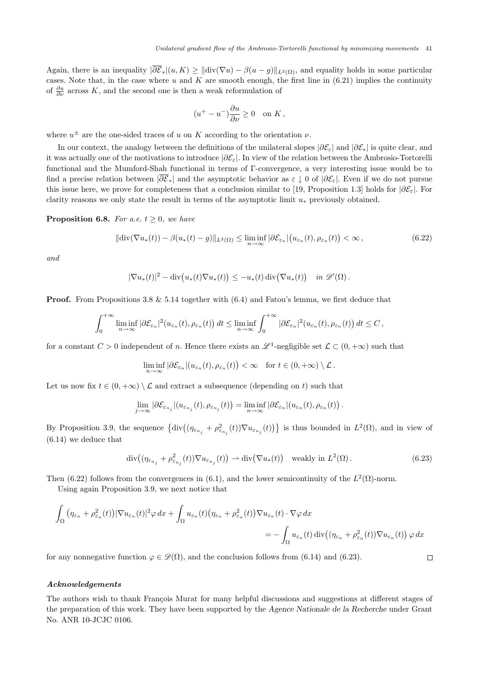Again, there is an inequality  $|\overline{\partial \mathcal{E}}_*(u, K)| \ge ||\text{div}(\nabla u) - \beta(u - g)||_{L^2(\Omega)}$ , and equality holds in some particular cases. Note that, in the case where  $u$  and  $K$  are smooth enough, the first line in  $(6.21)$  implies the continuity of  $\frac{\partial u}{\partial \nu}$  across K, and the second one is then a weak reformulation of

$$
(u^+ - u^-)\frac{\partial u}{\partial \nu} \ge 0 \quad \text{on } K \,,
$$

where  $u^{\pm}$  are the one-sided traces of u on K according to the orientation  $\nu$ .

In our context, the analogy between the definitions of the unilateral slopes  $|\partial \mathcal{E}_{\varepsilon}|$  and  $|\partial \mathcal{E}_{*}|$  is quite clear, and it was actually one of the motivations to introduce  $\left|\partial \mathcal{E}_{\varepsilon}\right|$ . In view of the relation between the Ambrosio-Tortorelli functional and the Mumford-Shah functional in terms of Γ-convergence, a very interesting issue would be to find a precise relation between  $|\partial \mathcal{E}_*|$  and the asymptotic behavior as  $\varepsilon \downarrow 0$  of  $|\partial \mathcal{E}_\varepsilon|$ . Even if we do not pursue this issue here, we prove for completeness that a conclusion similar to [19, Proposition 1.3] holds for  $|\partial \mathcal{E}_{\varepsilon}|$ . For clarity reasons we only state the result in terms of the asymptotic limit  $u_*$  previously obtained.

**Proposition 6.8.** For a.e.  $t \geq 0$ , we have

$$
\|\text{div}(\nabla u_*(t)) - \beta(u_*(t) - g)\|_{L^2(\Omega)} \le \liminf_{n \to \infty} |\partial \mathcal{E}_{\varepsilon_n}| \big(u_{\varepsilon_n}(t), \rho_{\varepsilon_n}(t)\big) < \infty,
$$
\n(6.22)

and

$$
|\nabla u_*(t)|^2 - \mathrm{div}\big(u_*(t)\nabla u_*(t)\big) \le -u_*(t)\,\mathrm{div}\big(\nabla u_*(t)\big) \quad \text{in } \mathscr{D}'(\Omega)\,.
$$

**Proof.** From Propositions 3.8  $\&$  5.14 together with (6.4) and Fatou's lemma, we first deduce that

$$
\int_0^{+\infty} \liminf_{n\to\infty} |\partial \mathcal{E}_{\varepsilon_n}|^2(u_{\varepsilon_n}(t),\rho_{\varepsilon_n}(t)) dt \leq \liminf_{n\to\infty} \int_0^{+\infty} |\partial \mathcal{E}_{\varepsilon_n}|^2(u_{\varepsilon_n}(t),\rho_{\varepsilon_n}(t)) dt \leq C,
$$

for a constant  $C > 0$  independent of n. Hence there exists an  $\mathscr{L}^1$ -negligible set  $\mathcal{L} \subset (0, +\infty)$  such that

$$
\liminf_{n\to\infty}|\partial \mathcal{E}_{\varepsilon_n}|(u_{\varepsilon_n}(t),\rho_{\varepsilon_n}(t))<\infty\quad\text{for }t\in(0,+\infty)\setminus\mathcal{L}\,.
$$

Let us now fix  $t \in (0, +\infty) \setminus \mathcal{L}$  and extract a subsequence (depending on t) such that

$$
\lim_{j\to\infty}|\partial \mathcal{E}_{\varepsilon_{n_j}}|(u_{\varepsilon_{n_j}}(t),\rho_{\varepsilon_{n_j}}(t))=\liminf_{n\to\infty}|\partial \mathcal{E}_{\varepsilon_n}|(u_{\varepsilon_n}(t),\rho_{\varepsilon_n}(t)).
$$

By Proposition 3.9, the sequence  $\{\text{div}\big((\eta_{\varepsilon_{n_j}}+\rho_{\varepsilon_{n_j}}^2(t))\nabla u_{\varepsilon_{n_j}}(t)\big)\}\)$  is thus bounded in  $L^2(\Omega)$ , and in view of (6.14) we deduce that

$$
\operatorname{div}\left((\eta_{\varepsilon_{n_j}} + \rho_{\varepsilon_{n_j}}^2(t))\nabla u_{\varepsilon_{n_j}}(t)\right) \rightharpoonup \operatorname{div}\left(\nabla u_*(t)\right) \quad \text{weakly in } L^2(\Omega). \tag{6.23}
$$

Then (6.22) follows from the convergences in (6.1), and the lower semicontinuity of the  $L^2(\Omega)$ -norm.

Using again Proposition 3.9, we next notice that

$$
\int_{\Omega} \left( \eta_{\varepsilon_n} + \rho_{\varepsilon_n}^2(t) \right) |\nabla u_{\varepsilon_n}(t)|^2 \varphi \, dx + \int_{\Omega} u_{\varepsilon_n}(t) \left( \eta_{\varepsilon_n} + \rho_{\varepsilon_n}^2(t) \right) \nabla u_{\varepsilon_n}(t) \cdot \nabla \varphi \, dx
$$
\n
$$
= - \int_{\Omega} u_{\varepsilon_n}(t) \operatorname{div} \left( (\eta_{\varepsilon_n} + \rho_{\varepsilon_n}^2(t) \right) \nabla u_{\varepsilon_n}(t) \right) \varphi \, dx
$$

for any nonnegative function  $\varphi \in \mathscr{D}(\Omega)$ , and the conclusion follows from (6.14) and (6.23).

 $\Box$ 

# Acknowledgements

The authors wish to thank François Murat for many helpful discussions and suggestions at different stages of the preparation of this work. They have been supported by the Agence Nationale de la Recherche under Grant No. ANR 10-JCJC 0106.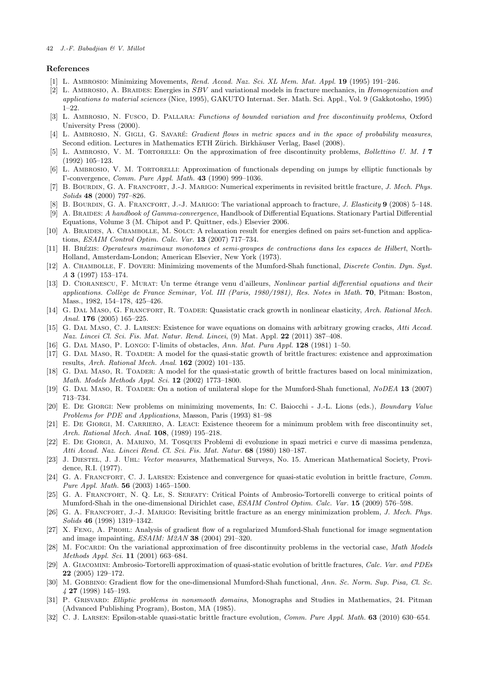### References

- [1] L. AMBROSIO: Minimizing Movements, Rend. Accad. Naz. Sci. XL Mem. Mat. Appl. 19 (1995) 191-246.
- [2] L. AMBROSIO, A. BRAIDES: Energies in SBV and variational models in fracture mechanics, in Homogenization and applications to material sciences (Nice, 1995), GAKUTO Internat. Ser. Math. Sci. Appl., Vol. 9 (Gakkotosho, 1995) 1–22.
- [3] L. AMBROSIO, N. FUSCO, D. PALLARA: Functions of bounded variation and free discontinuity problems, Oxford University Press (2000).
- [4] L. AMBROSIO, N. GIGLI, G. SAVARÉ: Gradient flows in metric spaces and in the space of probability measures, Second edition. Lectures in Mathematics ETH Zürich. Birkhäuser Verlag, Basel (2008).
- [5] L. AMBROSIO, V. M. TORTORELLI: On the approximation of free discontinuity problems, Bollettino U. M. I 7 (1992) 105–123.
- [6] L. AMBROSIO, V. M. TORTORELLI: Approximation of functionals depending on jumps by elliptic functionals by Γ-convergence, Comm. Pure Appl. Math. 43 (1990) 999–1036.
- [7] B. BOURDIN, G. A. FRANCFORT, J.-J. MARIGO: Numerical experiments in revisited brittle fracture, J. Mech. Phys. Solids 48 (2000) 797–826.
- [8] B. BOURDIN, G. A. FRANCFORT, J.-J. MARIGO: The variational approach to fracture, J. Elasticity 9 (2008) 5–148.
- [9] A. Braides: A handbook of Gamma-convergence, Handbook of Differential Equations. Stationary Partial Differential Equations, Volume 3 (M. Chipot and P. Quittner, eds.) Elsevier 2006.
- [10] A. Braides, A. Chambolle, M. Solci: A relaxation result for energies defined on pairs set-function and applications, ESAIM Control Optim. Calc. Var. 13 (2007) 717–734.
- [11] H. BRÉZIS: Operateurs maximaux monotones et semi-groupes de contractions dans les espaces de Hilbert, North-Holland, Amsterdam-London; American Elsevier, New York (1973).
- [12] A. CHAMBOLLE, F. DOVERI: Minimizing movements of the Mumford-Shah functional, *Discrete Contin. Dyn. Syst.* A 3 (1997) 153–174.
- [13] D. CIORANESCU, F. MURAT: Un terme étrange venu d'ailleurs, Nonlinear partial differential equations and their applications. Collège de France Seminar, Vol. III (Paris, 1980/1981), Res. Notes in Math. 70, Pitman: Boston, Mass., 1982, 154–178, 425–426.
- [14] G. DAL MASO, G. FRANCFORT, R. TOADER: Quasistatic crack growth in nonlinear elasticity, Arch. Rational Mech. Anal. 176 (2005) 165–225.
- [15] G. DAL MASO, C. J. LARSEN: Existence for wave equations on domains with arbitrary growing cracks, Atti Accad. Naz. Lincei Cl. Sci. Fis. Mat. Natur. Rend. Lincei, (9) Mat. Appl. 22 (2011) 387-408.
- [16] G. Dal Maso, P. Longo: Γ-limits of obstacles, Ann. Mat. Pura Appl. 128 (1981) 1–50.
- [17] G. DAL MASO, R. TOADER: A model for the quasi-static growth of brittle fractures: existence and approximation results, Arch. Rational Mech. Anal. 162 (2002) 101–135.
- [18] G. DAL MASO, R. TOADER: A model for the quasi-static growth of brittle fractures based on local minimization, Math. Models Methods Appl. Sci. 12 (2002) 1773–1800.
- [19] G. DAL MASO, R. TOADER: On a notion of unilateral slope for the Mumford-Shah functional, NoDEA 13 (2007) 713–734.
- [20] E. De Giorgi: New problems on minimizing movements, In: C. Baiocchi J.-L. Lions (eds.), Boundary Value Problems for PDE and Applications, Masson, Paris (1993) 81–98
- [21] E. DE GIORGI, M. CARRIERO, A. LEACI: Existence theorem for a minimum problem with free discontinuity set, Arch. Rational Mech. Anal. 108, (1989) 195–218.
- [22] E. De Giorgi, A. Marino, M. Tosques Problemi di evoluzione in spazi metrici e curve di massima pendenza, Atti Accad. Naz. Lincei Rend. Cl. Sci. Fis. Mat. Natur. 68 (1980) 180–187.
- [23] J. DIESTEL, J. J. UHL: Vector measures, Mathematical Surveys, No. 15. American Mathematical Society, Providence, R.I. (1977).
- [24] G. A. FRANCFORT, C. J. LARSEN: Existence and convergence for quasi-static evolution in brittle fracture, Comm. Pure Appl. Math. 56 (2003) 1465–1500.
- [25] G. A. FRANCFORT, N. Q. LE, S. SERFATY: Critical Points of Ambrosio-Tortorelli converge to critical points of Mumford-Shah in the one-dimensional Dirichlet case, ESAIM Control Optim. Calc. Var. 15 (2009) 576–598.
- [26] G. A. FRANCFORT, J.-J. MARIGO: Revisiting brittle fracture as an energy minimization problem, J. Mech. Phys. Solids 46 (1998) 1319–1342.
- [27] X. Feng, A. Prohl: Analysis of gradient flow of a regularized Mumford-Shah functional for image segmentation and image impainting, ESAIM: M2AN 38 (2004) 291–320.
- [28] M. FOCARDI: On the variational approximation of free discontinuity problems in the vectorial case, Math Models Methods Appl. Sci. 11 (2001) 663–684.
- [29] A. GIACOMINI: Ambrosio-Tortorelli approximation of quasi-static evolution of brittle fractures, Calc. Var. and PDEs 22 (2005) 129–172.
- [30] M. GOBBINO: Gradient flow for the one-dimensional Mumford-Shah functional, Ann. Sc. Norm. Sup. Pisa, Cl. Sc. 4 27 (1998) 145–193.
- [31] P. GRISVARD: Elliptic problems in nonsmooth domains, Monographs and Studies in Mathematics, 24. Pitman (Advanced Publishing Program), Boston, MA (1985).
- [32] C. J. LARSEN: Epsilon-stable quasi-static brittle fracture evolution, Comm. Pure Appl. Math. 63 (2010) 630–654.